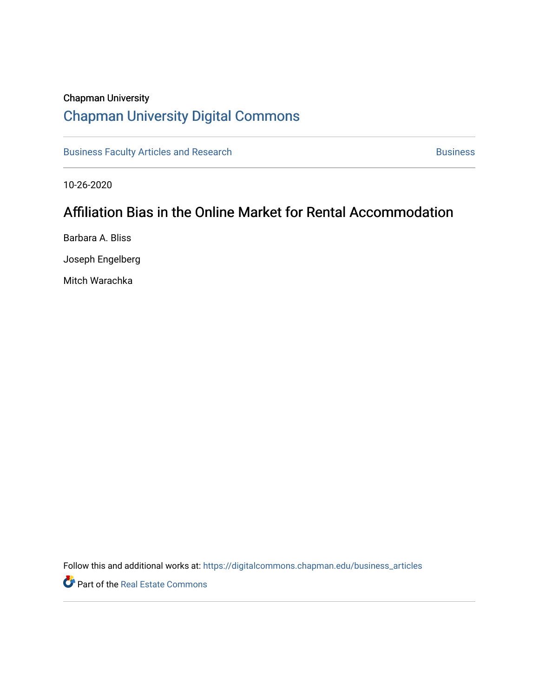## Chapman University [Chapman University Digital Commons](https://digitalcommons.chapman.edu/)

[Business Faculty Articles and Research](https://digitalcommons.chapman.edu/business_articles) [Business](https://digitalcommons.chapman.edu/business) **Business** Business

10-26-2020

## Affiliation Bias in the Online Market for Rental Accommodation

Barbara A. Bliss

Joseph Engelberg

Mitch Warachka

Follow this and additional works at: [https://digitalcommons.chapman.edu/business\\_articles](https://digitalcommons.chapman.edu/business_articles?utm_source=digitalcommons.chapman.edu%2Fbusiness_articles%2F109&utm_medium=PDF&utm_campaign=PDFCoverPages) 

Part of the [Real Estate Commons](http://network.bepress.com/hgg/discipline/641?utm_source=digitalcommons.chapman.edu%2Fbusiness_articles%2F109&utm_medium=PDF&utm_campaign=PDFCoverPages)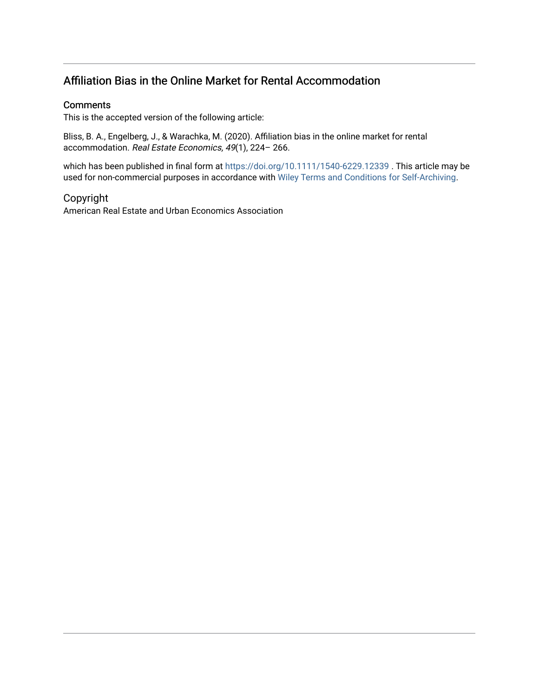## Affiliation Bias in the Online Market for Rental Accommodation

## **Comments**

This is the accepted version of the following article:

Bliss, B. A., Engelberg, J., & Warachka, M. (2020). Affiliation bias in the online market for rental accommodation. Real Estate Economics, 49(1), 224– 266.

which has been published in final form at <https://doi.org/10.1111/1540-6229.12339> . This article may be used for non-commercial purposes in accordance with [Wiley Terms and Conditions for Self-Archiving](http://olabout.wiley.com/WileyCDA/Section/id-820227.html#terms).

Copyright American Real Estate and Urban Economics Association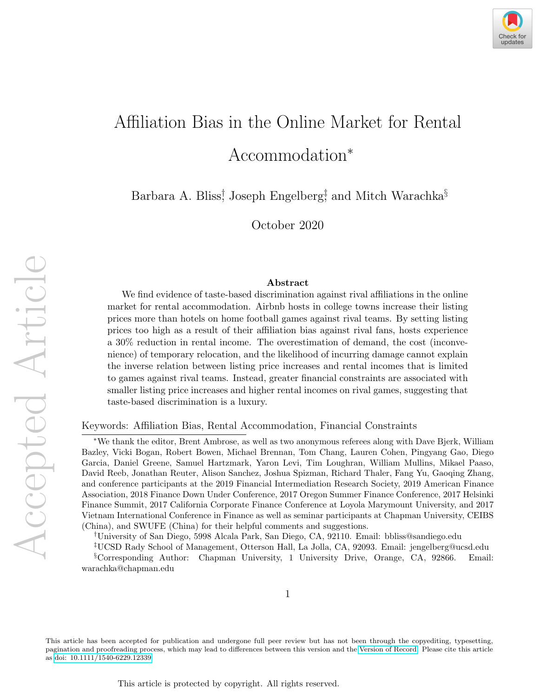

## Affiliation Bias in the Online Market for Rental Accommodation<sup>∗</sup>

Barbara A. Bliss<sup>†</sup>, Joseph Engelberg<sup>‡</sup> and Mitch Warachka<sup>§</sup>

October 2020

## Abstract

We find evidence of taste-based discrimination against rival affiliations in the online market for rental accommodation. Airbnb hosts in college towns increase their listing prices more than hotels on home football games against rival teams. By setting listing prices too high as a result of their affiliation bias against rival fans, hosts experience a 30% reduction in rental income. The overestimation of demand, the cost (inconvenience) of temporary relocation, and the likelihood of incurring damage cannot explain the inverse relation between listing price increases and rental incomes that is limited to games against rival teams. Instead, greater financial constraints are associated with smaller listing price increases and higher rental incomes on rival games, suggesting that taste-based discrimination is a luxury.

Keywords: Affiliation Bias, Rental Accommodation, Financial Constraints

<sup>∗</sup>We thank the editor, Brent Ambrose, as well as two anonymous referees along with Dave Bjerk, William Bazley, Vicki Bogan, Robert Bowen, Michael Brennan, Tom Chang, Lauren Cohen, Pingyang Gao, Diego Garcia, Daniel Greene, Samuel Hartzmark, Yaron Levi, Tim Loughran, William Mullins, Mikael Paaso, David Reeb, Jonathan Reuter, Alison Sanchez, Joshua Spizman, Richard Thaler, Fang Yu, Gaoqing Zhang, and conference participants at the 2019 Financial Intermediation Research Society, 2019 American Finance Association, 2018 Finance Down Under Conference, 2017 Oregon Summer Finance Conference, 2017 Helsinki Finance Summit, 2017 California Corporate Finance Conference at Loyola Marymount University, and 2017 Vietnam International Conference in Finance as well as seminar participants at Chapman University, CEIBS (China), and SWUFE (China) for their helpful comments and suggestions.

†University of San Diego, 5998 Alcala Park, San Diego, CA, 92110. Email: bbliss@sandiego.edu

‡UCSD Rady School of Management, Otterson Hall, La Jolla, CA, 92093. Email: jengelberg@ucsd.edu §Corresponding Author: Chapman University, 1 University Drive, Orange, CA, 92866. Email: warachka@chapman.edu

This article has been accepted for publication and undergone full peer review but has not been through the copyediting, typesetting, pagination and proofreading process, which may lead to differences between this version and the [Version of Record.](https://doi.org/10.1111/1540-6229.12339) Please cite this article as [doi: 10.1111/1540-6229.12339](https://doi.org/10.1111/1540-6229.12339)

This article is protected by copyright. All rights reserved.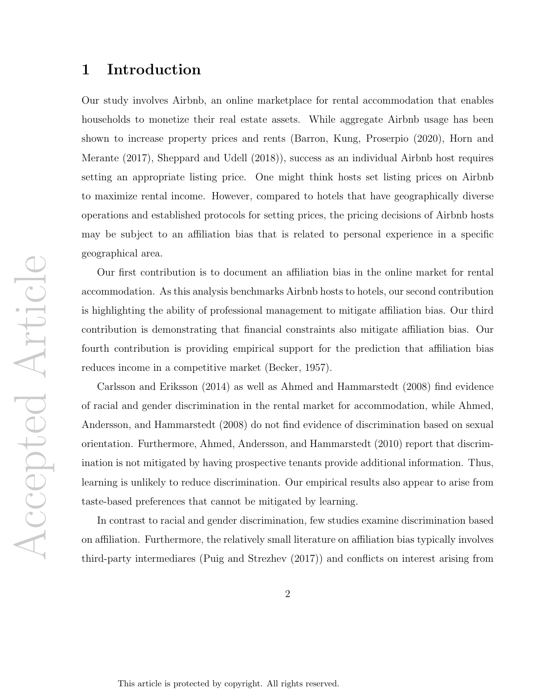## 1 Introduction

Our study involves Airbnb, an online marketplace for rental accommodation that enables households to monetize their real estate assets. While aggregate Airbnb usage has been shown to increase property prices and rents (Barron, Kung, Proserpio (2020), Horn and Merante (2017), Sheppard and Udell (2018)), success as an individual Airbnb host requires setting an appropriate listing price. One might think hosts set listing prices on Airbnb to maximize rental income. However, compared to hotels that have geographically diverse operations and established protocols for setting prices, the pricing decisions of Airbnb hosts may be subject to an affiliation bias that is related to personal experience in a specific geographical area.

Our first contribution is to document an affiliation bias in the online market for rental accommodation. As this analysis benchmarks Airbnb hosts to hotels, our second contribution is highlighting the ability of professional management to mitigate affiliation bias. Our third contribution is demonstrating that financial constraints also mitigate affiliation bias. Our fourth contribution is providing empirical support for the prediction that affiliation bias reduces income in a competitive market (Becker, 1957).

Carlsson and Eriksson (2014) as well as Ahmed and Hammarstedt (2008) find evidence of racial and gender discrimination in the rental market for accommodation, while Ahmed, Andersson, and Hammarstedt (2008) do not find evidence of discrimination based on sexual orientation. Furthermore, Ahmed, Andersson, and Hammarstedt (2010) report that discrimination is not mitigated by having prospective tenants provide additional information. Thus, learning is unlikely to reduce discrimination. Our empirical results also appear to arise from taste-based preferences that cannot be mitigated by learning.

In contrast to racial and gender discrimination, few studies examine discrimination based on affiliation. Furthermore, the relatively small literature on affiliation bias typically involves third-party intermediares (Puig and Strezhev (2017)) and conflicts on interest arising from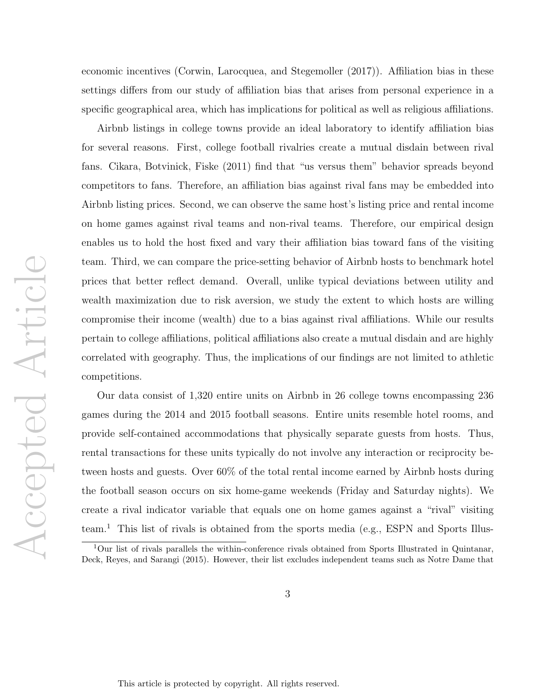economic incentives (Corwin, Larocquea, and Stegemoller (2017)). Affiliation bias in these settings differs from our study of affiliation bias that arises from personal experience in a specific geographical area, which has implications for political as well as religious affiliations.

Airbnb listings in college towns provide an ideal laboratory to identify affiliation bias for several reasons. First, college football rivalries create a mutual disdain between rival fans. Cikara, Botvinick, Fiske (2011) find that "us versus them" behavior spreads beyond competitors to fans. Therefore, an affiliation bias against rival fans may be embedded into Airbnb listing prices. Second, we can observe the same host's listing price and rental income on home games against rival teams and non-rival teams. Therefore, our empirical design enables us to hold the host fixed and vary their affiliation bias toward fans of the visiting team. Third, we can compare the price-setting behavior of Airbnb hosts to benchmark hotel prices that better reflect demand. Overall, unlike typical deviations between utility and wealth maximization due to risk aversion, we study the extent to which hosts are willing compromise their income (wealth) due to a bias against rival affiliations. While our results pertain to college affiliations, political affiliations also create a mutual disdain and are highly correlated with geography. Thus, the implications of our findings are not limited to athletic competitions.

Our data consist of 1,320 entire units on Airbnb in 26 college towns encompassing 236 games during the 2014 and 2015 football seasons. Entire units resemble hotel rooms, and provide self-contained accommodations that physically separate guests from hosts. Thus, rental transactions for these units typically do not involve any interaction or reciprocity between hosts and guests. Over 60% of the total rental income earned by Airbnb hosts during the football season occurs on six home-game weekends (Friday and Saturday nights). We create a rival indicator variable that equals one on home games against a "rival" visiting team.<sup>1</sup> This list of rivals is obtained from the sports media (e.g., ESPN and Sports Illus-

 $1$ Our list of rivals parallels the within-conference rivals obtained from Sports Illustrated in Quintanar, Deck, Reyes, and Sarangi (2015). However, their list excludes independent teams such as Notre Dame that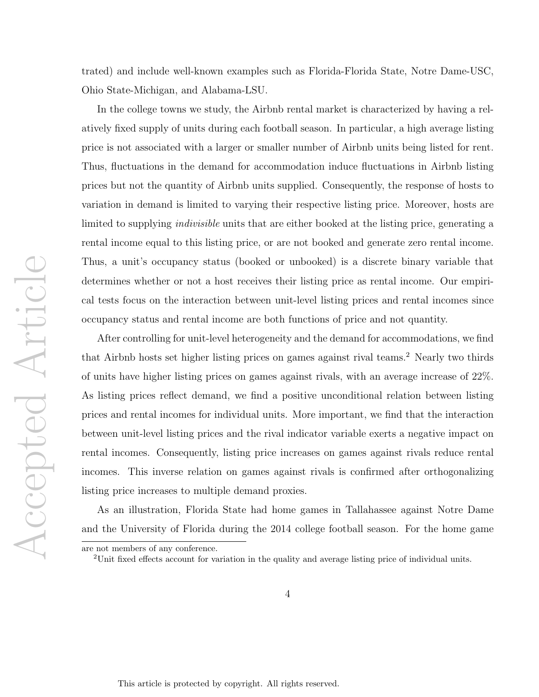trated) and include well-known examples such as Florida-Florida State, Notre Dame-USC, Ohio State-Michigan, and Alabama-LSU.

In the college towns we study, the Airbnb rental market is characterized by having a relatively fixed supply of units during each football season. In particular, a high average listing price is not associated with a larger or smaller number of Airbnb units being listed for rent. Thus, fluctuations in the demand for accommodation induce fluctuations in Airbnb listing prices but not the quantity of Airbnb units supplied. Consequently, the response of hosts to variation in demand is limited to varying their respective listing price. Moreover, hosts are limited to supplying indivisible units that are either booked at the listing price, generating a rental income equal to this listing price, or are not booked and generate zero rental income. Thus, a unit's occupancy status (booked or unbooked) is a discrete binary variable that determines whether or not a host receives their listing price as rental income. Our empirical tests focus on the interaction between unit-level listing prices and rental incomes since occupancy status and rental income are both functions of price and not quantity.

After controlling for unit-level heterogeneity and the demand for accommodations, we find that Airbnb hosts set higher listing prices on games against rival teams.<sup>2</sup> Nearly two thirds of units have higher listing prices on games against rivals, with an average increase of 22%. As listing prices reflect demand, we find a positive unconditional relation between listing prices and rental incomes for individual units. More important, we find that the interaction between unit-level listing prices and the rival indicator variable exerts a negative impact on rental incomes. Consequently, listing price increases on games against rivals reduce rental incomes. This inverse relation on games against rivals is confirmed after orthogonalizing listing price increases to multiple demand proxies.

As an illustration, Florida State had home games in Tallahassee against Notre Dame and the University of Florida during the 2014 college football season. For the home game

are not members of any conference.

<sup>2</sup>Unit fixed effects account for variation in the quality and average listing price of individual units.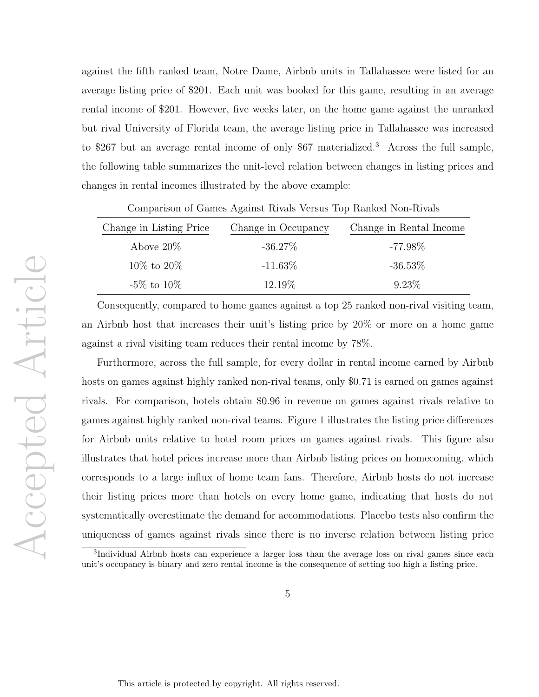against the fifth ranked team, Notre Dame, Airbnb units in Tallahassee were listed for an average listing price of \$201. Each unit was booked for this game, resulting in an average rental income of \$201. However, five weeks later, on the home game against the unranked but rival University of Florida team, the average listing price in Tallahassee was increased to \$267 but an average rental income of only \$67 materialized.<sup>3</sup> Across the full sample, the following table summarizes the unit-level relation between changes in listing prices and changes in rental incomes illustrated by the above example:

| Change in Listing Price | Change in Occupancy | Change in Rental Income |
|-------------------------|---------------------|-------------------------|
| Above $20\%$            | $-36.27\%$          | $-77.98\%$              |
| $10\%$ to $20\%$        | $-11.63\%$          | $-36.53\%$              |
| $-5\%$ to $10\%$        | 12.19\%             | $9.23\%$                |

Comparison of Games Against Rivals Versus Top Ranked Non-Rivals

Consequently, compared to home games against a top 25 ranked non-rival visiting team, an Airbnb host that increases their unit's listing price by 20% or more on a home game against a rival visiting team reduces their rental income by 78%.

Furthermore, across the full sample, for every dollar in rental income earned by Airbnb hosts on games against highly ranked non-rival teams, only \$0.71 is earned on games against rivals. For comparison, hotels obtain \$0.96 in revenue on games against rivals relative to games against highly ranked non-rival teams. Figure 1 illustrates the listing price differences for Airbnb units relative to hotel room prices on games against rivals. This figure also illustrates that hotel prices increase more than Airbnb listing prices on homecoming, which corresponds to a large influx of home team fans. Therefore, Airbnb hosts do not increase their listing prices more than hotels on every home game, indicating that hosts do not systematically overestimate the demand for accommodations. Placebo tests also confirm the uniqueness of games against rivals since there is no inverse relation between listing price

<sup>&</sup>lt;sup>3</sup>Individual Airbnb hosts can experience a larger loss than the average loss on rival games since each unit's occupancy is binary and zero rental income is the consequence of setting too high a listing price.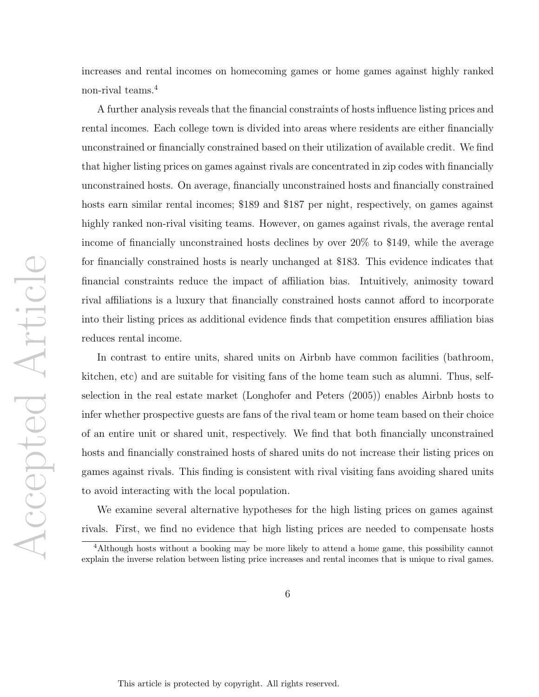increases and rental incomes on homecoming games or home games against highly ranked non-rival teams.<sup>4</sup>

A further analysis reveals that the financial constraints of hosts influence listing prices and rental incomes. Each college town is divided into areas where residents are either financially unconstrained or financially constrained based on their utilization of available credit. We find that higher listing prices on games against rivals are concentrated in zip codes with financially unconstrained hosts. On average, financially unconstrained hosts and financially constrained hosts earn similar rental incomes; \$189 and \$187 per night, respectively, on games against highly ranked non-rival visiting teams. However, on games against rivals, the average rental income of financially unconstrained hosts declines by over 20% to \$149, while the average for financially constrained hosts is nearly unchanged at \$183. This evidence indicates that financial constraints reduce the impact of affiliation bias. Intuitively, animosity toward rival affiliations is a luxury that financially constrained hosts cannot afford to incorporate into their listing prices as additional evidence finds that competition ensures affiliation bias reduces rental income.

In contrast to entire units, shared units on Airbnb have common facilities (bathroom, kitchen, etc) and are suitable for visiting fans of the home team such as alumni. Thus, selfselection in the real estate market (Longhofer and Peters (2005)) enables Airbnb hosts to infer whether prospective guests are fans of the rival team or home team based on their choice of an entire unit or shared unit, respectively. We find that both financially unconstrained hosts and financially constrained hosts of shared units do not increase their listing prices on games against rivals. This finding is consistent with rival visiting fans avoiding shared units to avoid interacting with the local population.

We examine several alternative hypotheses for the high listing prices on games against rivals. First, we find no evidence that high listing prices are needed to compensate hosts

<sup>4</sup>Although hosts without a booking may be more likely to attend a home game, this possibility cannot explain the inverse relation between listing price increases and rental incomes that is unique to rival games.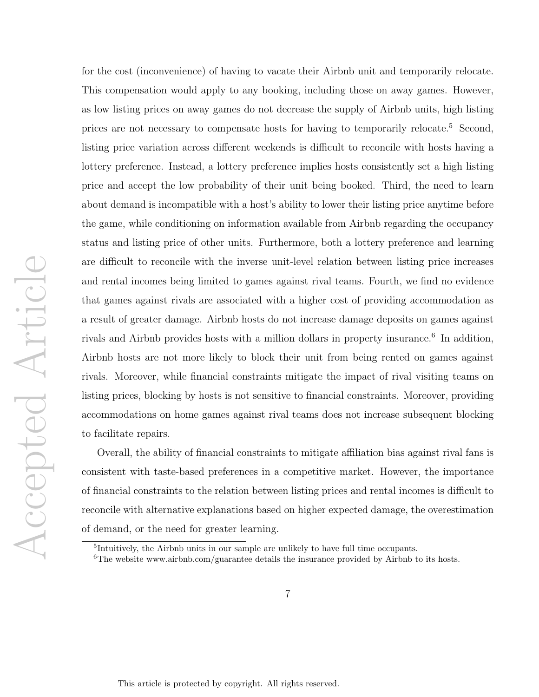for the cost (inconvenience) of having to vacate their Airbnb unit and temporarily relocate. This compensation would apply to any booking, including those on away games. However, as low listing prices on away games do not decrease the supply of Airbnb units, high listing prices are not necessary to compensate hosts for having to temporarily relocate.<sup>5</sup> Second, listing price variation across different weekends is difficult to reconcile with hosts having a lottery preference. Instead, a lottery preference implies hosts consistently set a high listing price and accept the low probability of their unit being booked. Third, the need to learn about demand is incompatible with a host's ability to lower their listing price anytime before the game, while conditioning on information available from Airbnb regarding the occupancy status and listing price of other units. Furthermore, both a lottery preference and learning are difficult to reconcile with the inverse unit-level relation between listing price increases and rental incomes being limited to games against rival teams. Fourth, we find no evidence that games against rivals are associated with a higher cost of providing accommodation as a result of greater damage. Airbnb hosts do not increase damage deposits on games against rivals and Airbnb provides hosts with a million dollars in property insurance.<sup>6</sup> In addition, Airbnb hosts are not more likely to block their unit from being rented on games against rivals. Moreover, while financial constraints mitigate the impact of rival visiting teams on listing prices, blocking by hosts is not sensitive to financial constraints. Moreover, providing accommodations on home games against rival teams does not increase subsequent blocking to facilitate repairs.

Overall, the ability of financial constraints to mitigate affiliation bias against rival fans is consistent with taste-based preferences in a competitive market. However, the importance of financial constraints to the relation between listing prices and rental incomes is difficult to reconcile with alternative explanations based on higher expected damage, the overestimation of demand, or the need for greater learning.

<sup>5</sup> Intuitively, the Airbnb units in our sample are unlikely to have full time occupants.

 $6$ The website www.airbnb.com/guarantee details the insurance provided by Airbnb to its hosts.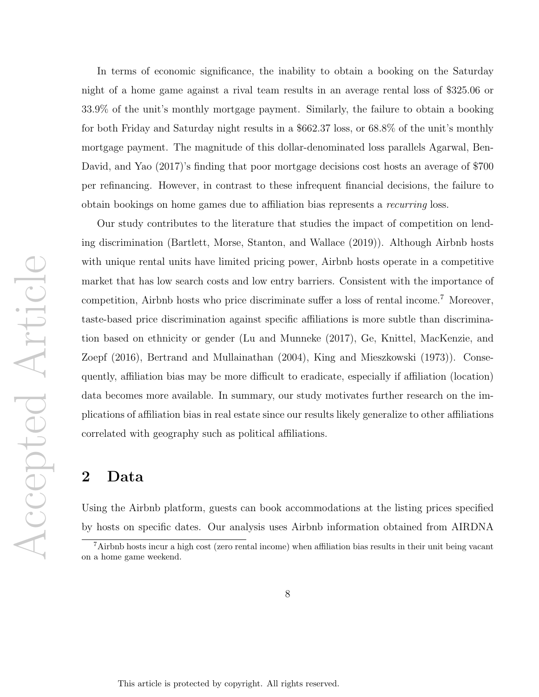In terms of economic significance, the inability to obtain a booking on the Saturday night of a home game against a rival team results in an average rental loss of \$325.06 or 33.9% of the unit's monthly mortgage payment. Similarly, the failure to obtain a booking for both Friday and Saturday night results in a \$662.37 loss, or 68.8% of the unit's monthly mortgage payment. The magnitude of this dollar-denominated loss parallels Agarwal, Ben-David, and Yao (2017)'s finding that poor mortgage decisions cost hosts an average of \$700 per refinancing. However, in contrast to these infrequent financial decisions, the failure to obtain bookings on home games due to affiliation bias represents a recurring loss.

Our study contributes to the literature that studies the impact of competition on lending discrimination (Bartlett, Morse, Stanton, and Wallace (2019)). Although Airbnb hosts with unique rental units have limited pricing power, Airbnb hosts operate in a competitive market that has low search costs and low entry barriers. Consistent with the importance of competition, Airbnb hosts who price discriminate suffer a loss of rental income.<sup>7</sup> Moreover, taste-based price discrimination against specific affiliations is more subtle than discrimination based on ethnicity or gender (Lu and Munneke (2017), Ge, Knittel, MacKenzie, and Zoepf (2016), Bertrand and Mullainathan (2004), King and Mieszkowski (1973)). Consequently, affiliation bias may be more difficult to eradicate, especially if affiliation (location) data becomes more available. In summary, our study motivates further research on the implications of affiliation bias in real estate since our results likely generalize to other affiliations correlated with geography such as political affiliations.

## 2 Data

Using the Airbnb platform, guests can book accommodations at the listing prices specified by hosts on specific dates. Our analysis uses Airbnb information obtained from AIRDNA

<sup>7</sup>Airbnb hosts incur a high cost (zero rental income) when affiliation bias results in their unit being vacant on a home game weekend.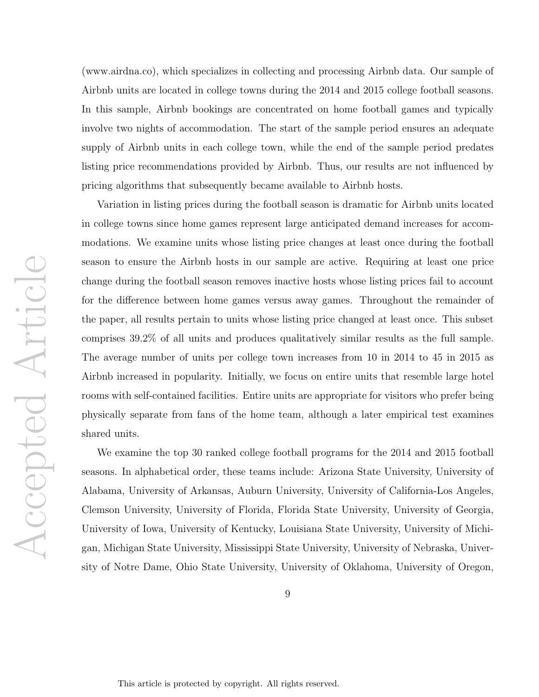(www.airdna.co), which specializes in collecting and processing Airbnb data. Our sample of Airbnb units are located in college towns during the 2014 and 2015 college football seasons. In this sample, Airbnb bookings are concentrated on home football games and typically involve two nights of accommodation. The start of the sample period ensures an adequate supply of Airbnb units in each college town, while the end of the sample period predates listing price recommendations provided by Airbnb. Thus, our results are not influenced by pricing algorithms that subsequently became available to Airbnb hosts.

Variation in listing prices during the football season is dramatic for Airbnb units located in college towns since home games represent large anticipated demand increases for accommodations. We examine units whose listing price changes at least once during the football season to ensure the Airbnb hosts in our sample are active. Requiring at least one price change during the football season removes inactive hosts whose listing prices fail to account for the difference between home games versus away games. Throughout the remainder of the paper, all results pertain to units whose listing price changed at least once. This subset comprises 39.2% of all units and produces qualitatively similar results as the full sample. The average number of units per college town increases from 10 in 2014 to 45 in 2015 as Airbnb increased in popularity. Initially, we focus on entire units that resemble large hotel rooms with self-contained facilities. Entire units are appropriate for visitors who prefer being physically separate from fans of the home team, although a later empirical test examines shared units.

We examine the top 30 ranked college football programs for the 2014 and 2015 football seasons. In alphabetical order, these teams include: Arizona State University, University of Alabama, University of Arkansas, Auburn University, University of California-Los Angeles, Clemson University, University of Florida, Florida State University, University of Georgia, University of Iowa, University of Kentucky, Louisiana State University, University of Michigan, Michigan State University, Mississippi State University, University of Nebraska, University of Notre Dame, Ohio State University, University of Oklahoma, University of Oregon,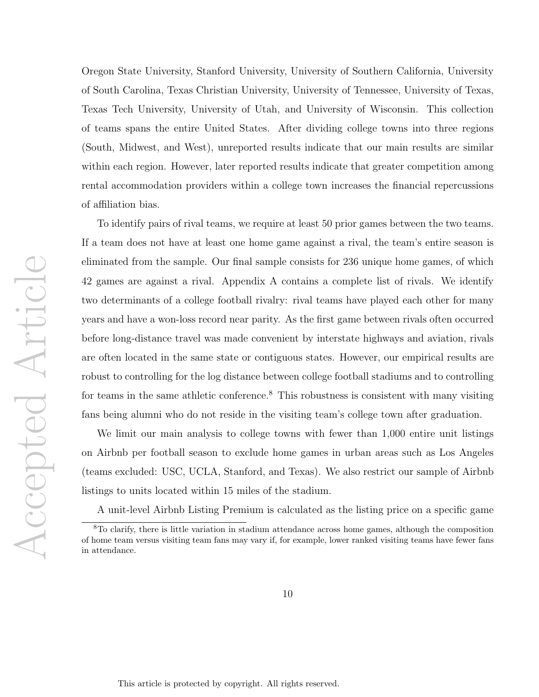Oregon State University, Stanford University, University of Southern California, University of South Carolina, Texas Christian University, University of Tennessee, University of Texas, Texas Tech University, University of Utah, and University of Wisconsin. This collection of teams spans the entire United States. After dividing college towns into three regions (South, Midwest, and West), unreported results indicate that our main results are similar within each region. However, later reported results indicate that greater competition among rental accommodation providers within a college town increases the financial repercussions of affiliation bias.

To identify pairs of rival teams, we require at least 50 prior games between the two teams. If a team does not have at least one home game against a rival, the team's entire season is eliminated from the sample. Our final sample consists for 236 unique home games, of which 42 games are against a rival. Appendix A contains a complete list of rivals. We identify two determinants of a college football rivalry: rival teams have played each other for many years and have a won-loss record near parity. As the first game between rivals often occurred before long-distance travel was made convenient by interstate highways and aviation, rivals are often located in the same state or contiguous states. However, our empirical results are robust to controlling for the log distance between college football stadiums and to controlling for teams in the same athletic conference.<sup>8</sup> This robustness is consistent with many visiting fans being alumni who do not reside in the visiting team's college town after graduation.

We limit our main analysis to college towns with fewer than 1,000 entire unit listings on Airbnb per football season to exclude home games in urban areas such as Los Angeles (teams excluded: USC, UCLA, Stanford, and Texas). We also restrict our sample of Airbnb listings to units located within 15 miles of the stadium.

A unit-level Airbnb Listing Premium is calculated as the listing price on a specific game

<sup>8</sup>To clarify, there is little variation in stadium attendance across home games, although the composition of home team versus visiting team fans may vary if, for example, lower ranked visiting teams have fewer fans in attendance.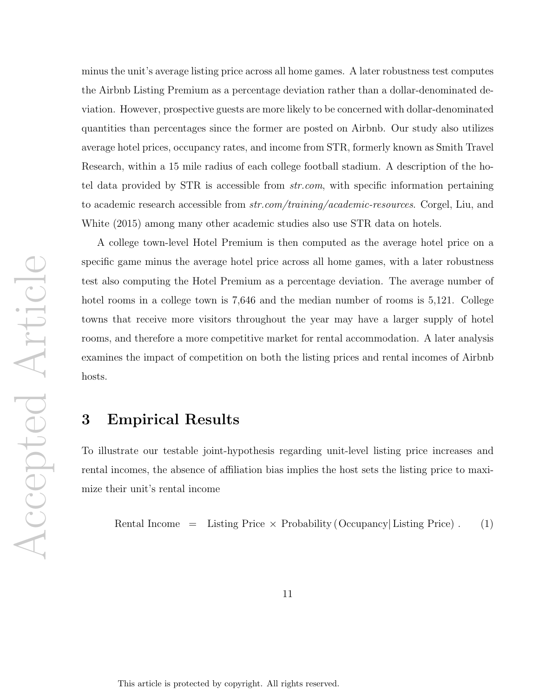minus the unit's average listing price across all home games. A later robustness test computes the Airbnb Listing Premium as a percentage deviation rather than a dollar-denominated deviation. However, prospective guests are more likely to be concerned with dollar-denominated quantities than percentages since the former are posted on Airbnb. Our study also utilizes average hotel prices, occupancy rates, and income from STR, formerly known as Smith Travel Research, within a 15 mile radius of each college football stadium. A description of the hotel data provided by STR is accessible from str.com, with specific information pertaining to academic research accessible from str.com/training/academic-resources. Corgel, Liu, and White (2015) among many other academic studies also use STR data on hotels.

A college town-level Hotel Premium is then computed as the average hotel price on a specific game minus the average hotel price across all home games, with a later robustness test also computing the Hotel Premium as a percentage deviation. The average number of hotel rooms in a college town is 7,646 and the median number of rooms is 5,121. College towns that receive more visitors throughout the year may have a larger supply of hotel rooms, and therefore a more competitive market for rental accommodation. A later analysis examines the impact of competition on both the listing prices and rental incomes of Airbnb hosts.

## 3 Empirical Results

To illustrate our testable joint-hypothesis regarding unit-level listing price increases and rental incomes, the absence of affiliation bias implies the host sets the listing price to maximize their unit's rental income

$$
Rental Income = Listing Price \times Probability (Occupancy | Listing Price) . (1)
$$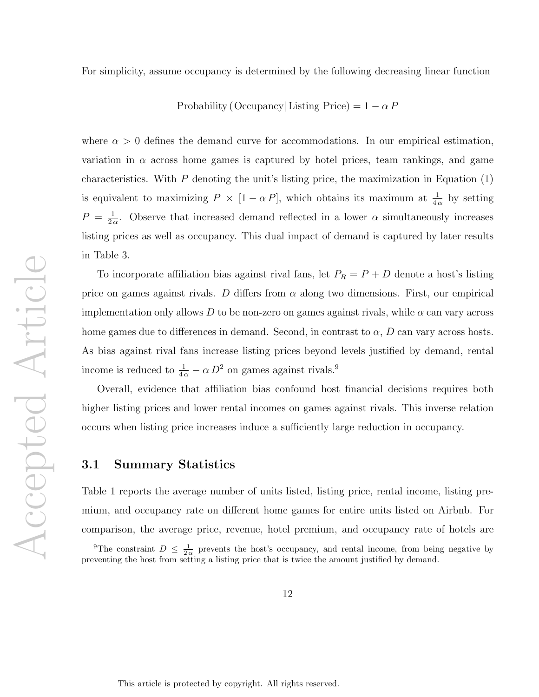For simplicity, assume occupancy is determined by the following decreasing linear function

Probability (Occupancy | Listing Price) = 
$$
1 - \alpha P
$$

where  $\alpha > 0$  defines the demand curve for accommodations. In our empirical estimation, variation in  $\alpha$  across home games is captured by hotel prices, team rankings, and game characteristics. With  $P$  denoting the unit's listing price, the maximization in Equation  $(1)$ is equivalent to maximizing  $P \times [1 - \alpha P]$ , which obtains its maximum at  $\frac{1}{4\alpha}$  by setting  $P = \frac{1}{2}$  $\frac{1}{2\alpha}$ . Observe that increased demand reflected in a lower  $\alpha$  simultaneously increases listing prices as well as occupancy. This dual impact of demand is captured by later results in Table 3.

To incorporate affiliation bias against rival fans, let  $P_R = P + D$  denote a host's listing price on games against rivals. D differs from  $\alpha$  along two dimensions. First, our empirical implementation only allows D to be non-zero on games against rivals, while  $\alpha$  can vary across home games due to differences in demand. Second, in contrast to  $\alpha$ , D can vary across hosts. As bias against rival fans increase listing prices beyond levels justified by demand, rental income is reduced to  $\frac{1}{4\alpha} - \alpha D^2$  on games against rivals.<sup>9</sup>

Overall, evidence that affiliation bias confound host financial decisions requires both higher listing prices and lower rental incomes on games against rivals. This inverse relation occurs when listing price increases induce a sufficiently large reduction in occupancy.

## 3.1 Summary Statistics

Table 1 reports the average number of units listed, listing price, rental income, listing premium, and occupancy rate on different home games for entire units listed on Airbnb. For comparison, the average price, revenue, hotel premium, and occupancy rate of hotels are

<sup>&</sup>lt;sup>9</sup>The constraint  $D \leq \frac{1}{2\alpha}$  prevents the host's occupancy, and rental income, from being negative by preventing the host from setting a listing price that is twice the amount justified by demand.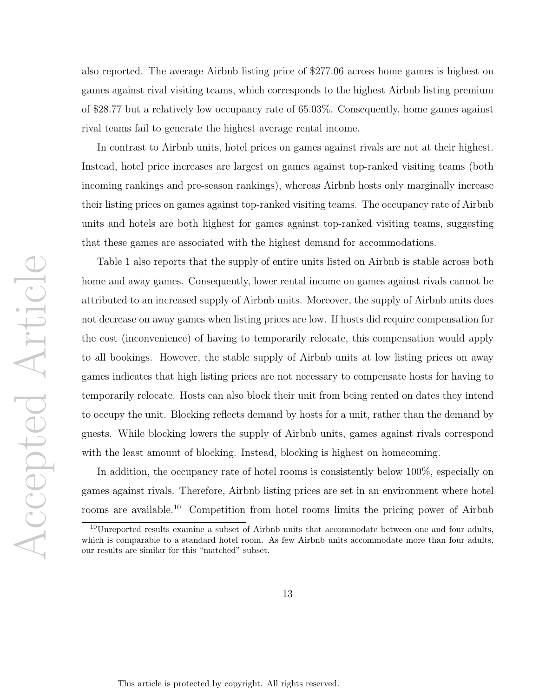also reported. The average Airbnb listing price of \$277.06 across home games is highest on games against rival visiting teams, which corresponds to the highest Airbnb listing premium of \$28.77 but a relatively low occupancy rate of 65.03%. Consequently, home games against rival teams fail to generate the highest average rental income.

In contrast to Airbnb units, hotel prices on games against rivals are not at their highest. Instead, hotel price increases are largest on games against top-ranked visiting teams (both incoming rankings and pre-season rankings), whereas Airbnb hosts only marginally increase their listing prices on games against top-ranked visiting teams. The occupancy rate of Airbnb units and hotels are both highest for games against top-ranked visiting teams, suggesting that these games are associated with the highest demand for accommodations.

Table 1 also reports that the supply of entire units listed on Airbnb is stable across both home and away games. Consequently, lower rental income on games against rivals cannot be attributed to an increased supply of Airbnb units. Moreover, the supply of Airbnb units does not decrease on away games when listing prices are low. If hosts did require compensation for the cost (inconvenience) of having to temporarily relocate, this compensation would apply to all bookings. However, the stable supply of Airbnb units at low listing prices on away games indicates that high listing prices are not necessary to compensate hosts for having to temporarily relocate. Hosts can also block their unit from being rented on dates they intend to occupy the unit. Blocking reflects demand by hosts for a unit, rather than the demand by guests. While blocking lowers the supply of Airbnb units, games against rivals correspond with the least amount of blocking. Instead, blocking is highest on homecoming.

In addition, the occupancy rate of hotel rooms is consistently below 100%, especially on games against rivals. Therefore, Airbnb listing prices are set in an environment where hotel rooms are available.<sup>10</sup> Competition from hotel rooms limits the pricing power of Airbnb

 $10$ Unreported results examine a subset of Airbnb units that accommodate between one and four adults, which is comparable to a standard hotel room. As few Airbnb units accommodate more than four adults, our results are similar for this "matched" subset.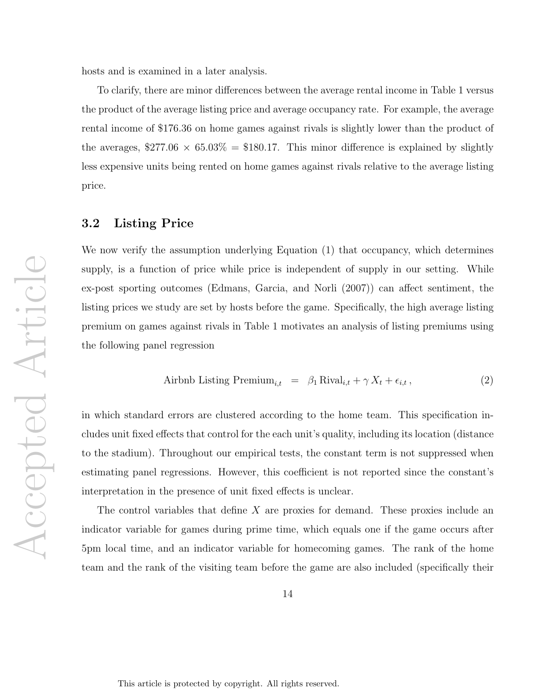hosts and is examined in a later analysis.

To clarify, there are minor differences between the average rental income in Table 1 versus the product of the average listing price and average occupancy rate. For example, the average rental income of \$176.36 on home games against rivals is slightly lower than the product of the averages,  $$277.06 \times 65.03\% = $180.17$ . This minor difference is explained by slightly less expensive units being rented on home games against rivals relative to the average listing price.

## 3.2 Listing Price

We now verify the assumption underlying Equation (1) that occupancy, which determines supply, is a function of price while price is independent of supply in our setting. While ex-post sporting outcomes (Edmans, Garcia, and Norli (2007)) can affect sentiment, the listing prices we study are set by hosts before the game. Specifically, the high average listing premium on games against rivals in Table 1 motivates an analysis of listing premiums using the following panel regression

Airbub Listing Premium<sub>i,t</sub> = 
$$
\beta_1 \text{Rival}_{i,t} + \gamma X_t + \epsilon_{i,t}
$$
, (2)

in which standard errors are clustered according to the home team. This specification includes unit fixed effects that control for the each unit's quality, including its location (distance to the stadium). Throughout our empirical tests, the constant term is not suppressed when estimating panel regressions. However, this coefficient is not reported since the constant's interpretation in the presence of unit fixed effects is unclear.

The control variables that define X are proxies for demand. These proxies include an indicator variable for games during prime time, which equals one if the game occurs after 5pm local time, and an indicator variable for homecoming games. The rank of the home team and the rank of the visiting team before the game are also included (specifically their

14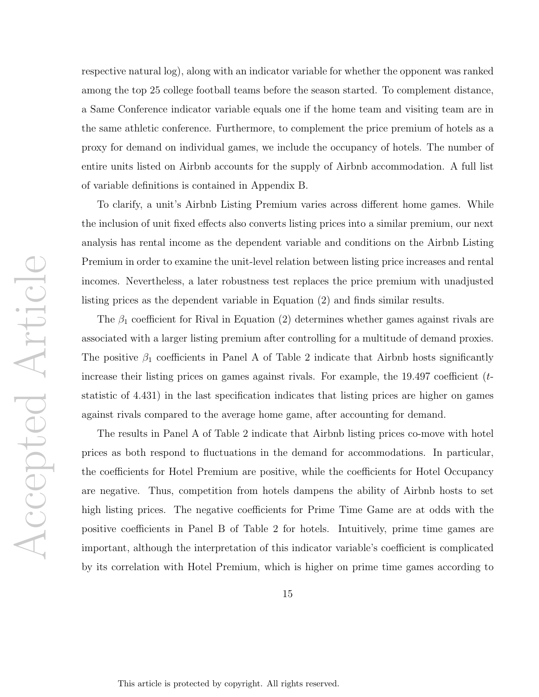respective natural log), along with an indicator variable for whether the opponent was ranked among the top 25 college football teams before the season started. To complement distance, a Same Conference indicator variable equals one if the home team and visiting team are in the same athletic conference. Furthermore, to complement the price premium of hotels as a proxy for demand on individual games, we include the occupancy of hotels. The number of entire units listed on Airbnb accounts for the supply of Airbnb accommodation. A full list of variable definitions is contained in Appendix B.

To clarify, a unit's Airbnb Listing Premium varies across different home games. While the inclusion of unit fixed effects also converts listing prices into a similar premium, our next analysis has rental income as the dependent variable and conditions on the Airbnb Listing Premium in order to examine the unit-level relation between listing price increases and rental incomes. Nevertheless, a later robustness test replaces the price premium with unadjusted listing prices as the dependent variable in Equation (2) and finds similar results.

The  $\beta_1$  coefficient for Rival in Equation (2) determines whether games against rivals are associated with a larger listing premium after controlling for a multitude of demand proxies. The positive  $\beta_1$  coefficients in Panel A of Table 2 indicate that Airbnb hosts significantly increase their listing prices on games against rivals. For example, the 19.497 coefficient (tstatistic of 4.431) in the last specification indicates that listing prices are higher on games against rivals compared to the average home game, after accounting for demand.

The results in Panel A of Table 2 indicate that Airbnb listing prices co-move with hotel prices as both respond to fluctuations in the demand for accommodations. In particular, the coefficients for Hotel Premium are positive, while the coefficients for Hotel Occupancy are negative. Thus, competition from hotels dampens the ability of Airbnb hosts to set high listing prices. The negative coefficients for Prime Time Game are at odds with the positive coefficients in Panel B of Table 2 for hotels. Intuitively, prime time games are important, although the interpretation of this indicator variable's coefficient is complicated by its correlation with Hotel Premium, which is higher on prime time games according to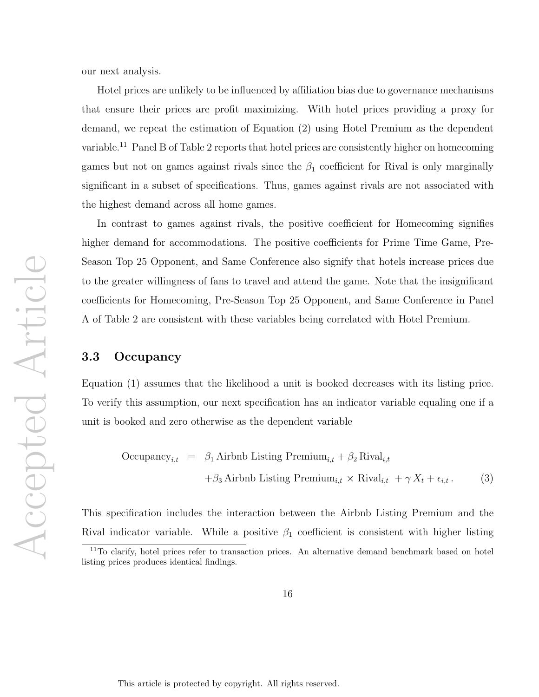our next analysis.

Hotel prices are unlikely to be influenced by affiliation bias due to governance mechanisms that ensure their prices are profit maximizing. With hotel prices providing a proxy for demand, we repeat the estimation of Equation (2) using Hotel Premium as the dependent variable.<sup>11</sup> Panel B of Table 2 reports that hotel prices are consistently higher on homecoming games but not on games against rivals since the  $\beta_1$  coefficient for Rival is only marginally significant in a subset of specifications. Thus, games against rivals are not associated with the highest demand across all home games.

In contrast to games against rivals, the positive coefficient for Homecoming signifies higher demand for accommodations. The positive coefficients for Prime Time Game, Pre-Season Top 25 Opponent, and Same Conference also signify that hotels increase prices due to the greater willingness of fans to travel and attend the game. Note that the insignificant coefficients for Homecoming, Pre-Season Top 25 Opponent, and Same Conference in Panel A of Table 2 are consistent with these variables being correlated with Hotel Premium.

## 3.3 Occupancy

Equation (1) assumes that the likelihood a unit is booked decreases with its listing price. To verify this assumption, our next specification has an indicator variable equaling one if a unit is booked and zero otherwise as the dependent variable

Occupancy<sub>i,t</sub> = 
$$
\beta_1
$$
Airbub Listing Premium<sub>i,t</sub> +  $\beta_2$ Rival<sub>i,t</sub> +  $\beta_3$ Airbub Listing Premium<sub>i,t</sub> × Rival<sub>i,t</sub> +  $\gamma X_t + \epsilon_{i,t}$ .

\n(3)

This specification includes the interaction between the Airbnb Listing Premium and the Rival indicator variable. While a positive  $\beta_1$  coefficient is consistent with higher listing

 $11$ To clarify, hotel prices refer to transaction prices. An alternative demand benchmark based on hotel listing prices produces identical findings.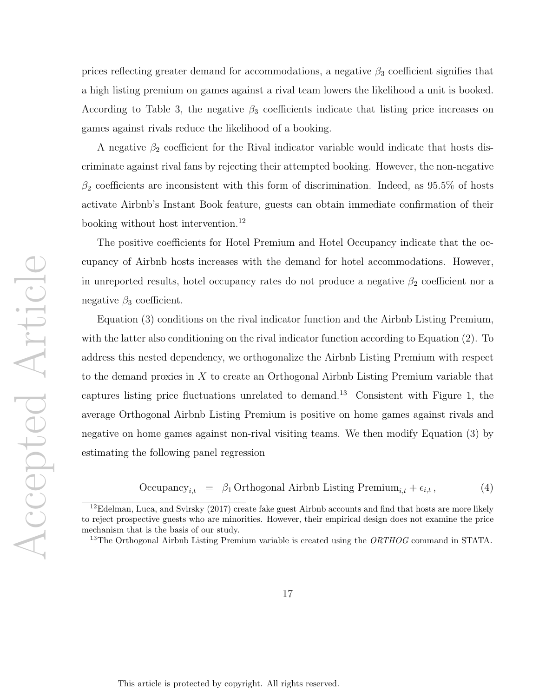prices reflecting greater demand for accommodations, a negative  $\beta_3$  coefficient signifies that a high listing premium on games against a rival team lowers the likelihood a unit is booked. According to Table 3, the negative  $\beta_3$  coefficients indicate that listing price increases on games against rivals reduce the likelihood of a booking.

A negative  $\beta_2$  coefficient for the Rival indicator variable would indicate that hosts discriminate against rival fans by rejecting their attempted booking. However, the non-negative  $\beta_2$  coefficients are inconsistent with this form of discrimination. Indeed, as 95.5% of hosts activate Airbnb's Instant Book feature, guests can obtain immediate confirmation of their booking without host intervention.<sup>12</sup>

The positive coefficients for Hotel Premium and Hotel Occupancy indicate that the occupancy of Airbnb hosts increases with the demand for hotel accommodations. However, in unreported results, hotel occupancy rates do not produce a negative  $\beta_2$  coefficient nor a negative  $\beta_3$  coefficient.

Equation (3) conditions on the rival indicator function and the Airbnb Listing Premium, with the latter also conditioning on the rival indicator function according to Equation (2). To address this nested dependency, we orthogonalize the Airbnb Listing Premium with respect to the demand proxies in  $X$  to create an Orthogonal Airbnb Listing Premium variable that captures listing price fluctuations unrelated to demand.<sup>13</sup> Consistent with Figure 1, the average Orthogonal Airbnb Listing Premium is positive on home games against rivals and negative on home games against non-rival visiting teams. We then modify Equation (3) by estimating the following panel regression

Occupancy<sub>*i,t*</sub> =  $\beta_1$  Orthogonal Airbnb Listing Premium<sub>*i,t*</sub> +  $\epsilon_{i,t}$ , (4)

 $12$ Edelman, Luca, and Svirsky (2017) create fake guest Airbnb accounts and find that hosts are more likely to reject prospective guests who are minorities. However, their empirical design does not examine the price mechanism that is the basis of our study.

<sup>&</sup>lt;sup>13</sup>The Orthogonal Airbnb Listing Premium variable is created using the  $ORTHOG$  command in STATA.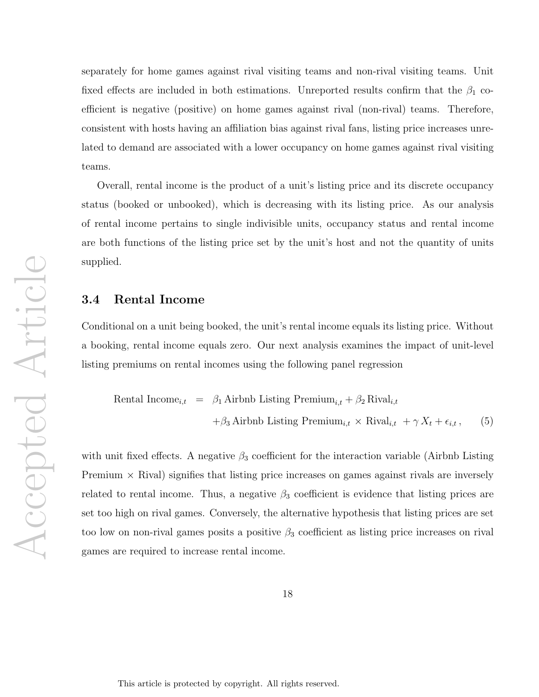separately for home games against rival visiting teams and non-rival visiting teams. Unit fixed effects are included in both estimations. Unreported results confirm that the  $\beta_1$  coefficient is negative (positive) on home games against rival (non-rival) teams. Therefore, consistent with hosts having an affiliation bias against rival fans, listing price increases unrelated to demand are associated with a lower occupancy on home games against rival visiting teams.

Overall, rental income is the product of a unit's listing price and its discrete occupancy status (booked or unbooked), which is decreasing with its listing price. As our analysis of rental income pertains to single indivisible units, occupancy status and rental income are both functions of the listing price set by the unit's host and not the quantity of units supplied.

## 3.4 Rental Income

Conditional on a unit being booked, the unit's rental income equals its listing price. Without a booking, rental income equals zero. Our next analysis examines the impact of unit-level listing premiums on rental incomes using the following panel regression

Rental Income<sub>i,t</sub> = 
$$
\beta_1
$$
 Airbus Listing Premium<sub>i,t</sub> +  $\beta_2$  Rival<sub>i,t</sub>  
+ $\beta_3$ Airbnb Listing Premium<sub>i,t</sub> × Rival<sub>i,t</sub> +  $\gamma X_t$  +  $\epsilon_{i,t}$ , (5)

with unit fixed effects. A negative  $\beta_3$  coefficient for the interaction variable (Airbnb Listing Premium  $\times$  Rival) signifies that listing price increases on games against rivals are inversely related to rental income. Thus, a negative  $\beta_3$  coefficient is evidence that listing prices are set too high on rival games. Conversely, the alternative hypothesis that listing prices are set too low on non-rival games posits a positive  $\beta_3$  coefficient as listing price increases on rival games are required to increase rental income.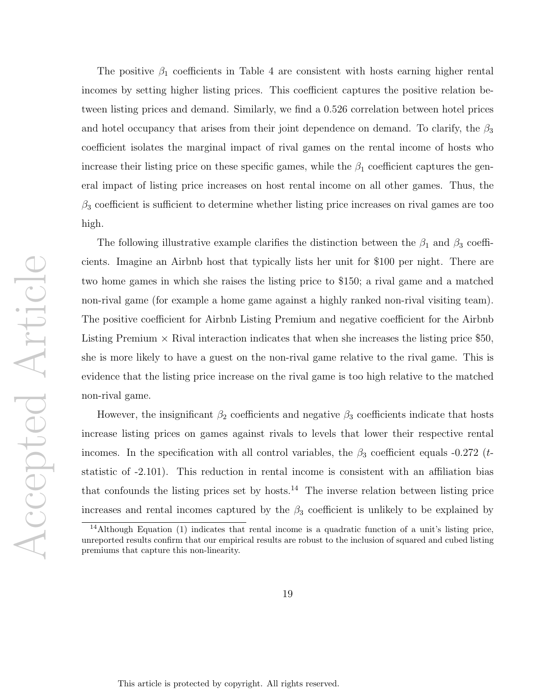The positive  $\beta_1$  coefficients in Table 4 are consistent with hosts earning higher rental incomes by setting higher listing prices. This coefficient captures the positive relation between listing prices and demand. Similarly, we find a 0.526 correlation between hotel prices and hotel occupancy that arises from their joint dependence on demand. To clarify, the  $\beta_3$ coefficient isolates the marginal impact of rival games on the rental income of hosts who increase their listing price on these specific games, while the  $\beta_1$  coefficient captures the general impact of listing price increases on host rental income on all other games. Thus, the  $\beta_3$  coefficient is sufficient to determine whether listing price increases on rival games are too high.

The following illustrative example clarifies the distinction between the  $\beta_1$  and  $\beta_3$  coefficients. Imagine an Airbnb host that typically lists her unit for \$100 per night. There are two home games in which she raises the listing price to \$150; a rival game and a matched non-rival game (for example a home game against a highly ranked non-rival visiting team). The positive coefficient for Airbnb Listing Premium and negative coefficient for the Airbnb Listing Premium  $\times$  Rival interaction indicates that when she increases the listing price \$50, she is more likely to have a guest on the non-rival game relative to the rival game. This is evidence that the listing price increase on the rival game is too high relative to the matched non-rival game.

However, the insignificant  $\beta_2$  coefficients and negative  $\beta_3$  coefficients indicate that hosts increase listing prices on games against rivals to levels that lower their respective rental incomes. In the specification with all control variables, the  $\beta_3$  coefficient equals -0.272 (tstatistic of -2.101). This reduction in rental income is consistent with an affiliation bias that confounds the listing prices set by hosts.<sup>14</sup> The inverse relation between listing price increases and rental incomes captured by the  $\beta_3$  coefficient is unlikely to be explained by

 $14$ Although Equation (1) indicates that rental income is a quadratic function of a unit's listing price, unreported results confirm that our empirical results are robust to the inclusion of squared and cubed listing premiums that capture this non-linearity.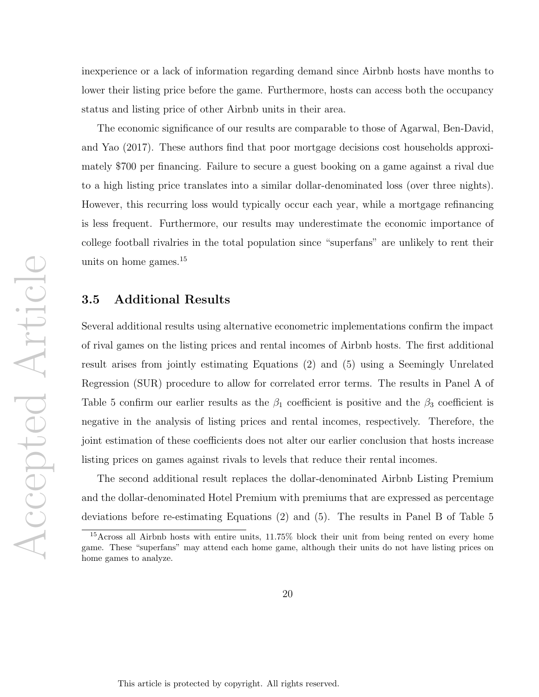inexperience or a lack of information regarding demand since Airbnb hosts have months to lower their listing price before the game. Furthermore, hosts can access both the occupancy status and listing price of other Airbnb units in their area.

The economic significance of our results are comparable to those of Agarwal, Ben-David, and Yao (2017). These authors find that poor mortgage decisions cost households approximately \$700 per financing. Failure to secure a guest booking on a game against a rival due to a high listing price translates into a similar dollar-denominated loss (over three nights). However, this recurring loss would typically occur each year, while a mortgage refinancing is less frequent. Furthermore, our results may underestimate the economic importance of college football rivalries in the total population since "superfans" are unlikely to rent their units on home games.<sup>15</sup>

## 3.5 Additional Results

Several additional results using alternative econometric implementations confirm the impact of rival games on the listing prices and rental incomes of Airbnb hosts. The first additional result arises from jointly estimating Equations (2) and (5) using a Seemingly Unrelated Regression (SUR) procedure to allow for correlated error terms. The results in Panel A of Table 5 confirm our earlier results as the  $\beta_1$  coefficient is positive and the  $\beta_3$  coefficient is negative in the analysis of listing prices and rental incomes, respectively. Therefore, the joint estimation of these coefficients does not alter our earlier conclusion that hosts increase listing prices on games against rivals to levels that reduce their rental incomes.

The second additional result replaces the dollar-denominated Airbnb Listing Premium and the dollar-denominated Hotel Premium with premiums that are expressed as percentage deviations before re-estimating Equations (2) and (5). The results in Panel B of Table 5

<sup>15</sup>Across all Airbnb hosts with entire units, 11.75% block their unit from being rented on every home game. These "superfans" may attend each home game, although their units do not have listing prices on home games to analyze.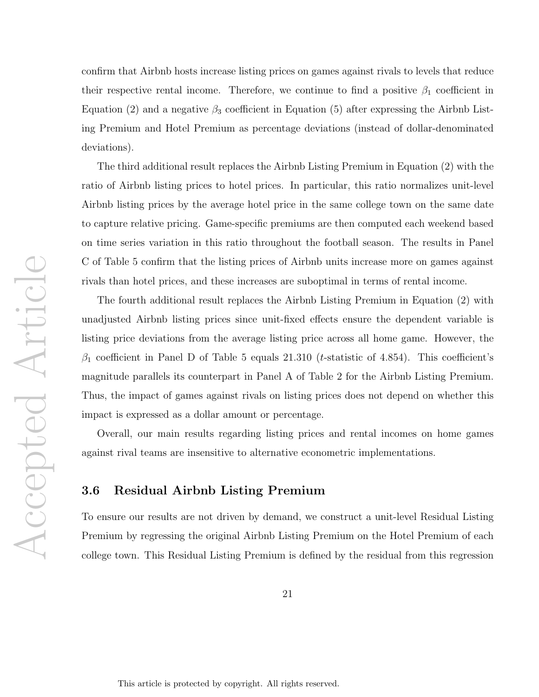confirm that Airbnb hosts increase listing prices on games against rivals to levels that reduce their respective rental income. Therefore, we continue to find a positive  $\beta_1$  coefficient in Equation (2) and a negative  $\beta_3$  coefficient in Equation (5) after expressing the Airbnb Listing Premium and Hotel Premium as percentage deviations (instead of dollar-denominated deviations).

The third additional result replaces the Airbnb Listing Premium in Equation (2) with the ratio of Airbnb listing prices to hotel prices. In particular, this ratio normalizes unit-level Airbnb listing prices by the average hotel price in the same college town on the same date to capture relative pricing. Game-specific premiums are then computed each weekend based on time series variation in this ratio throughout the football season. The results in Panel C of Table 5 confirm that the listing prices of Airbnb units increase more on games against rivals than hotel prices, and these increases are suboptimal in terms of rental income.

The fourth additional result replaces the Airbnb Listing Premium in Equation (2) with unadjusted Airbnb listing prices since unit-fixed effects ensure the dependent variable is listing price deviations from the average listing price across all home game. However, the  $\beta_1$  coefficient in Panel D of Table 5 equals 21.310 (*t*-statistic of 4.854). This coefficient's magnitude parallels its counterpart in Panel A of Table 2 for the Airbnb Listing Premium. Thus, the impact of games against rivals on listing prices does not depend on whether this impact is expressed as a dollar amount or percentage.

Overall, our main results regarding listing prices and rental incomes on home games against rival teams are insensitive to alternative econometric implementations.

## 3.6 Residual Airbnb Listing Premium

To ensure our results are not driven by demand, we construct a unit-level Residual Listing Premium by regressing the original Airbnb Listing Premium on the Hotel Premium of each college town. This Residual Listing Premium is defined by the residual from this regression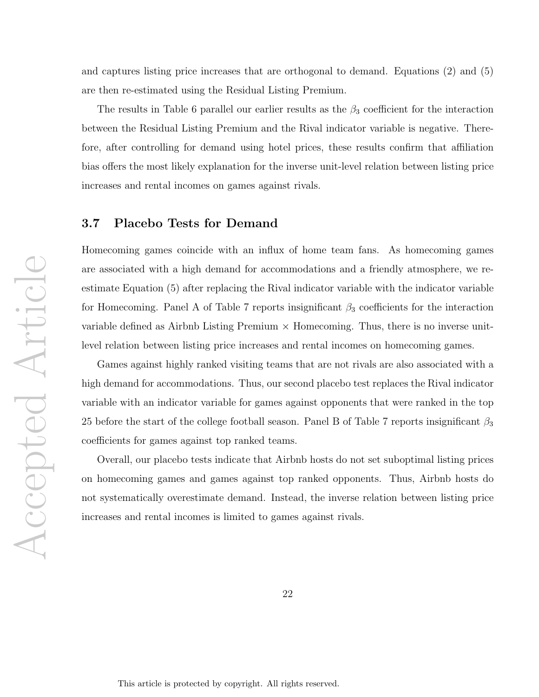and captures listing price increases that are orthogonal to demand. Equations (2) and (5) are then re-estimated using the Residual Listing Premium.

The results in Table 6 parallel our earlier results as the  $\beta_3$  coefficient for the interaction between the Residual Listing Premium and the Rival indicator variable is negative. Therefore, after controlling for demand using hotel prices, these results confirm that affiliation bias offers the most likely explanation for the inverse unit-level relation between listing price increases and rental incomes on games against rivals.

## 3.7 Placebo Tests for Demand

Homecoming games coincide with an influx of home team fans. As homecoming games are associated with a high demand for accommodations and a friendly atmosphere, we reestimate Equation (5) after replacing the Rival indicator variable with the indicator variable for Homecoming. Panel A of Table 7 reports insignificant  $\beta_3$  coefficients for the interaction variable defined as Airbnb Listing Premium  $\times$  Homecoming. Thus, there is no inverse unitlevel relation between listing price increases and rental incomes on homecoming games.

Games against highly ranked visiting teams that are not rivals are also associated with a high demand for accommodations. Thus, our second placebo test replaces the Rival indicator variable with an indicator variable for games against opponents that were ranked in the top 25 before the start of the college football season. Panel B of Table 7 reports insignificant  $\beta_3$ coefficients for games against top ranked teams.

Overall, our placebo tests indicate that Airbnb hosts do not set suboptimal listing prices on homecoming games and games against top ranked opponents. Thus, Airbnb hosts do not systematically overestimate demand. Instead, the inverse relation between listing price increases and rental incomes is limited to games against rivals.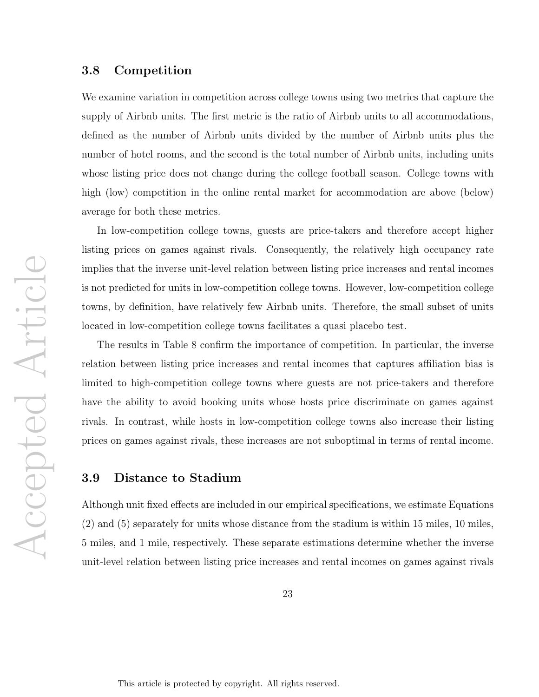## 3.8 Competition

We examine variation in competition across college towns using two metrics that capture the supply of Airbnb units. The first metric is the ratio of Airbnb units to all accommodations, defined as the number of Airbnb units divided by the number of Airbnb units plus the number of hotel rooms, and the second is the total number of Airbnb units, including units whose listing price does not change during the college football season. College towns with high (low) competition in the online rental market for accommodation are above (below) average for both these metrics.

In low-competition college towns, guests are price-takers and therefore accept higher listing prices on games against rivals. Consequently, the relatively high occupancy rate implies that the inverse unit-level relation between listing price increases and rental incomes is not predicted for units in low-competition college towns. However, low-competition college towns, by definition, have relatively few Airbnb units. Therefore, the small subset of units located in low-competition college towns facilitates a quasi placebo test.

The results in Table 8 confirm the importance of competition. In particular, the inverse relation between listing price increases and rental incomes that captures affiliation bias is limited to high-competition college towns where guests are not price-takers and therefore have the ability to avoid booking units whose hosts price discriminate on games against rivals. In contrast, while hosts in low-competition college towns also increase their listing prices on games against rivals, these increases are not suboptimal in terms of rental income.

## 3.9 Distance to Stadium

Although unit fixed effects are included in our empirical specifications, we estimate Equations (2) and (5) separately for units whose distance from the stadium is within 15 miles, 10 miles, 5 miles, and 1 mile, respectively. These separate estimations determine whether the inverse unit-level relation between listing price increases and rental incomes on games against rivals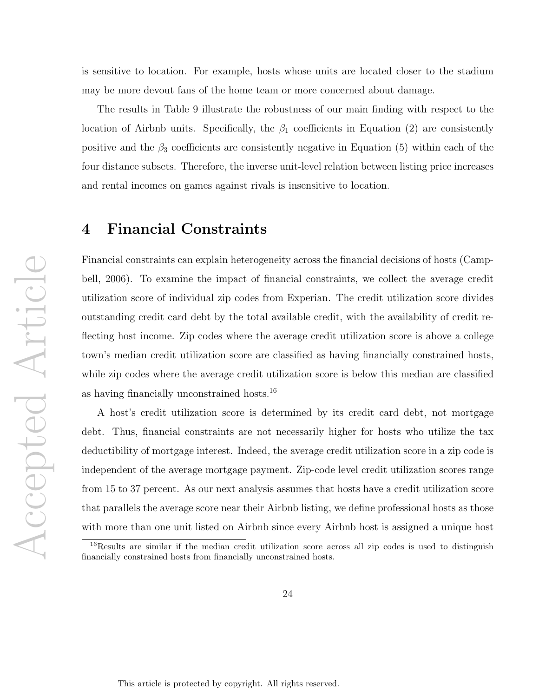is sensitive to location. For example, hosts whose units are located closer to the stadium may be more devout fans of the home team or more concerned about damage.

The results in Table 9 illustrate the robustness of our main finding with respect to the location of Airbnb units. Specifically, the  $\beta_1$  coefficients in Equation (2) are consistently positive and the  $\beta_3$  coefficients are consistently negative in Equation (5) within each of the four distance subsets. Therefore, the inverse unit-level relation between listing price increases and rental incomes on games against rivals is insensitive to location.

## 4 Financial Constraints

Financial constraints can explain heterogeneity across the financial decisions of hosts (Campbell, 2006). To examine the impact of financial constraints, we collect the average credit utilization score of individual zip codes from Experian. The credit utilization score divides outstanding credit card debt by the total available credit, with the availability of credit reflecting host income. Zip codes where the average credit utilization score is above a college town's median credit utilization score are classified as having financially constrained hosts, while zip codes where the average credit utilization score is below this median are classified as having financially unconstrained hosts.<sup>16</sup>

A host's credit utilization score is determined by its credit card debt, not mortgage debt. Thus, financial constraints are not necessarily higher for hosts who utilize the tax deductibility of mortgage interest. Indeed, the average credit utilization score in a zip code is independent of the average mortgage payment. Zip-code level credit utilization scores range from 15 to 37 percent. As our next analysis assumes that hosts have a credit utilization score that parallels the average score near their Airbnb listing, we define professional hosts as those with more than one unit listed on Airbnb since every Airbnb host is assigned a unique host

<sup>16</sup>Results are similar if the median credit utilization score across all zip codes is used to distinguish financially constrained hosts from financially unconstrained hosts.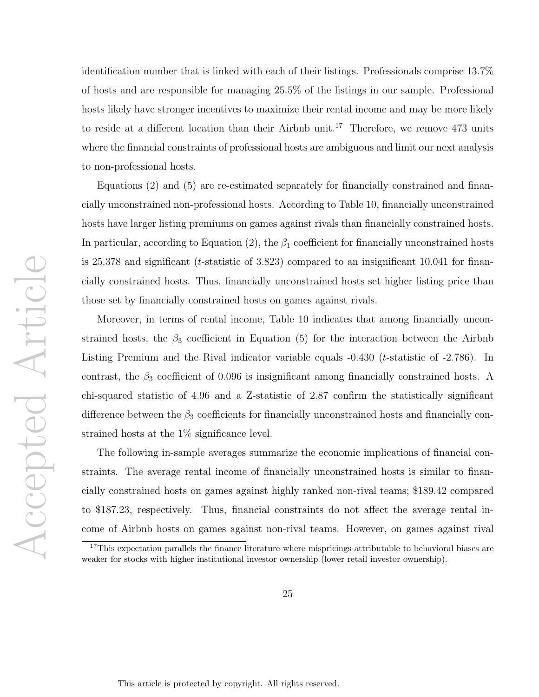identification number that is linked with each of their listings. Professionals comprise 13.7% of hosts and are responsible for managing 25.5% of the listings in our sample. Professional hosts likely have stronger incentives to maximize their rental income and may be more likely to reside at a different location than their Airbnb unit.<sup>17</sup> Therefore, we remove 473 units where the financial constraints of professional hosts are ambiguous and limit our next analysis to non-professional hosts.

Equations (2) and (5) are re-estimated separately for financially constrained and financially unconstrained non-professional hosts. According to Table 10, financially unconstrained hosts have larger listing premiums on games against rivals than financially constrained hosts. In particular, according to Equation (2), the  $\beta_1$  coefficient for financially unconstrained hosts is 25.378 and significant (t-statistic of 3.823) compared to an insignificant 10.041 for financially constrained hosts. Thus, financially unconstrained hosts set higher listing price than those set by financially constrained hosts on games against rivals.

Moreover, in terms of rental income, Table 10 indicates that among financially unconstrained hosts, the  $\beta_3$  coefficient in Equation (5) for the interaction between the Airbnb Listing Premium and the Rival indicator variable equals  $-0.430$  (*t*-statistic of  $-2.786$ ). In contrast, the  $\beta_3$  coefficient of 0.096 is insignificant among financially constrained hosts. A chi-squared statistic of 4.96 and a Z-statistic of 2.87 confirm the statistically significant difference between the  $\beta_3$  coefficients for financially unconstrained hosts and financially constrained hosts at the 1% significance level.

The following in-sample averages summarize the economic implications of financial constraints. The average rental income of financially unconstrained hosts is similar to financially constrained hosts on games against highly ranked non-rival teams; \$189.42 compared to \$187.23, respectively. Thus, financial constraints do not affect the average rental income of Airbnb hosts on games against non-rival teams. However, on games against rival

 $17$ This expectation parallels the finance literature where mispricings attributable to behavioral biases are weaker for stocks with higher institutional investor ownership (lower retail investor ownership).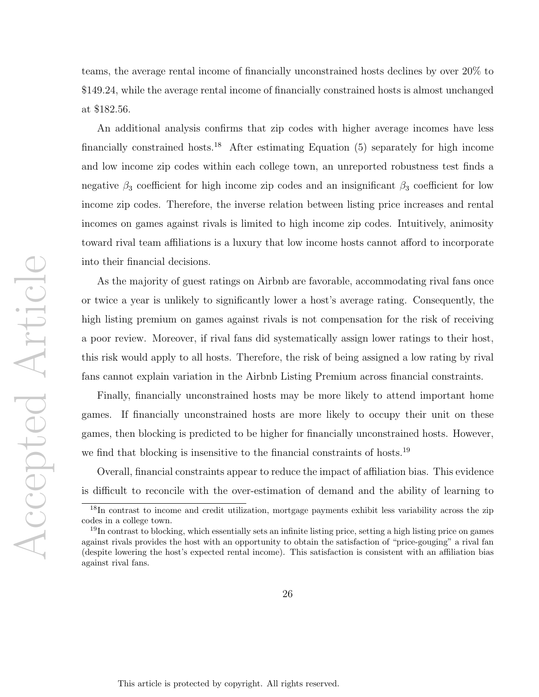teams, the average rental income of financially unconstrained hosts declines by over 20% to \$149.24, while the average rental income of financially constrained hosts is almost unchanged at \$182.56.

An additional analysis confirms that zip codes with higher average incomes have less financially constrained hosts.<sup>18</sup> After estimating Equation  $(5)$  separately for high income and low income zip codes within each college town, an unreported robustness test finds a negative  $\beta_3$  coefficient for high income zip codes and an insignificant  $\beta_3$  coefficient for low income zip codes. Therefore, the inverse relation between listing price increases and rental incomes on games against rivals is limited to high income zip codes. Intuitively, animosity toward rival team affiliations is a luxury that low income hosts cannot afford to incorporate into their financial decisions.

As the majority of guest ratings on Airbnb are favorable, accommodating rival fans once or twice a year is unlikely to significantly lower a host's average rating. Consequently, the high listing premium on games against rivals is not compensation for the risk of receiving a poor review. Moreover, if rival fans did systematically assign lower ratings to their host, this risk would apply to all hosts. Therefore, the risk of being assigned a low rating by rival fans cannot explain variation in the Airbnb Listing Premium across financial constraints.

Finally, financially unconstrained hosts may be more likely to attend important home games. If financially unconstrained hosts are more likely to occupy their unit on these games, then blocking is predicted to be higher for financially unconstrained hosts. However, we find that blocking is insensitive to the financial constraints of hosts.<sup>19</sup>

Overall, financial constraints appear to reduce the impact of affiliation bias. This evidence is difficult to reconcile with the over-estimation of demand and the ability of learning to

<sup>18</sup>In contrast to income and credit utilization, mortgage payments exhibit less variability across the zip codes in a college town.

 $19$ In contrast to blocking, which essentially sets an infinite listing price, setting a high listing price on games against rivals provides the host with an opportunity to obtain the satisfaction of "price-gouging" a rival fan (despite lowering the host's expected rental income). This satisfaction is consistent with an affiliation bias against rival fans.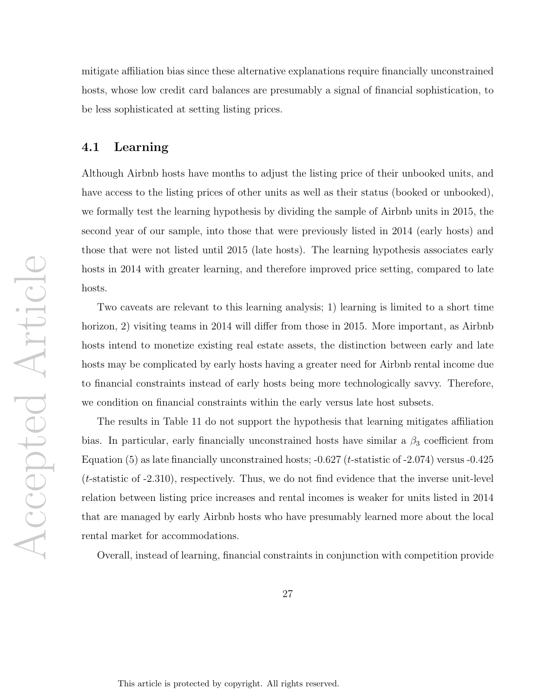mitigate affiliation bias since these alternative explanations require financially unconstrained hosts, whose low credit card balances are presumably a signal of financial sophistication, to be less sophisticated at setting listing prices.

## 4.1 Learning

Although Airbnb hosts have months to adjust the listing price of their unbooked units, and have access to the listing prices of other units as well as their status (booked or unbooked), we formally test the learning hypothesis by dividing the sample of Airbnb units in 2015, the second year of our sample, into those that were previously listed in 2014 (early hosts) and those that were not listed until 2015 (late hosts). The learning hypothesis associates early hosts in 2014 with greater learning, and therefore improved price setting, compared to late hosts.

Two caveats are relevant to this learning analysis; 1) learning is limited to a short time horizon, 2) visiting teams in 2014 will differ from those in 2015. More important, as Airbnb hosts intend to monetize existing real estate assets, the distinction between early and late hosts may be complicated by early hosts having a greater need for Airbnb rental income due to financial constraints instead of early hosts being more technologically savvy. Therefore, we condition on financial constraints within the early versus late host subsets.

The results in Table 11 do not support the hypothesis that learning mitigates affiliation bias. In particular, early financially unconstrained hosts have similar a  $\beta_3$  coefficient from Equation (5) as late financially unconstrained hosts;  $-0.627$  (*t*-statistic of  $-2.074$ ) versus  $-0.425$  $(t\text{-statistic of }-2.310)$ , respectively. Thus, we do not find evidence that the inverse unit-level relation between listing price increases and rental incomes is weaker for units listed in 2014 that are managed by early Airbnb hosts who have presumably learned more about the local rental market for accommodations.

Overall, instead of learning, financial constraints in conjunction with competition provide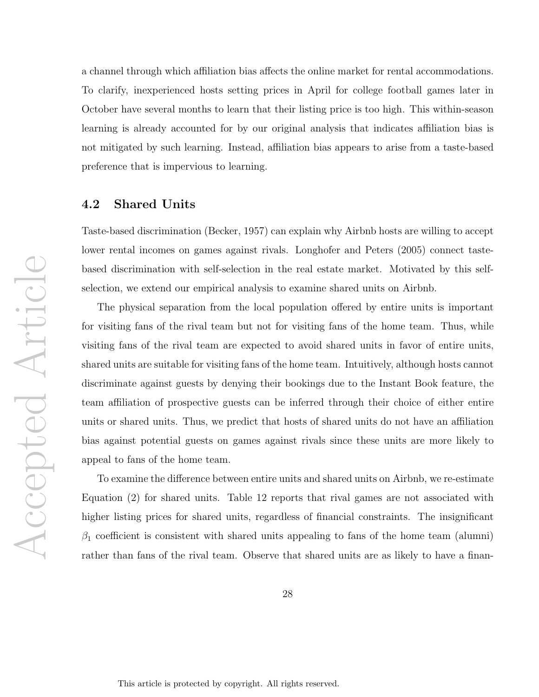a channel through which affiliation bias affects the online market for rental accommodations. To clarify, inexperienced hosts setting prices in April for college football games later in October have several months to learn that their listing price is too high. This within-season learning is already accounted for by our original analysis that indicates affiliation bias is not mitigated by such learning. Instead, affiliation bias appears to arise from a taste-based preference that is impervious to learning.

## 4.2 Shared Units

Taste-based discrimination (Becker, 1957) can explain why Airbnb hosts are willing to accept lower rental incomes on games against rivals. Longhofer and Peters (2005) connect tastebased discrimination with self-selection in the real estate market. Motivated by this selfselection, we extend our empirical analysis to examine shared units on Airbnb.

The physical separation from the local population offered by entire units is important for visiting fans of the rival team but not for visiting fans of the home team. Thus, while visiting fans of the rival team are expected to avoid shared units in favor of entire units, shared units are suitable for visiting fans of the home team. Intuitively, although hosts cannot discriminate against guests by denying their bookings due to the Instant Book feature, the team affiliation of prospective guests can be inferred through their choice of either entire units or shared units. Thus, we predict that hosts of shared units do not have an affiliation bias against potential guests on games against rivals since these units are more likely to appeal to fans of the home team.

To examine the difference between entire units and shared units on Airbnb, we re-estimate Equation (2) for shared units. Table 12 reports that rival games are not associated with higher listing prices for shared units, regardless of financial constraints. The insignificant  $\beta_1$  coefficient is consistent with shared units appealing to fans of the home team (alumni) rather than fans of the rival team. Observe that shared units are as likely to have a finan-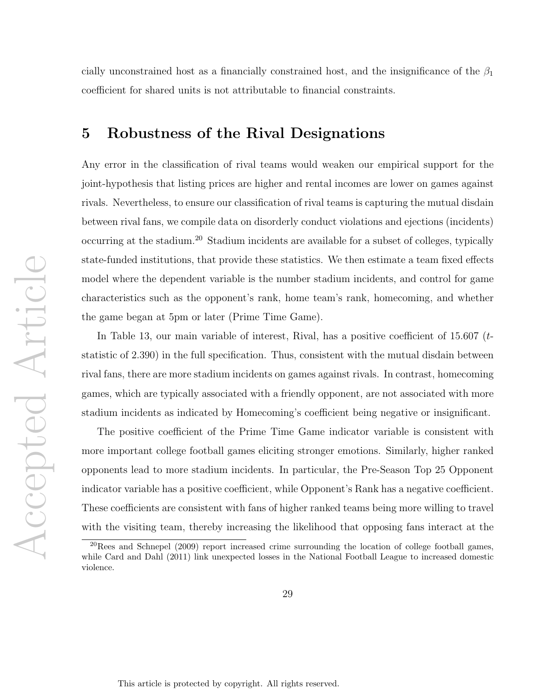cially unconstrained host as a financially constrained host, and the insignificance of the  $\beta_1$ coefficient for shared units is not attributable to financial constraints.

## 5 Robustness of the Rival Designations

Any error in the classification of rival teams would weaken our empirical support for the joint-hypothesis that listing prices are higher and rental incomes are lower on games against rivals. Nevertheless, to ensure our classification of rival teams is capturing the mutual disdain between rival fans, we compile data on disorderly conduct violations and ejections (incidents) occurring at the stadium.<sup>20</sup> Stadium incidents are available for a subset of colleges, typically state-funded institutions, that provide these statistics. We then estimate a team fixed effects model where the dependent variable is the number stadium incidents, and control for game characteristics such as the opponent's rank, home team's rank, homecoming, and whether the game began at 5pm or later (Prime Time Game).

In Table 13, our main variable of interest, Rival, has a positive coefficient of  $15.607$  (tstatistic of 2.390) in the full specification. Thus, consistent with the mutual disdain between rival fans, there are more stadium incidents on games against rivals. In contrast, homecoming games, which are typically associated with a friendly opponent, are not associated with more stadium incidents as indicated by Homecoming's coefficient being negative or insignificant.

The positive coefficient of the Prime Time Game indicator variable is consistent with more important college football games eliciting stronger emotions. Similarly, higher ranked opponents lead to more stadium incidents. In particular, the Pre-Season Top 25 Opponent indicator variable has a positive coefficient, while Opponent's Rank has a negative coefficient. These coefficients are consistent with fans of higher ranked teams being more willing to travel with the visiting team, thereby increasing the likelihood that opposing fans interact at the

 $^{20}$ Rees and Schnepel (2009) report increased crime surrounding the location of college football games, while Card and Dahl (2011) link unexpected losses in the National Football League to increased domestic violence.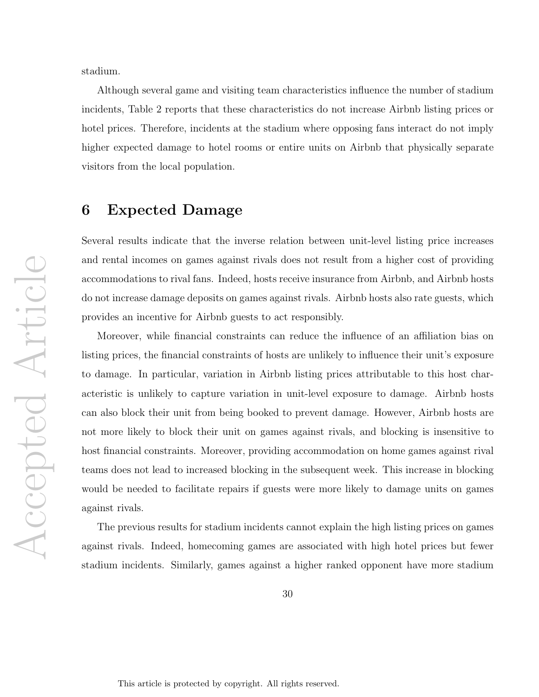stadium.

Although several game and visiting team characteristics influence the number of stadium incidents, Table 2 reports that these characteristics do not increase Airbnb listing prices or hotel prices. Therefore, incidents at the stadium where opposing fans interact do not imply higher expected damage to hotel rooms or entire units on Airbnb that physically separate visitors from the local population.

## 6 Expected Damage

Several results indicate that the inverse relation between unit-level listing price increases and rental incomes on games against rivals does not result from a higher cost of providing accommodations to rival fans. Indeed, hosts receive insurance from Airbnb, and Airbnb hosts do not increase damage deposits on games against rivals. Airbnb hosts also rate guests, which provides an incentive for Airbnb guests to act responsibly.

Moreover, while financial constraints can reduce the influence of an affiliation bias on listing prices, the financial constraints of hosts are unlikely to influence their unit's exposure to damage. In particular, variation in Airbnb listing prices attributable to this host characteristic is unlikely to capture variation in unit-level exposure to damage. Airbnb hosts can also block their unit from being booked to prevent damage. However, Airbnb hosts are not more likely to block their unit on games against rivals, and blocking is insensitive to host financial constraints. Moreover, providing accommodation on home games against rival teams does not lead to increased blocking in the subsequent week. This increase in blocking would be needed to facilitate repairs if guests were more likely to damage units on games against rivals.

The previous results for stadium incidents cannot explain the high listing prices on games against rivals. Indeed, homecoming games are associated with high hotel prices but fewer stadium incidents. Similarly, games against a higher ranked opponent have more stadium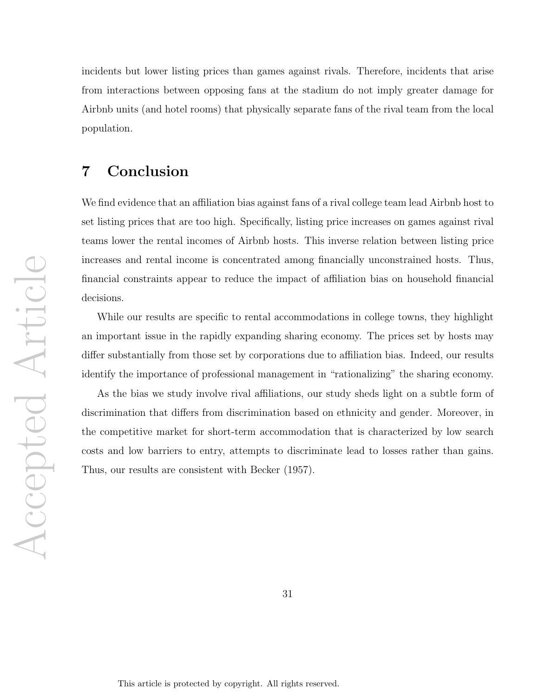incidents but lower listing prices than games against rivals. Therefore, incidents that arise from interactions between opposing fans at the stadium do not imply greater damage for Airbnb units (and hotel rooms) that physically separate fans of the rival team from the local population.

## 7 Conclusion

We find evidence that an affiliation bias against fans of a rival college team lead Airbnb host to set listing prices that are too high. Specifically, listing price increases on games against rival teams lower the rental incomes of Airbnb hosts. This inverse relation between listing price increases and rental income is concentrated among financially unconstrained hosts. Thus, financial constraints appear to reduce the impact of affiliation bias on household financial decisions.

While our results are specific to rental accommodations in college towns, they highlight an important issue in the rapidly expanding sharing economy. The prices set by hosts may differ substantially from those set by corporations due to affiliation bias. Indeed, our results identify the importance of professional management in "rationalizing" the sharing economy.

As the bias we study involve rival affiliations, our study sheds light on a subtle form of discrimination that differs from discrimination based on ethnicity and gender. Moreover, in the competitive market for short-term accommodation that is characterized by low search costs and low barriers to entry, attempts to discriminate lead to losses rather than gains. Thus, our results are consistent with Becker (1957).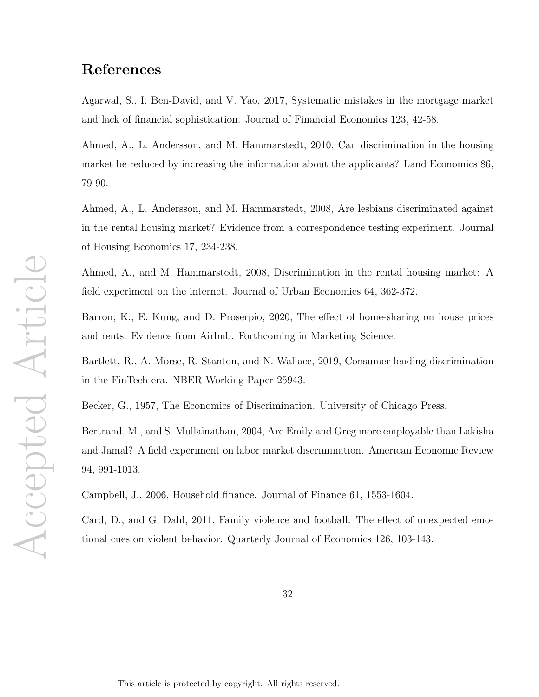## References

Agarwal, S., I. Ben-David, and V. Yao, 2017, Systematic mistakes in the mortgage market and lack of financial sophistication. Journal of Financial Economics 123, 42-58.

Ahmed, A., L. Andersson, and M. Hammarstedt, 2010, Can discrimination in the housing market be reduced by increasing the information about the applicants? Land Economics 86, 79-90.

Ahmed, A., L. Andersson, and M. Hammarstedt, 2008, Are lesbians discriminated against in the rental housing market? Evidence from a correspondence testing experiment. Journal of Housing Economics 17, 234-238.

Ahmed, A., and M. Hammarstedt, 2008, Discrimination in the rental housing market: A field experiment on the internet. Journal of Urban Economics 64, 362-372.

Barron, K., E. Kung, and D. Proserpio, 2020, The effect of home-sharing on house prices and rents: Evidence from Airbnb. Forthcoming in Marketing Science.

Bartlett, R., A. Morse, R. Stanton, and N. Wallace, 2019, Consumer-lending discrimination in the FinTech era. NBER Working Paper 25943.

Becker, G., 1957, The Economics of Discrimination. University of Chicago Press.

Bertrand, M., and S. Mullainathan, 2004, Are Emily and Greg more employable than Lakisha and Jamal? A field experiment on labor market discrimination. American Economic Review 94, 991-1013.

Campbell, J., 2006, Household finance. Journal of Finance 61, 1553-1604.

Card, D., and G. Dahl, 2011, Family violence and football: The effect of unexpected emotional cues on violent behavior. Quarterly Journal of Economics 126, 103-143.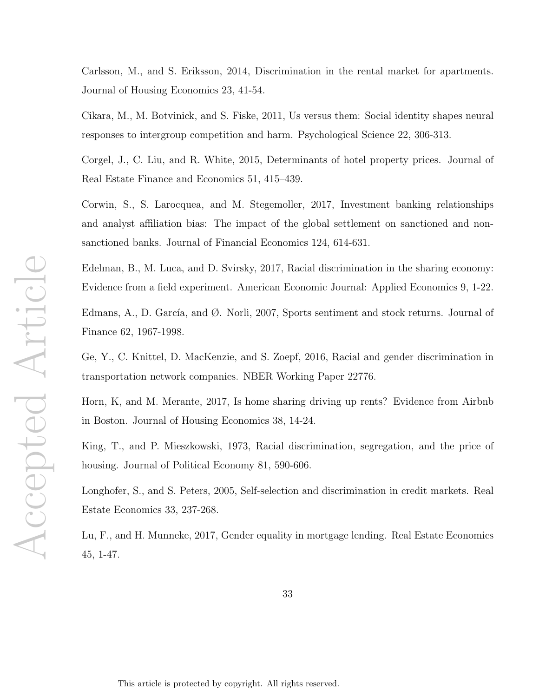Carlsson, M., and S. Eriksson, 2014, Discrimination in the rental market for apartments. Journal of Housing Economics 23, 41-54.

Cikara, M., M. Botvinick, and S. Fiske, 2011, Us versus them: Social identity shapes neural responses to intergroup competition and harm. Psychological Science 22, 306-313.

Corgel, J., C. Liu, and R. White, 2015, Determinants of hotel property prices. Journal of Real Estate Finance and Economics 51, 415–439.

Corwin, S., S. Larocquea, and M. Stegemoller, 2017, Investment banking relationships and analyst affiliation bias: The impact of the global settlement on sanctioned and nonsanctioned banks. Journal of Financial Economics 124, 614-631.

Edelman, B., M. Luca, and D. Svirsky, 2017, Racial discrimination in the sharing economy: Evidence from a field experiment. American Economic Journal: Applied Economics 9, 1-22.

Edmans, A., D. García, and Ø. Norli, 2007, Sports sentiment and stock returns. Journal of Finance 62, 1967-1998.

Ge, Y., C. Knittel, D. MacKenzie, and S. Zoepf, 2016, Racial and gender discrimination in transportation network companies. NBER Working Paper 22776.

Horn, K, and M. Merante, 2017, Is home sharing driving up rents? Evidence from Airbnb in Boston. Journal of Housing Economics 38, 14-24.

King, T., and P. Mieszkowski, 1973, Racial discrimination, segregation, and the price of housing. Journal of Political Economy 81, 590-606.

Longhofer, S., and S. Peters, 2005, Self-selection and discrimination in credit markets. Real Estate Economics 33, 237-268.

Lu, F., and H. Munneke, 2017, Gender equality in mortgage lending. Real Estate Economics 45, 1-47.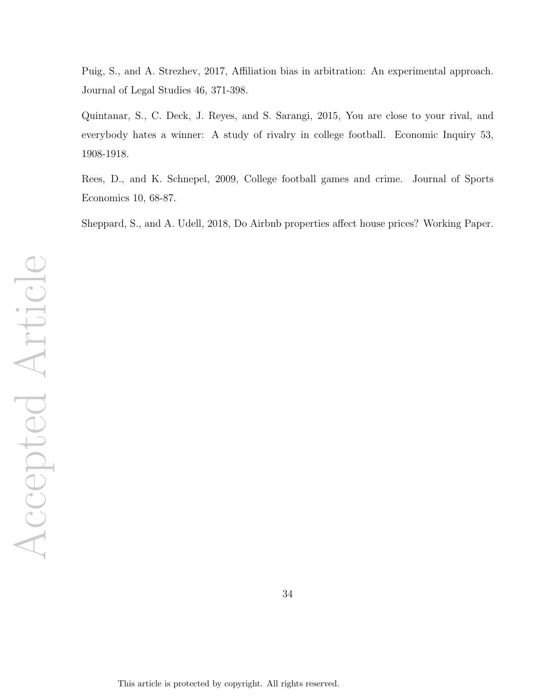Puig, S., and A. Strezhev, 2017, Affiliation bias in arbitration: An experimental approach. Journal of Legal Studies 46, 371-398.

Quintanar, S., C. Deck, J. Reyes, and S. Sarangi, 2015, You are close to your rival, and everybody hates a winner: A study of rivalry in college football. Economic Inquiry 53, 1908-1918.

Rees, D., and K. Schnepel, 2009, College football games and crime. Journal of Sports Economics 10, 68-87.

Sheppard, S., and A. Udell, 2018, Do Airbnb properties affect house prices? Working Paper.

34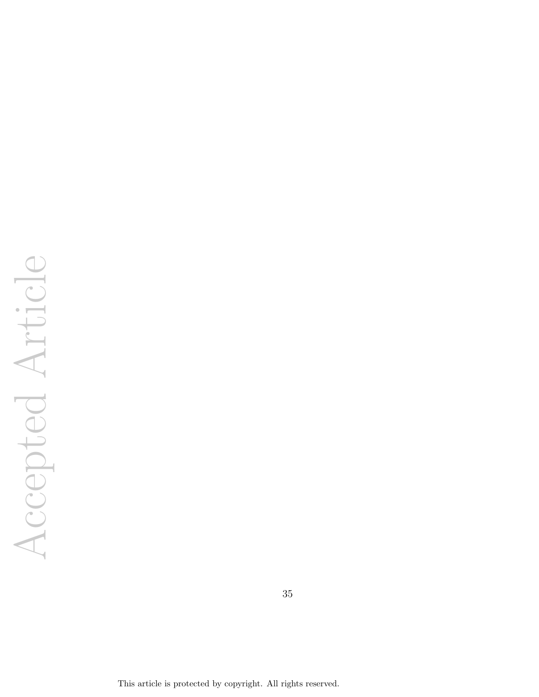35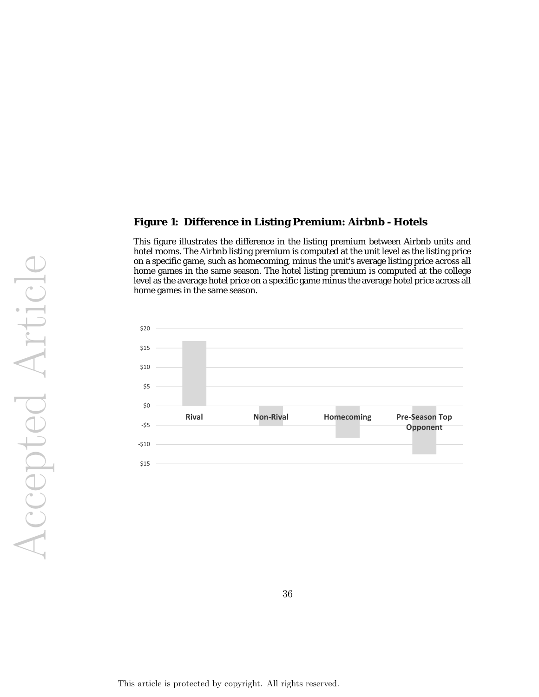## **Figure 1: Difference in Listing Premium: Airbnb - Hotels**

This figure illustrates the difference in the listing premium between Airbnb units and hotel rooms. The Airbnb listing premium is computed at the unit level as the listing price on a specific game, such as homecoming, minus the unit's average listing price across all home games in the same season. The hotel listing premium is computed at the college level as the average hotel price on a specific game minus the average hotel price across all home games in the same season.

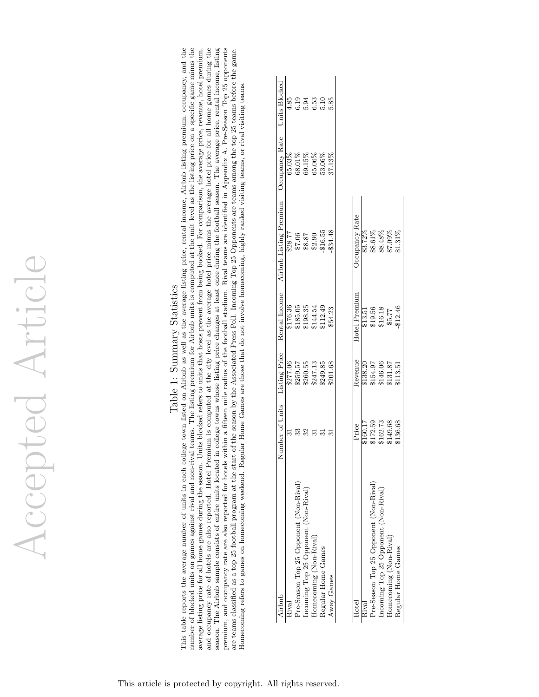The tasks received the same of the same in the same of the Sunday Statistics and heather and Mobilistic present of the same of the same of the same of the same of the same of the same of the same of the same of the same o

| Airbnb                                 | Jnits<br>Number of 1                                     | isting Price                                                                                  | Rental Income                                                              | Listing Premium<br>Airbnb <sup>1</sup>           | <b>CCUPancy Rate</b>                                                                    | <b>Jnits Blocked</b> |
|----------------------------------------|----------------------------------------------------------|-----------------------------------------------------------------------------------------------|----------------------------------------------------------------------------|--------------------------------------------------|-----------------------------------------------------------------------------------------|----------------------|
| Rival                                  |                                                          | \$277.06                                                                                      |                                                                            |                                                  |                                                                                         | 4.85                 |
| Pre-Season Top 25 Opponent (Non-Rival) |                                                          |                                                                                               |                                                                            |                                                  |                                                                                         |                      |
| Incoming Top 25 Opponent (Non-Rival)   |                                                          |                                                                                               | $$176.36$<br>$$185.05$<br>$$198.35$<br>$$144.54$<br>$$112.49$<br>$$112.49$ |                                                  | $65.03\%$<br>$68.01\%$<br>$68.15\%$<br>$65.06\%$<br>$65.06\%$<br>$65.06\%$<br>$65.03\%$ | 233228               |
| Homecoming (Non-Rival)                 |                                                          |                                                                                               |                                                                            |                                                  |                                                                                         |                      |
| Regular Home Games                     |                                                          |                                                                                               |                                                                            |                                                  |                                                                                         |                      |
| Away Games                             |                                                          | $\begin{array}{l} 8259.57\\ 8260.55\\ 8247.13\\ 8249.85\\ 8249.68\\ 8201.68 \end{array}$      |                                                                            | \$28.77<br>\$7.06<br>\$8.87<br>\$3.90<br>\$34.48 |                                                                                         |                      |
| Hotel                                  | Price                                                    | Revenue                                                                                       | Hotel Premiun                                                              | ocupancy Rate                                    |                                                                                         |                      |
| Rival                                  |                                                          |                                                                                               |                                                                            |                                                  |                                                                                         |                      |
| Pre-Season Top 25 Opponent (Non-Rival) | \$160.17<br>\$172.59<br>\$162.73<br>\$149.68<br>\$136.68 | $\begin{array}{c} $138.20 \\ $154.97 \\ $146.06 \\ $131.87 \\ $131.37 \\ $113.51 \end{array}$ | \$13.51<br>\$19.56<br>\$16.18<br>\$5.77<br>\$12.46                         | 83.72%<br>88.61%<br>88.48%<br>87.51%<br>81.51%   |                                                                                         |                      |
| Incoming Top 25 Opponent (Non-Rival)   |                                                          |                                                                                               |                                                                            |                                                  |                                                                                         |                      |
| $H$ omecoming (Non-Rival)              |                                                          |                                                                                               |                                                                            |                                                  |                                                                                         |                      |
| Regular Home Games                     |                                                          |                                                                                               |                                                                            |                                                  |                                                                                         |                      |

Regular Home Games  $\alpha$  strong  $\alpha$  and  $\alpha$  313.51  $\%$  313.51  $\%$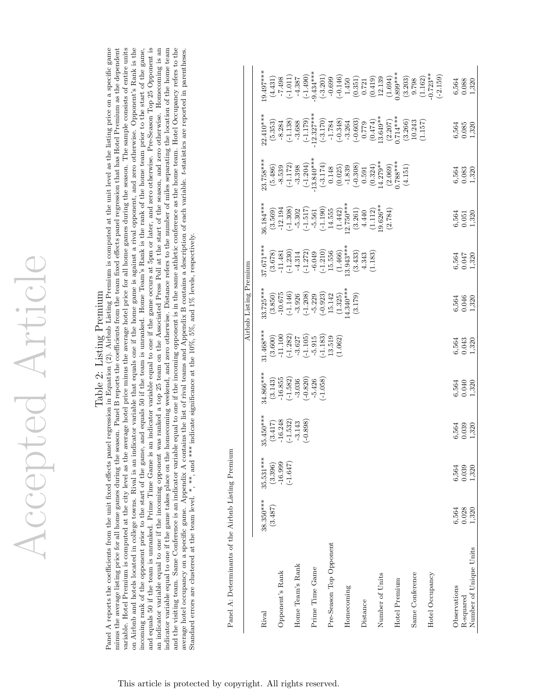## Table 2: Listing Premium Table 2: Listing Premium

Panel A reports the coefficients from the unit fixed effects panel regression in Equation (2). Airbnb Listing Premium is computed at the unit level as the listing price on a specific game variable. Hotel Premium is computed at the city level as the average hotel price minus the average hotel price for all home games during the season. The sample consists of entire units on Airbnb and hotels located in college towns. Rival is an indicator variable that equals one if the home game is against a rival opponent, and zero otherwise. Opponent's Rank is the and equals 50 if the team is unranked. Prime Time Game is an indicator variable equal to one if the game occurs at 5pm or later, and zero otherwise. Pre-Season Top 25 Opponent is and the visiting team. Same Conference is an indicator variable equal to one if the incoming opponent is in the same athletic conference as the home team. Hotel Occupancy refers to the Panel A reports the coefficients from the unit fixed effects panel regression in Equation (2). Airbnb Listing Premium is computed at the unit level as the listing price on a specific game minus the average listing price for all home games during the season. Panel B reports the coefficients from the team fixed effects panel regression that has Hotel Premium as the dependent minus the average listing price for all home games during the season. Panel B reports the coefficients from the team fixed effects panel regression that has Hotel Premium as the dependent variable. Hotel Premium is computed at the city level as the average hotel price minus the average hotel price for all home games during the season. The sample consists of entire units on Airbnb and hotels located in college towns. Rival is an indicator variable that equals one if the home game is against a rival opponent, and zero otherwise. Opponent's Rank is the incoming rank of the opponent prior to the start of the game, and equals 50 if the team is unranked. Home Team's Rank is the rank of the bome team prior to the start of the game, and equals 50 if the team is unranked. Prime Time Game is an indicator variable equal to one if the game occurs at 5pm or later, and zero otherwise. Pre-Season Top 25 Opponent is an indicator variable equal to one if the incoming opponent was ranked a top 25 team on the Associated Press Poll at the start of the season, and zero otherwise. Homecoming is an an indicator variable equal to one if the incoming opponent was ranked a top 25 team on the Associated Press Poll at the start of the season, and zero otherwise. Homecoming is an indicator variable equal to one if the game takes place on the homecoming weekend, and zero otherwise. Distance refers to the number of miles separating the location of the home team indicator variable equal to one if the game takes place on the homecoming weekend, and zero otherwise. Distance refers to the number of miles separating the location of the home team and the weekend the home team of the ho and the visiting team. Same Conference is an indicator variable equal to one if the incoming opponent is in the same athletic conference as the home team. Hotel Occupancy refers to the average hotel occupancy on a specific game. Appendix A contains the list of rival teams and Appendix B contains a description of each variable. t-statistics are reported in parentheses. average hotel occupancy on a specific game. Appendix A contains the list of rival teams and Appendix B contains a description of each variable. t-statistics are reported in parentheses. incoming rank of the opponent prior to the start of the game, and equals 50 if the team is unranked. Home Team's Rank is the rank of the home team prior to the start of the game, Standard errors are clustered at the team level. \*, \*\*, and \*\*\* indicate significance at the 10%, 5%, and 1% levels, respectively. Standard errors are clustered at the team level. \*, \*\*, and \*\*\* indicate significance at the  $10\%$ ,  $5\%$ , and  $1\%$  levels, respectively.

Panel A: Determinants of the Airbnb Listing Premium Panel A: Determinants of the Airbnb Listing Premium

|                         |           |                      |                                                                            |                                                                                                       |                                                                                                  | Airbnb Listing Premium                                                                                                                                                                                                                                                                                                          |                                                                                                                                                                                                                                                                                                                      |                                                                                                                                                                                                                                                                                                                                                                                                                 |                                                                                                                                                                                                                                                                                                                        |                                                                                                                                                                                                                                                                                                                                                                                           |                                                                                                                                                                                                                                                                                                                        |
|-------------------------|-----------|----------------------|----------------------------------------------------------------------------|-------------------------------------------------------------------------------------------------------|--------------------------------------------------------------------------------------------------|---------------------------------------------------------------------------------------------------------------------------------------------------------------------------------------------------------------------------------------------------------------------------------------------------------------------------------|----------------------------------------------------------------------------------------------------------------------------------------------------------------------------------------------------------------------------------------------------------------------------------------------------------------------|-----------------------------------------------------------------------------------------------------------------------------------------------------------------------------------------------------------------------------------------------------------------------------------------------------------------------------------------------------------------------------------------------------------------|------------------------------------------------------------------------------------------------------------------------------------------------------------------------------------------------------------------------------------------------------------------------------------------------------------------------|-------------------------------------------------------------------------------------------------------------------------------------------------------------------------------------------------------------------------------------------------------------------------------------------------------------------------------------------------------------------------------------------|------------------------------------------------------------------------------------------------------------------------------------------------------------------------------------------------------------------------------------------------------------------------------------------------------------------------|
| Rival                   | 38.350*** | 35.531***            | 35.450***                                                                  |                                                                                                       |                                                                                                  |                                                                                                                                                                                                                                                                                                                                 |                                                                                                                                                                                                                                                                                                                      |                                                                                                                                                                                                                                                                                                                                                                                                                 | $23.758**$                                                                                                                                                                                                                                                                                                             |                                                                                                                                                                                                                                                                                                                                                                                           | $19.497***$                                                                                                                                                                                                                                                                                                            |
|                         | (3.487)   |                      | $\begin{array}{c} (3.417) \\ -16.248 \\ (-1.532) \\ -3.143 \\ \end{array}$ | $(3.143)$<br>$(3.143)$<br>$-16.855$<br>$(-1.582)$<br>$-3.036$<br>$(-0.820)$<br>$-5.426$<br>$(-1.058)$ | 11.468***<br>(3.600)<br>(3.600)<br>-11.100<br>(-1.282)<br>-3.627<br>-5.915<br>(1.062)<br>(1.062) | $\begin{array}{l} \text{33.725}^{**} \\ \text{(3.850)} \\ \text{(3.850)} \\ \text{-10.675} \\ \text{(-1.146)} \\ \text{-3.926} \\ \text{-4.3.208} \\ \text{-5.229} \\ \text{(4.325)} \\ \text{(5.142)} \\ \text{(1.325)} \\ \text{(1.326)} \\ \text{(1.327)} \\ \text{(1.328)} \\ \text{(2.179)} \\ \text{(3.179)} \end{array}$ | $\begin{array}{l} 37.671**\\ (3.678)\\ (3.678)\\ (-1.230)\\ (-1.230)\\ (-1.272)\\ (-1.272)\\ (-1.272)\\ (-1.210)\\ (-1.210)\\ (-1.210)\\ (-1.210)\\ (-1.210)\\ (-1.210)\\ (-1.210)\\ (-1.210)\\ (-1.210)\\ (-1.210)\\ (-1.210)\\ (-1.210)\\ (-1.210)\\ (-1.210)\\ (-1.210)\\ (-1.210)\\ (-1.210)\\ (-1.210)\\ (-1.2$ | $\begin{array}{l} \text{(3.569)} \\ \text{(3.569)} \\ \text{(-1.308)} \\ \text{-12.194} \\ \text{-5.302} \\ \text{-1.517} \\ \text{-1.550} \\ \text{(1.190)} \\ \text{(1.190)} \\ \text{(1.190)} \\ \text{(1.191)} \\ \text{(1.191)} \\ \text{(1.192)} \\ \text{(2.761)} \\ \text{(3.261)} \\ \text{(4.41)} \\ \text{(1.112)} \\ \text{(1.112)} \\ \text{(1.112)} \\ \text{(1.113)} \\ \text{(1.112)} \\ \text$ |                                                                                                                                                                                                                                                                                                                        | $\begin{array}{l} \text{22.410}^{**} \text{44.48} \\ \text{(5.353)} \\ \text{-8.284} \\ \text{-4.138} \\ \text{-1.138} \\ \text{-1.139} \\ \text{-1.139} \\ \text{-1.139} \\ \text{-1.139} \\ \text{-1.130} \\ \text{-2.131} \\ \text{-3.132} \\ \text{-4.133} \\ \text{-1.134} \\ \text{-1.134} \\ \text{-1.135} \\ \text{-1.139} \\ \text{-1.130} \\ \text{-1.139} \\ \text{-1.130} \\$ |                                                                                                                                                                                                                                                                                                                        |
| Opponent's Rank         |           | $(3.396)$<br>-16.999 |                                                                            |                                                                                                       |                                                                                                  |                                                                                                                                                                                                                                                                                                                                 |                                                                                                                                                                                                                                                                                                                      |                                                                                                                                                                                                                                                                                                                                                                                                                 |                                                                                                                                                                                                                                                                                                                        |                                                                                                                                                                                                                                                                                                                                                                                           |                                                                                                                                                                                                                                                                                                                        |
|                         |           | $(-1.647)$           |                                                                            |                                                                                                       |                                                                                                  |                                                                                                                                                                                                                                                                                                                                 |                                                                                                                                                                                                                                                                                                                      |                                                                                                                                                                                                                                                                                                                                                                                                                 |                                                                                                                                                                                                                                                                                                                        |                                                                                                                                                                                                                                                                                                                                                                                           |                                                                                                                                                                                                                                                                                                                        |
| Home Team's Rank        |           |                      |                                                                            |                                                                                                       |                                                                                                  |                                                                                                                                                                                                                                                                                                                                 |                                                                                                                                                                                                                                                                                                                      |                                                                                                                                                                                                                                                                                                                                                                                                                 |                                                                                                                                                                                                                                                                                                                        |                                                                                                                                                                                                                                                                                                                                                                                           |                                                                                                                                                                                                                                                                                                                        |
|                         |           |                      |                                                                            |                                                                                                       |                                                                                                  |                                                                                                                                                                                                                                                                                                                                 |                                                                                                                                                                                                                                                                                                                      |                                                                                                                                                                                                                                                                                                                                                                                                                 | $\begin{array}{l} (5.486)\\ -8.539\\ -1.172)\\ (-1.172)\\ -1.3840^{**}\\ (-3.174)\\ (-1.172)\\ (-1.204)\\ (-3.174)\\ (-3.174)\\ (-0.148)\\ (-0.148)\\ (-0.148)\\ (-0.148)\\ (-0.142)\\ (-0.142)\\ (-0.069)\\ (-0.141)\\ (-0.141)\\ (-0.141)\\ (-0.141)\\ (-0.141)\\ (-0.141)\\ (-0.141)\\ (-0.141)\\ (-0.141)\\ (-0.1$ |                                                                                                                                                                                                                                                                                                                                                                                           | $\begin{array}{l} (4.431)\\ -(1.498)\\ -(1.498)\\ (-1.498)\\ (-1.490)\\ (-1.490)\\ (-1.490)\\ (-1.490)\\ (-1.490)\\ (-1.490)\\ (-1.490)\\ (-1.490)\\ (-1.490)\\ (-1.490)\\ (-1.490)\\ (-1.490)\\ (-1.490)\\ (-1.490)\\ (-1.490)\\ (-1.490)\\ (-1.490)\\ (-1.490)\\ (-1.490)\\ (-1.490)\\ (-1.490)\\ (-1.490)\\ (-1.49$ |
| Prime Time Game         |           |                      |                                                                            |                                                                                                       |                                                                                                  |                                                                                                                                                                                                                                                                                                                                 |                                                                                                                                                                                                                                                                                                                      |                                                                                                                                                                                                                                                                                                                                                                                                                 |                                                                                                                                                                                                                                                                                                                        |                                                                                                                                                                                                                                                                                                                                                                                           |                                                                                                                                                                                                                                                                                                                        |
|                         |           |                      |                                                                            |                                                                                                       |                                                                                                  |                                                                                                                                                                                                                                                                                                                                 |                                                                                                                                                                                                                                                                                                                      |                                                                                                                                                                                                                                                                                                                                                                                                                 |                                                                                                                                                                                                                                                                                                                        |                                                                                                                                                                                                                                                                                                                                                                                           |                                                                                                                                                                                                                                                                                                                        |
| Pre-Season Top Opponent |           |                      |                                                                            |                                                                                                       |                                                                                                  |                                                                                                                                                                                                                                                                                                                                 |                                                                                                                                                                                                                                                                                                                      |                                                                                                                                                                                                                                                                                                                                                                                                                 |                                                                                                                                                                                                                                                                                                                        |                                                                                                                                                                                                                                                                                                                                                                                           |                                                                                                                                                                                                                                                                                                                        |
|                         |           |                      |                                                                            |                                                                                                       |                                                                                                  |                                                                                                                                                                                                                                                                                                                                 |                                                                                                                                                                                                                                                                                                                      |                                                                                                                                                                                                                                                                                                                                                                                                                 |                                                                                                                                                                                                                                                                                                                        |                                                                                                                                                                                                                                                                                                                                                                                           |                                                                                                                                                                                                                                                                                                                        |
| Homecoming              |           |                      |                                                                            |                                                                                                       |                                                                                                  |                                                                                                                                                                                                                                                                                                                                 |                                                                                                                                                                                                                                                                                                                      |                                                                                                                                                                                                                                                                                                                                                                                                                 |                                                                                                                                                                                                                                                                                                                        |                                                                                                                                                                                                                                                                                                                                                                                           |                                                                                                                                                                                                                                                                                                                        |
|                         |           |                      |                                                                            |                                                                                                       |                                                                                                  |                                                                                                                                                                                                                                                                                                                                 |                                                                                                                                                                                                                                                                                                                      |                                                                                                                                                                                                                                                                                                                                                                                                                 |                                                                                                                                                                                                                                                                                                                        |                                                                                                                                                                                                                                                                                                                                                                                           |                                                                                                                                                                                                                                                                                                                        |
| Distance                |           |                      |                                                                            |                                                                                                       |                                                                                                  |                                                                                                                                                                                                                                                                                                                                 |                                                                                                                                                                                                                                                                                                                      |                                                                                                                                                                                                                                                                                                                                                                                                                 |                                                                                                                                                                                                                                                                                                                        |                                                                                                                                                                                                                                                                                                                                                                                           |                                                                                                                                                                                                                                                                                                                        |
|                         |           |                      |                                                                            |                                                                                                       |                                                                                                  |                                                                                                                                                                                                                                                                                                                                 |                                                                                                                                                                                                                                                                                                                      |                                                                                                                                                                                                                                                                                                                                                                                                                 |                                                                                                                                                                                                                                                                                                                        |                                                                                                                                                                                                                                                                                                                                                                                           |                                                                                                                                                                                                                                                                                                                        |
| Number of Units         |           |                      |                                                                            |                                                                                                       |                                                                                                  |                                                                                                                                                                                                                                                                                                                                 |                                                                                                                                                                                                                                                                                                                      |                                                                                                                                                                                                                                                                                                                                                                                                                 |                                                                                                                                                                                                                                                                                                                        |                                                                                                                                                                                                                                                                                                                                                                                           |                                                                                                                                                                                                                                                                                                                        |
|                         |           |                      |                                                                            |                                                                                                       |                                                                                                  |                                                                                                                                                                                                                                                                                                                                 |                                                                                                                                                                                                                                                                                                                      | (2.784)                                                                                                                                                                                                                                                                                                                                                                                                         |                                                                                                                                                                                                                                                                                                                        |                                                                                                                                                                                                                                                                                                                                                                                           |                                                                                                                                                                                                                                                                                                                        |
| Hotel Premium           |           |                      |                                                                            |                                                                                                       |                                                                                                  |                                                                                                                                                                                                                                                                                                                                 |                                                                                                                                                                                                                                                                                                                      |                                                                                                                                                                                                                                                                                                                                                                                                                 |                                                                                                                                                                                                                                                                                                                        |                                                                                                                                                                                                                                                                                                                                                                                           |                                                                                                                                                                                                                                                                                                                        |
|                         |           |                      |                                                                            |                                                                                                       |                                                                                                  |                                                                                                                                                                                                                                                                                                                                 |                                                                                                                                                                                                                                                                                                                      |                                                                                                                                                                                                                                                                                                                                                                                                                 |                                                                                                                                                                                                                                                                                                                        |                                                                                                                                                                                                                                                                                                                                                                                           |                                                                                                                                                                                                                                                                                                                        |
| Same Conference         |           |                      |                                                                            |                                                                                                       |                                                                                                  |                                                                                                                                                                                                                                                                                                                                 |                                                                                                                                                                                                                                                                                                                      |                                                                                                                                                                                                                                                                                                                                                                                                                 |                                                                                                                                                                                                                                                                                                                        |                                                                                                                                                                                                                                                                                                                                                                                           |                                                                                                                                                                                                                                                                                                                        |
|                         |           |                      |                                                                            |                                                                                                       |                                                                                                  |                                                                                                                                                                                                                                                                                                                                 |                                                                                                                                                                                                                                                                                                                      |                                                                                                                                                                                                                                                                                                                                                                                                                 |                                                                                                                                                                                                                                                                                                                        |                                                                                                                                                                                                                                                                                                                                                                                           |                                                                                                                                                                                                                                                                                                                        |
| Hotel Occupancy         |           |                      |                                                                            |                                                                                                       |                                                                                                  |                                                                                                                                                                                                                                                                                                                                 |                                                                                                                                                                                                                                                                                                                      |                                                                                                                                                                                                                                                                                                                                                                                                                 |                                                                                                                                                                                                                                                                                                                        |                                                                                                                                                                                                                                                                                                                                                                                           |                                                                                                                                                                                                                                                                                                                        |
|                         |           |                      |                                                                            |                                                                                                       |                                                                                                  |                                                                                                                                                                                                                                                                                                                                 |                                                                                                                                                                                                                                                                                                                      |                                                                                                                                                                                                                                                                                                                                                                                                                 |                                                                                                                                                                                                                                                                                                                        |                                                                                                                                                                                                                                                                                                                                                                                           |                                                                                                                                                                                                                                                                                                                        |
| Observations            | 6,564     | 6,564                |                                                                            |                                                                                                       |                                                                                                  |                                                                                                                                                                                                                                                                                                                                 |                                                                                                                                                                                                                                                                                                                      |                                                                                                                                                                                                                                                                                                                                                                                                                 |                                                                                                                                                                                                                                                                                                                        |                                                                                                                                                                                                                                                                                                                                                                                           |                                                                                                                                                                                                                                                                                                                        |
| $R$ -squared            | 0.028     | 0.039                | 6,564<br>0.039                                                             | 6,564<br>0.040<br>1,320                                                                               | $\begin{array}{c} 6,564 \\ 0.043 \\ 1,320 \end{array}$                                           | 6,564<br>0.046<br>1,320                                                                                                                                                                                                                                                                                                         | 6,564<br>0.047<br>1,320                                                                                                                                                                                                                                                                                              | $\begin{array}{c} 6,564 \\ 0.051 \\ 1,320 \end{array}$                                                                                                                                                                                                                                                                                                                                                          | $\begin{array}{c} 6,564 \\ 0.083 \\ 1,320 \end{array}$                                                                                                                                                                                                                                                                 | $\begin{array}{c} 6,564 \\ 0.085 \\ 1,320 \end{array}$                                                                                                                                                                                                                                                                                                                                    |                                                                                                                                                                                                                                                                                                                        |
| Number of Unique Units  | 1,320     | 1,320                | 1,320                                                                      |                                                                                                       |                                                                                                  |                                                                                                                                                                                                                                                                                                                                 |                                                                                                                                                                                                                                                                                                                      |                                                                                                                                                                                                                                                                                                                                                                                                                 |                                                                                                                                                                                                                                                                                                                        |                                                                                                                                                                                                                                                                                                                                                                                           | $\begin{array}{c} 6,564 \\ 0.088 \\ 1,320 \end{array}$                                                                                                                                                                                                                                                                 |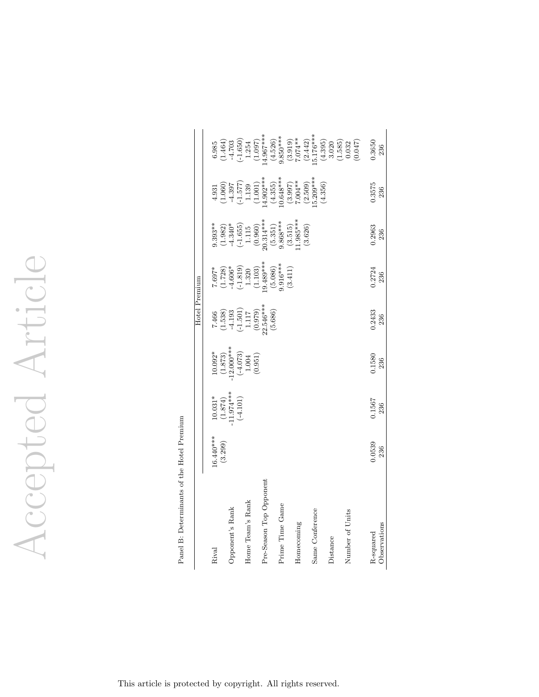| $6.985$<br>(1.464)                                                                                                                                                                     | $\begin{array}{l} -4.703 \\ (-1.650) \\ (1.254) \\ 1.254 \\ (1.097) \\ 14.967^{***} \\ (4.526) \\ 9.850^{***} \end{array}$                  |                            |                                     | $(3.919)$<br>7.074**   | $(2.442)$<br>15.176*** |                 | (4.395)<br>3.020 | $\begin{array}{c} (1.585) \\ 0.032 \\ (0.047) \end{array}$ | 0.3650    |
|----------------------------------------------------------------------------------------------------------------------------------------------------------------------------------------|---------------------------------------------------------------------------------------------------------------------------------------------|----------------------------|-------------------------------------|------------------------|------------------------|-----------------|------------------|------------------------------------------------------------|-----------|
| (1.060)                                                                                                                                                                                | $\begin{array}{c} -4.397 \\ (-1.577) \\ 1.139 \\ 1.001) \\ (1.001) \\ 14.902^{***} \\ (4.355) \\ (4.355) \\ (10.648^{***}) \end{array}$     |                            |                                     | $(3.997)$<br>(7.00.5)  | $(2.509)$<br>15.209*** |                 | (4.356)          |                                                            | 0.3575    |
| $9.393***$                                                                                                                                                                             | $\begin{array}{c} (1.982) \\ -4.340^{*} \\ -4.340^{*} \\ (-1.655) \\ 0.1115 \\ (0.960) \\ (0.960) \\ (5.351) \\ 9.868^{***} \\ \end{array}$ |                            |                                     | $(3.515)$<br>11.985*** | (3.626)                |                 |                  |                                                            | 0.2963    |
| $\begin{array}{l} 7.697^{*} \\ (1.728) \\ (4.606^{*} \\ (1.819) \\ (-1.819) \\ (1.103) \\ (1.103) \\ (1.103) \\ (5.086)^{*}} \\ (6.086) \\ \end{array}$                                |                                                                                                                                             |                            |                                     | (3.411)                |                        |                 |                  |                                                            | 0.2724    |
| $\begin{array}{l} 7.466\\ (1.538)\\ (1.538)\\ -4.193\\ \textcolor{red}{\textbf{(1.501)}}\\ (1.501)\\ \textcolor{red}{\textbf{(1.5117}}\\ (0.979)\\ 22.546^{***}\\ (5.686) \end{array}$ |                                                                                                                                             |                            |                                     |                        |                        |                 |                  |                                                            | 0.2433    |
| $10.092*$<br>(1.873)<br>-12.000***                                                                                                                                                     | $\begin{array}{c} \textbf{(4.073)} \\ 1.004 \end{array}$<br>(0.951)                                                                         |                            |                                     |                        |                        |                 |                  |                                                            | 0.1580    |
| $10.031*$<br>(1.874)<br>(1.974***                                                                                                                                                      | $(-4.101)$                                                                                                                                  |                            |                                     |                        |                        |                 |                  |                                                            | 0.1567    |
| $16.440***$<br>(3.299)                                                                                                                                                                 |                                                                                                                                             |                            |                                     |                        |                        |                 |                  |                                                            | 0.0539    |
| Rank<br>Opponent's J<br>Rival                                                                                                                                                          | 's Rank<br>Home Team's                                                                                                                      | Top Opponent<br>Pre-Season | Game<br>$\operatorname{Prime}$ Time | Homecoming             |                        | Same Conference | $Distance$       | Units<br>Number of                                         | R-squared |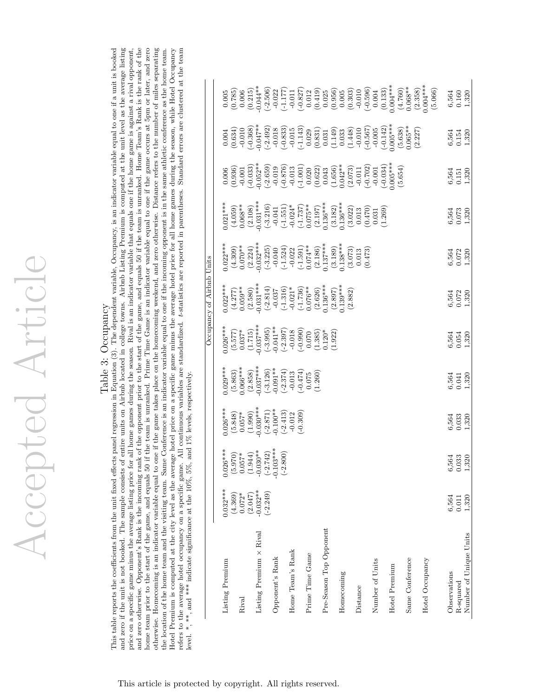## Table 3: Occupancy Table 3: Occupancy

and zero if the unit is not booked. The sample consists of entire units on Airbnb located in college towns. Airbnb Listing Premium is computed at the unit level as the average listing price on a specific game minus the average listing price for all home games during the season. Rival is an indicator variable that equals one if the home game is against a rival opponent, and zero otherwise. Opponent's Rank is the incoming rank of the opponent prior to the start of the game, and equals 50 if the team is unranked. Home Team's Rank is the rank of the home team prior to the start of the game, and equals 50 if the team is unranked. Prime Time Game is an indicator variable equal to one if the game occurs at 5pm or later, and zero Hotel Premium is computed at the city level as the average hotel price on a specific game minus the average hotel price for all home games during the season, while Hotel Occupancy This table reports the coefficients from the unit fixed effects panel regression in Equation (3). The dependent variable, Occupancy, is an indicator variable equal to one if a unit is booked This table reports the coefficients from the unit fixed effects panel regression in Equation (3). The dependent variable, Occupancy, is an indicator variable equal to one if a unit is booked and zero if the unit is not booked. The sample consists of entire units on Airbnb located in college towns. Airbnb Listing Premium is computed at the unit level as the average listing and zero otherwise. Opponent's Rank is the incoming rank of the opponent prior to the start of the game, and equals 50 if the team is unranked. Home Team's Rank is the rank of the home team prior to the start of the game, and equals 50 if the team is unranked. Prime Time Game is an indicator variable equal to one if the game occurs at 5pm or later, and zero otherwise. Homecoming is an indicator variable equal to one if the game takes place on the homecoming weekend, and zero otherwise. Distance refers to the number of miles separating otherwise. Homecoming is an indicator variable equal to one if the game takes place on the homecoming weekend, and zero otherwise. Distance refers to the number of miles separating the location of the home team and the visiting team. Same Conference is an indicator variable equal to one if the incoming opponent is in the same athletic conference as the home team. Hotel Premium is computed at the city level as the average hotel price on a specific game minus the average hotel price for all home games during the season, while Hotel Occupancy refers to the average hotel occupancy on a specific game. All continuous variables are standardized. t-statistics are reported in parentheses. Standard errors are clustered at the team refers to the average hotel occupancy on a specific game. All continuous variables are standardized. t-statistics are reported in parentheses. Standard errors are clustered at the team  $\ldots$  are  $\ldots$  at the team  $\ldots$  are price on a specific game minus the average listing price for all home games during the season. Rival is an indicator variable that equals one if the home game is against a rival opponent, the location of the home team and the visiting team. Same Conference is an indicator variable equal to one if the incoming opponent is in the same athletic conference as the home team. level.  $*$ ,  $**$ , and  $**$  indicate significance at the 10%, 5%, and 1% levels, respectively. level. \*, \*\*, and \*\*\* indicate significance at the 10%, 5%, and 1% levels, respectively.

|                                |                       |                                                                                                                                                      |                                                                                                            |                                                                                                                                             |                                                                                                                                                                                                                                                                                                    | Occupancy of Airbnb Units                                                                                                                                                                                                                                                                                                        |                                                                                                                                                                                                                                                                                                                                                             |                                                                                                                                                                                                                                                                                                                                                    |                                                                                                                                                                                                                                                                                                                     |                                                                                                                                                                                                                                                                                                                     |                                                                                                                                                                                                                                                                    |
|--------------------------------|-----------------------|------------------------------------------------------------------------------------------------------------------------------------------------------|------------------------------------------------------------------------------------------------------------|---------------------------------------------------------------------------------------------------------------------------------------------|----------------------------------------------------------------------------------------------------------------------------------------------------------------------------------------------------------------------------------------------------------------------------------------------------|----------------------------------------------------------------------------------------------------------------------------------------------------------------------------------------------------------------------------------------------------------------------------------------------------------------------------------|-------------------------------------------------------------------------------------------------------------------------------------------------------------------------------------------------------------------------------------------------------------------------------------------------------------------------------------------------------------|----------------------------------------------------------------------------------------------------------------------------------------------------------------------------------------------------------------------------------------------------------------------------------------------------------------------------------------------------|---------------------------------------------------------------------------------------------------------------------------------------------------------------------------------------------------------------------------------------------------------------------------------------------------------------------|---------------------------------------------------------------------------------------------------------------------------------------------------------------------------------------------------------------------------------------------------------------------------------------------------------------------|--------------------------------------------------------------------------------------------------------------------------------------------------------------------------------------------------------------------------------------------------------------------|
| Listing Premium                | $0.032***$            |                                                                                                                                                      | $(0.026***)$<br>$(5.848)$<br>$(0.057*$<br>$(1.990)$<br>$(1.990)$<br>$(-2.871)$<br>$(-2.413)$<br>$(-2.413)$ |                                                                                                                                             |                                                                                                                                                                                                                                                                                                    |                                                                                                                                                                                                                                                                                                                                  |                                                                                                                                                                                                                                                                                                                                                             |                                                                                                                                                                                                                                                                                                                                                    |                                                                                                                                                                                                                                                                                                                     |                                                                                                                                                                                                                                                                                                                     |                                                                                                                                                                                                                                                                    |
|                                | (4.369)               |                                                                                                                                                      |                                                                                                            |                                                                                                                                             |                                                                                                                                                                                                                                                                                                    |                                                                                                                                                                                                                                                                                                                                  |                                                                                                                                                                                                                                                                                                                                                             |                                                                                                                                                                                                                                                                                                                                                    |                                                                                                                                                                                                                                                                                                                     |                                                                                                                                                                                                                                                                                                                     |                                                                                                                                                                                                                                                                    |
| Rival                          | $0.072*$              |                                                                                                                                                      |                                                                                                            |                                                                                                                                             |                                                                                                                                                                                                                                                                                                    |                                                                                                                                                                                                                                                                                                                                  |                                                                                                                                                                                                                                                                                                                                                             |                                                                                                                                                                                                                                                                                                                                                    |                                                                                                                                                                                                                                                                                                                     |                                                                                                                                                                                                                                                                                                                     |                                                                                                                                                                                                                                                                    |
|                                | $(2.047)$<br>-0.032** | $\begin{array}{c} 0.026***\\ (5.970)\\ 0.057*\\ (1.944)\\ (1.944)\\ (-2.742)\\ (-2.742)\\ (-2.742)\\ (-0.036***\\ (-2.800)\\ (-2.800)\\ \end{array}$ |                                                                                                            | $(0.029***)$<br>$(5.863)$<br>$(0.066***)$<br>$(2.858)$<br>$(2.858)$<br>$(-3.126)$<br>$(-9.374)$<br>$(-0.091**)$<br>$(-0.474)$<br>$(-0.075)$ | $\begin{array}{l} 0.026**\\ (5.577)\\ (5.577)\\ (1.715)\\ (1.715)\\ (1.937**\\ (1.937**\\ (1.937)*\\ (1.937)*\\ (1.937)*\\ (1.937)*\\ (1.936)\\ (1.930)\\ (1.930)\\ (1.930)\\ (1.931)\\ (1.932)\\ (1.922)\\ (1.932)\\ (1.932)\\ (1.932)\\ (1.932)\\ (1.932)\\ (1.932)\\ (1.932)\\ (1.932)\\ (1.93$ | $\begin{array}{l} 0.022^{***} \\ (4.277) \\ (1.580) \\ (2.580) \\ (1.31^{***}) \\ (1.314) \\ (-2.814) \\ (-1.316) \\ (-1.316) \\ (-1.780) \\ (1.780) \\ (2.626) \\ (2.626) \\ (2.897) \\ (2.897) \\ (2.897) \\ (2.897) \\ (2.892) \\ (2.892) \\ (2.892) \\ (2.892) \\ (2.892) \\ (2.892) \\ (2.892) \\ (2.892) \\ (2.892) \\ (2$ | $\begin{array}{l} 0.022^{***} \\ (4.309) \\ (0.070^{**}) \\ (1.324) \\ (2.224) \\ (-3.224) \\ (-1.524) \\ (-1.524) \\ (-1.524) \\ (0.022^{**}) \\ (0.022^{**}) \\ (0.022^{**}) \\ (0.022^{**}) \\ (0.022^{**}) \\ (0.022^{**}) \\ (0.023^{**}) \\ (0.023^{**}) \\ (0.013^{**}) \\ (0.013^{**}) \\ (0.013^{**}) \\ (0.013^{**}) \\ (0.013^{**}) \\ (0.013^{$ |                                                                                                                                                                                                                                                                                                                                                    |                                                                                                                                                                                                                                                                                                                     |                                                                                                                                                                                                                                                                                                                     |                                                                                                                                                                                                                                                                    |
| Listing Premium $\times$ Rival |                       |                                                                                                                                                      |                                                                                                            |                                                                                                                                             |                                                                                                                                                                                                                                                                                                    |                                                                                                                                                                                                                                                                                                                                  |                                                                                                                                                                                                                                                                                                                                                             |                                                                                                                                                                                                                                                                                                                                                    |                                                                                                                                                                                                                                                                                                                     |                                                                                                                                                                                                                                                                                                                     |                                                                                                                                                                                                                                                                    |
|                                | $(-2.249)$            |                                                                                                                                                      |                                                                                                            |                                                                                                                                             |                                                                                                                                                                                                                                                                                                    |                                                                                                                                                                                                                                                                                                                                  |                                                                                                                                                                                                                                                                                                                                                             |                                                                                                                                                                                                                                                                                                                                                    |                                                                                                                                                                                                                                                                                                                     |                                                                                                                                                                                                                                                                                                                     |                                                                                                                                                                                                                                                                    |
| Opponent's Rank                |                       |                                                                                                                                                      |                                                                                                            |                                                                                                                                             |                                                                                                                                                                                                                                                                                                    |                                                                                                                                                                                                                                                                                                                                  |                                                                                                                                                                                                                                                                                                                                                             |                                                                                                                                                                                                                                                                                                                                                    |                                                                                                                                                                                                                                                                                                                     |                                                                                                                                                                                                                                                                                                                     |                                                                                                                                                                                                                                                                    |
|                                |                       |                                                                                                                                                      |                                                                                                            |                                                                                                                                             |                                                                                                                                                                                                                                                                                                    |                                                                                                                                                                                                                                                                                                                                  |                                                                                                                                                                                                                                                                                                                                                             |                                                                                                                                                                                                                                                                                                                                                    |                                                                                                                                                                                                                                                                                                                     |                                                                                                                                                                                                                                                                                                                     |                                                                                                                                                                                                                                                                    |
| Home Team's Rank               |                       |                                                                                                                                                      |                                                                                                            |                                                                                                                                             |                                                                                                                                                                                                                                                                                                    |                                                                                                                                                                                                                                                                                                                                  |                                                                                                                                                                                                                                                                                                                                                             |                                                                                                                                                                                                                                                                                                                                                    |                                                                                                                                                                                                                                                                                                                     |                                                                                                                                                                                                                                                                                                                     |                                                                                                                                                                                                                                                                    |
|                                |                       |                                                                                                                                                      |                                                                                                            |                                                                                                                                             |                                                                                                                                                                                                                                                                                                    |                                                                                                                                                                                                                                                                                                                                  |                                                                                                                                                                                                                                                                                                                                                             |                                                                                                                                                                                                                                                                                                                                                    |                                                                                                                                                                                                                                                                                                                     |                                                                                                                                                                                                                                                                                                                     |                                                                                                                                                                                                                                                                    |
| Prime Time Game                |                       |                                                                                                                                                      |                                                                                                            |                                                                                                                                             |                                                                                                                                                                                                                                                                                                    |                                                                                                                                                                                                                                                                                                                                  |                                                                                                                                                                                                                                                                                                                                                             |                                                                                                                                                                                                                                                                                                                                                    |                                                                                                                                                                                                                                                                                                                     |                                                                                                                                                                                                                                                                                                                     |                                                                                                                                                                                                                                                                    |
|                                |                       |                                                                                                                                                      |                                                                                                            |                                                                                                                                             |                                                                                                                                                                                                                                                                                                    |                                                                                                                                                                                                                                                                                                                                  |                                                                                                                                                                                                                                                                                                                                                             |                                                                                                                                                                                                                                                                                                                                                    |                                                                                                                                                                                                                                                                                                                     |                                                                                                                                                                                                                                                                                                                     |                                                                                                                                                                                                                                                                    |
| Pre-Season Top Opponent        |                       |                                                                                                                                                      |                                                                                                            |                                                                                                                                             |                                                                                                                                                                                                                                                                                                    |                                                                                                                                                                                                                                                                                                                                  |                                                                                                                                                                                                                                                                                                                                                             |                                                                                                                                                                                                                                                                                                                                                    |                                                                                                                                                                                                                                                                                                                     |                                                                                                                                                                                                                                                                                                                     |                                                                                                                                                                                                                                                                    |
|                                |                       |                                                                                                                                                      |                                                                                                            |                                                                                                                                             |                                                                                                                                                                                                                                                                                                    |                                                                                                                                                                                                                                                                                                                                  |                                                                                                                                                                                                                                                                                                                                                             |                                                                                                                                                                                                                                                                                                                                                    |                                                                                                                                                                                                                                                                                                                     |                                                                                                                                                                                                                                                                                                                     |                                                                                                                                                                                                                                                                    |
| Homecoming                     |                       |                                                                                                                                                      |                                                                                                            |                                                                                                                                             |                                                                                                                                                                                                                                                                                                    |                                                                                                                                                                                                                                                                                                                                  |                                                                                                                                                                                                                                                                                                                                                             |                                                                                                                                                                                                                                                                                                                                                    |                                                                                                                                                                                                                                                                                                                     |                                                                                                                                                                                                                                                                                                                     |                                                                                                                                                                                                                                                                    |
|                                |                       |                                                                                                                                                      |                                                                                                            |                                                                                                                                             |                                                                                                                                                                                                                                                                                                    |                                                                                                                                                                                                                                                                                                                                  |                                                                                                                                                                                                                                                                                                                                                             |                                                                                                                                                                                                                                                                                                                                                    |                                                                                                                                                                                                                                                                                                                     |                                                                                                                                                                                                                                                                                                                     |                                                                                                                                                                                                                                                                    |
| Distance                       |                       |                                                                                                                                                      |                                                                                                            |                                                                                                                                             |                                                                                                                                                                                                                                                                                                    |                                                                                                                                                                                                                                                                                                                                  |                                                                                                                                                                                                                                                                                                                                                             |                                                                                                                                                                                                                                                                                                                                                    |                                                                                                                                                                                                                                                                                                                     |                                                                                                                                                                                                                                                                                                                     |                                                                                                                                                                                                                                                                    |
|                                |                       |                                                                                                                                                      |                                                                                                            |                                                                                                                                             |                                                                                                                                                                                                                                                                                                    |                                                                                                                                                                                                                                                                                                                                  |                                                                                                                                                                                                                                                                                                                                                             |                                                                                                                                                                                                                                                                                                                                                    |                                                                                                                                                                                                                                                                                                                     |                                                                                                                                                                                                                                                                                                                     |                                                                                                                                                                                                                                                                    |
| Number of Units                |                       |                                                                                                                                                      |                                                                                                            |                                                                                                                                             |                                                                                                                                                                                                                                                                                                    |                                                                                                                                                                                                                                                                                                                                  |                                                                                                                                                                                                                                                                                                                                                             |                                                                                                                                                                                                                                                                                                                                                    |                                                                                                                                                                                                                                                                                                                     |                                                                                                                                                                                                                                                                                                                     |                                                                                                                                                                                                                                                                    |
|                                |                       |                                                                                                                                                      |                                                                                                            |                                                                                                                                             |                                                                                                                                                                                                                                                                                                    |                                                                                                                                                                                                                                                                                                                                  |                                                                                                                                                                                                                                                                                                                                                             | $\begin{array}{l} \text{0.021**} \\ (4.059) \\ (0.068** \\ (0.031** \\ (0.031** \\ (0.031** \\ (-1.551) \\ (-1.551) \\ (-1.757) \\ (0.075** \\ (0.031** \\ (0.031** \\ (0.033** \\ (0.033** \\ (0.033** \\ (0.033** \\ (0.033** \\ (0.033** \\ (0.033** \\ (0.033** \\ (0.033** \\ (0.033** \\ (0.033** \\ (0.033** \\ (0.033** \\ (0.033** \\ (0$ | $\begin{array}{l} 0.006 \\[-4pt] 0.0036) \\[-4pt] 0.036) \\[-4pt] 0.037 \\[-4pt] 0.037 \\[-4pt] 0.037 \\[-4pt] 0.037 \\[-4pt] 0.037 \\[-4pt] 0.037 \\[-4pt] 0.037 \\[-4pt] 0.037 \\[-4pt] 0.037 \\[-4pt] 0.037 \\[-4pt] 0.037 \\[-4pt] 0.037 \\[-4pt] 0.037 \\[-4pt] 0.037 \\[-4pt] 0.037 \\[-4pt] 0.037 \\[-4pt] $ | $\begin{array}{l} 0.004 \\[-4pt] 0.634) \\[-4pt] 0.034) \\[-4pt] 0.328 \\[-4pt] 0.328 \\[-4pt] 0.328 \\[-4pt] 0.328 \\[-4pt] 0.328 \\[-4pt] 0.328 \\[-4pt] 0.328 \\[-4pt] 0.328 \\[-4pt] 0.328 \\[-4pt] 0.328 \\[-4pt] 0.328 \\[-4pt] 0.328 \\[-4pt] 0.328 \\[-4pt] 0.328 \\[-4pt] 0.328 \\[-4pt] 0.328 \\[-4pt] 0$ |                                                                                                                                                                                                                                                                    |
| Hotel Premium                  |                       |                                                                                                                                                      |                                                                                                            |                                                                                                                                             |                                                                                                                                                                                                                                                                                                    |                                                                                                                                                                                                                                                                                                                                  |                                                                                                                                                                                                                                                                                                                                                             |                                                                                                                                                                                                                                                                                                                                                    |                                                                                                                                                                                                                                                                                                                     |                                                                                                                                                                                                                                                                                                                     |                                                                                                                                                                                                                                                                    |
|                                |                       |                                                                                                                                                      |                                                                                                            |                                                                                                                                             |                                                                                                                                                                                                                                                                                                    |                                                                                                                                                                                                                                                                                                                                  |                                                                                                                                                                                                                                                                                                                                                             |                                                                                                                                                                                                                                                                                                                                                    |                                                                                                                                                                                                                                                                                                                     |                                                                                                                                                                                                                                                                                                                     |                                                                                                                                                                                                                                                                    |
| Same Conference                |                       |                                                                                                                                                      |                                                                                                            |                                                                                                                                             |                                                                                                                                                                                                                                                                                                    |                                                                                                                                                                                                                                                                                                                                  |                                                                                                                                                                                                                                                                                                                                                             |                                                                                                                                                                                                                                                                                                                                                    |                                                                                                                                                                                                                                                                                                                     |                                                                                                                                                                                                                                                                                                                     |                                                                                                                                                                                                                                                                    |
|                                |                       |                                                                                                                                                      |                                                                                                            |                                                                                                                                             |                                                                                                                                                                                                                                                                                                    |                                                                                                                                                                                                                                                                                                                                  |                                                                                                                                                                                                                                                                                                                                                             |                                                                                                                                                                                                                                                                                                                                                    |                                                                                                                                                                                                                                                                                                                     |                                                                                                                                                                                                                                                                                                                     | $\begin{array}{l} 0.005\\ 0.006\\ 0.006\\ 0.007\\ 0.007\\ 0.008\\ 0.007\\ 0.008\\ 0.0008\\ 0.0008\\ 0.0008\\ 0.0008\\ 0.0008\\ 0.0008\\ 0.0008\\ 0.0008\\ 0.0008\\ 0.0008\\ 0.0008\\ 0.0008\\ 0.0008\\ 0.0008\\ 0.0008\\ 0.0008\\ 0.0008\\ 0.0008\\ 0.0008\\ 0.00$ |
| Hotel Occupancy                |                       |                                                                                                                                                      |                                                                                                            |                                                                                                                                             |                                                                                                                                                                                                                                                                                                    |                                                                                                                                                                                                                                                                                                                                  |                                                                                                                                                                                                                                                                                                                                                             |                                                                                                                                                                                                                                                                                                                                                    |                                                                                                                                                                                                                                                                                                                     |                                                                                                                                                                                                                                                                                                                     |                                                                                                                                                                                                                                                                    |
|                                |                       |                                                                                                                                                      |                                                                                                            |                                                                                                                                             |                                                                                                                                                                                                                                                                                                    |                                                                                                                                                                                                                                                                                                                                  |                                                                                                                                                                                                                                                                                                                                                             |                                                                                                                                                                                                                                                                                                                                                    |                                                                                                                                                                                                                                                                                                                     |                                                                                                                                                                                                                                                                                                                     |                                                                                                                                                                                                                                                                    |
| Observations                   | 6,564                 |                                                                                                                                                      | $\begin{array}{c} 6,564 \\ 0.033 \\ 1,320 \end{array}$                                                     | $\begin{array}{c} 6,564 \\ 0.041 \\ 1,320 \end{array}$                                                                                      | $6,564$<br>$0.054$<br>$1,320$                                                                                                                                                                                                                                                                      | $6,564$<br>0.072<br>1,320                                                                                                                                                                                                                                                                                                        | $\begin{array}{c} 6,564 \\ 0.072 \\ 1,320 \end{array}$                                                                                                                                                                                                                                                                                                      | $\begin{array}{c} 6,564 \\ 0.073 \\ 1,320 \end{array}$                                                                                                                                                                                                                                                                                             | $\begin{array}{c} 6,564 \\ 0.151 \\ 1,320 \end{array}$                                                                                                                                                                                                                                                              | $6,564$<br>0.154<br>1,320                                                                                                                                                                                                                                                                                           | $\begin{array}{c} 6,564 \\ 0.160 \\ 1,320 \end{array}$                                                                                                                                                                                                             |
| R-squared                      | 0.011                 |                                                                                                                                                      |                                                                                                            |                                                                                                                                             |                                                                                                                                                                                                                                                                                                    |                                                                                                                                                                                                                                                                                                                                  |                                                                                                                                                                                                                                                                                                                                                             |                                                                                                                                                                                                                                                                                                                                                    |                                                                                                                                                                                                                                                                                                                     |                                                                                                                                                                                                                                                                                                                     |                                                                                                                                                                                                                                                                    |
| Number of Unique Units         | 1,320                 | $\begin{array}{c} 6,564 \\ 0.033 \\ 1,320 \end{array}$                                                                                               |                                                                                                            |                                                                                                                                             |                                                                                                                                                                                                                                                                                                    |                                                                                                                                                                                                                                                                                                                                  |                                                                                                                                                                                                                                                                                                                                                             |                                                                                                                                                                                                                                                                                                                                                    |                                                                                                                                                                                                                                                                                                                     |                                                                                                                                                                                                                                                                                                                     |                                                                                                                                                                                                                                                                    |
|                                |                       |                                                                                                                                                      |                                                                                                            |                                                                                                                                             |                                                                                                                                                                                                                                                                                                    |                                                                                                                                                                                                                                                                                                                                  |                                                                                                                                                                                                                                                                                                                                                             |                                                                                                                                                                                                                                                                                                                                                    |                                                                                                                                                                                                                                                                                                                     |                                                                                                                                                                                                                                                                                                                     |                                                                                                                                                                                                                                                                    |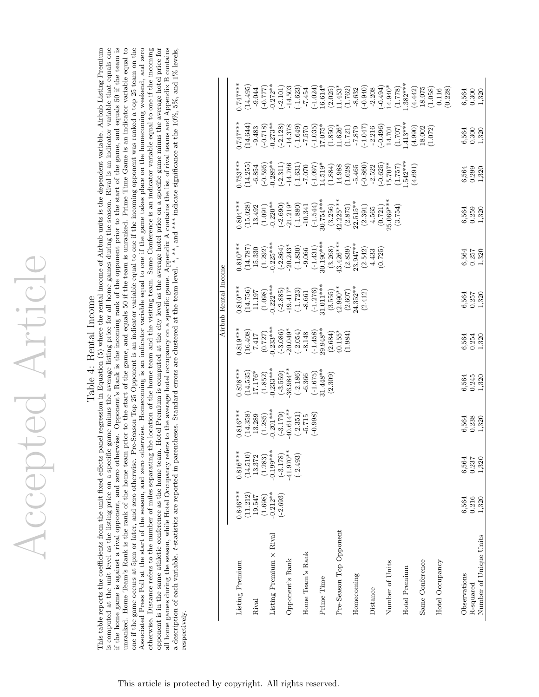## Table 4: Rental Income Table 4: Rental Income

one if the game occurs at 5pm or later, and zero otherwise. Pre-Season Top 25 Opponent is an indicator variable equal to one if the incoming opponent was ranked a top 25 team on the is computed at the unit level as the listing price on a specific game minus the average listing price for all home games during the season. Rival is an indicator variable that equals one if the home game is against a rival opponent, and zero otherwise. Opponent's Rank is the incoming rank of the opponent prior to the start of the game, and equals 50 if the team is unranked. Home Team's Rank is the rank of the home team prior to the start of the game, and equals 50 if the team is unranked. Prime Time Game is an indicator variable equal to Associated Press Poll at the start of the season, and zero otherwise. Homecoming is an indicator variable equal to one if the game takes place on the homecoming weekend, and zero otherwise. Distance refers to the number of miles separating the location of the home team and the visiting team. Same Conference is an indicator variable equal to one if the incoming This table reports the coefficients from the unit fixed effects panel regression in Equation (5) where the rental income of Airbnb units is the dependent variable. Airbnb Listing Premium This table reports the coefficients from the unit fixed effects panel regression in Equation (5) where the rental income of Airbnb units is the dependent variable. Airbnb Listing Premium<br>is commuted at the unit land so the is computed at the unit level as the listing price on a specific game minus the average listing price for all home games during the season. Rival is an indicator variable that equals one if the home game is against a rival opponent, and zero otherwise. Opponent's Rank is the incoming rank of the opponent prior to the start of the game, and equals 50 if the team is unranked. Home Team's Rank is the rank of the home team prior to the start of the game, and equals 50 if the team is unranked. Prime Time Game is an indicator variable equal to one if the game occurs at 5pm or later, and zero otherwise. Pre-Season Top 25 Opponent is an indicator variable equal to one if the incoming opponent was ranked a top 25 team on the Associated Press Poll at the start of the season, and zero otherwise. Homecoming is an indicator variable equal to one if the game takes place on the homecoming weekend, and zero otherwise. Distance refers to the number of miles separating the location of the home team and the visiting team. Same Conference is an indicator variable equal to one if the incoming opponent is in the same athletic conference as the home team. Hotel Premium is computed at the city level as the average hotel price on a specific game minus the average hotel price for opponent is in the same athletic conference as the home team. Hotel Premium is computed at the city level as the average hotel price on a specific game minus the average hotel price for home games during the season, while Hotel Occupancy refers to the average hotel occupancy on a specific game. Appendix A contains the list of rival teams and Appendix B contains all home games during the season, while Hotel Occupancy refers to the average hotel occupancy on a specific game. Appendix A contains the list of rival teams and Appendix B contains a description of each variable. t-statistics are reported in parentheses. Standard errors are clustered at the team level. \*, \*\*, and \*\*\* indicate significance at the 10%, 5%, and 1% levels, a description of each variable. t-statistics are reported in parentheses. Standard errors are clustered at the team level. \*, \*\*, and \*\*\* indicate significance at the 10%, 5%, and 1% levels, respectively. respectively.  $\overline{a}$ 

|                                |                                   |                                                                                                                                                       |                                                                                                                                                 |                                                                                                                                                           |                                                                                                                                                                                                                                                                                              | Airbnb Rental Income                                                                                                                                                                                                                                   |                                                                                                                                                                                                                                                                                                                                    |                                                                                                                                                                                                                                                                                                                                   |                                                                                                                                                                                                                                                                                                                                                |                                                                                                                                                                                                                                                                                                                                                                                                                 |                                                                                                                                                                                                                                                                                                                                                                                                                        |
|--------------------------------|-----------------------------------|-------------------------------------------------------------------------------------------------------------------------------------------------------|-------------------------------------------------------------------------------------------------------------------------------------------------|-----------------------------------------------------------------------------------------------------------------------------------------------------------|----------------------------------------------------------------------------------------------------------------------------------------------------------------------------------------------------------------------------------------------------------------------------------------------|--------------------------------------------------------------------------------------------------------------------------------------------------------------------------------------------------------------------------------------------------------|------------------------------------------------------------------------------------------------------------------------------------------------------------------------------------------------------------------------------------------------------------------------------------------------------------------------------------|-----------------------------------------------------------------------------------------------------------------------------------------------------------------------------------------------------------------------------------------------------------------------------------------------------------------------------------|------------------------------------------------------------------------------------------------------------------------------------------------------------------------------------------------------------------------------------------------------------------------------------------------------------------------------------------------|-----------------------------------------------------------------------------------------------------------------------------------------------------------------------------------------------------------------------------------------------------------------------------------------------------------------------------------------------------------------------------------------------------------------|------------------------------------------------------------------------------------------------------------------------------------------------------------------------------------------------------------------------------------------------------------------------------------------------------------------------------------------------------------------------------------------------------------------------|
| Listing Premium                | $0.846***$                        |                                                                                                                                                       |                                                                                                                                                 |                                                                                                                                                           |                                                                                                                                                                                                                                                                                              |                                                                                                                                                                                                                                                        |                                                                                                                                                                                                                                                                                                                                    |                                                                                                                                                                                                                                                                                                                                   |                                                                                                                                                                                                                                                                                                                                                | $.747***$                                                                                                                                                                                                                                                                                                                                                                                                       | $.747**$                                                                                                                                                                                                                                                                                                                                                                                                               |
|                                | 11.212                            |                                                                                                                                                       |                                                                                                                                                 |                                                                                                                                                           |                                                                                                                                                                                                                                                                                              |                                                                                                                                                                                                                                                        |                                                                                                                                                                                                                                                                                                                                    |                                                                                                                                                                                                                                                                                                                                   |                                                                                                                                                                                                                                                                                                                                                |                                                                                                                                                                                                                                                                                                                                                                                                                 |                                                                                                                                                                                                                                                                                                                                                                                                                        |
| Rival                          | 19.547                            |                                                                                                                                                       |                                                                                                                                                 |                                                                                                                                                           |                                                                                                                                                                                                                                                                                              |                                                                                                                                                                                                                                                        |                                                                                                                                                                                                                                                                                                                                    |                                                                                                                                                                                                                                                                                                                                   |                                                                                                                                                                                                                                                                                                                                                |                                                                                                                                                                                                                                                                                                                                                                                                                 |                                                                                                                                                                                                                                                                                                                                                                                                                        |
|                                | $(1.698)$<br>-0.212**<br>(-2.693) | $\begin{array}{c} 0.816 {**} \\ (14.510) \\ (13.372) \\ (1.283) \\ (1.283) \\ (-3.178) \\ (-3.178) \\ (-4.1970 {**} \\ (-4.1970 {**}) \\ \end{array}$ |                                                                                                                                                 |                                                                                                                                                           |                                                                                                                                                                                                                                                                                              |                                                                                                                                                                                                                                                        |                                                                                                                                                                                                                                                                                                                                    |                                                                                                                                                                                                                                                                                                                                   |                                                                                                                                                                                                                                                                                                                                                |                                                                                                                                                                                                                                                                                                                                                                                                                 |                                                                                                                                                                                                                                                                                                                                                                                                                        |
| Listing Premium $\times$ Rival |                                   |                                                                                                                                                       |                                                                                                                                                 |                                                                                                                                                           |                                                                                                                                                                                                                                                                                              |                                                                                                                                                                                                                                                        |                                                                                                                                                                                                                                                                                                                                    |                                                                                                                                                                                                                                                                                                                                   |                                                                                                                                                                                                                                                                                                                                                |                                                                                                                                                                                                                                                                                                                                                                                                                 |                                                                                                                                                                                                                                                                                                                                                                                                                        |
|                                |                                   |                                                                                                                                                       |                                                                                                                                                 |                                                                                                                                                           |                                                                                                                                                                                                                                                                                              |                                                                                                                                                                                                                                                        |                                                                                                                                                                                                                                                                                                                                    |                                                                                                                                                                                                                                                                                                                                   |                                                                                                                                                                                                                                                                                                                                                |                                                                                                                                                                                                                                                                                                                                                                                                                 |                                                                                                                                                                                                                                                                                                                                                                                                                        |
| Opponent's Rank                |                                   |                                                                                                                                                       |                                                                                                                                                 |                                                                                                                                                           |                                                                                                                                                                                                                                                                                              |                                                                                                                                                                                                                                                        |                                                                                                                                                                                                                                                                                                                                    |                                                                                                                                                                                                                                                                                                                                   |                                                                                                                                                                                                                                                                                                                                                |                                                                                                                                                                                                                                                                                                                                                                                                                 |                                                                                                                                                                                                                                                                                                                                                                                                                        |
|                                |                                   |                                                                                                                                                       | $\begin{array}{l} 0.816 {**} \\ (14.358) \\ 13.289 \\ (1.285) \\ (1.285) \\ (-3.179) \\ (-3.179) \\ (-2.351) \\ (-2.351) \\ -5.715 \end{array}$ | $\begin{array}{l} 0.828^{***} \\ (14.535) \\ 17.176^{*} \\ (1.852) \\ (1.852) \\ (-3.559) \\ (-3.559) \\ (-2.186) \\ (-2.186) \\ (-1.675) \\ \end{array}$ | $\begin{array}{l} (16.408)\\ (16.408)\\ (16.408)\\ (1,233\\ (1,233)\\ (1,233)\\ (1,233)\\ (1,233)\\ (1,233)\\ (1,233)\\ (1,233)\\ (1,233)\\ (1,233)\\ (1,233)\\ (1,233)\\ (1,233)\\ (1,233)\\ (1,233)\\ (1,233)\\ (1,233)\\ (1,233)\\ (1,233)\\ (1,233)\\ (1,233)\\ (1,233)\\ (1,233)\\ (1,$ | $\begin{array}{l} 0.810^{***} \\ (14.756) \\ (1.197) \\ (1.098) \\ (1.222^{***} \\ (1.285) \\ (1.285) \\ (1.273) \\ (1.273) \\ (1.273) \\ (1.276) \\ (1.276) \\ (1.276) \\ (1.276) \\ (1.276) \\ (2.607) \\ (2.412) \\ (2.412) \\ (2.412) \end{array}$ | $\begin{array}{l} 0.810^{***} \\ (14.787) \\ (1.292) \\ (1.293) \\ (1.295^{***} \\ (-1.292, 3.64)^{*}, \\ (-1.830) \\ (-1.830) \\ (1.293) \\ (1.295^{***} \\ (-1.830) \\ (1.295) \\ (1.296) \\ (1.297) \\ (1.298) \\ (2.299) \\ (2.299) \\ (2.291^{***} \\ (2.292) \\ (2.291) \\ (2.292) \\ (2.291) \\ (2.292) \\ (2.293) \\ (2.2$ | $\begin{array}{l} 0.804^{***} \\ (15.028) \\ (15.023) \\ (1.091) \\ (1.091) \\ (-2.50)^{**} \\ (-1.580) \\ (-1.544) \\ (1.121)^{*} \\ (-1.544) \\ (1.341) \\ (1.354^{**} \\ (1.375^{**}) \\ (2.875) \\ (2.875) \\ (2.391) \\ (1.721) \\ (0.721) \\ (0.722) \\ (0.754^{**} \\ (0.721) \\ (0.722) \\ (0.754) \\ (0.721) \\ (0.754)$ | $\begin{array}{l} 1.753^{**} \\ 1.4255 \\ (14.255) \\ (-0.595) \\ (-0.595) \\ (-0.595) \\ (-0.595) \\ (-0.595) \\ (-0.595) \\ (-0.595) \\ (-0.595) \\ (-0.595) \\ (-0.595) \\ (-0.595) \\ (-0.595) \\ (-0.595) \\ (-0.595) \\ (-0.595) \\ (-0.595) \\ (-0.595) \\ (-0.595) \\ (-0.595) \\ (-0.595) \\ (-0.595) \\ (-0.595) \\ (-0.595) \\ (-0$ | $\begin{array}{l} \left(1,1,644\right)\\ -9,483\\ -9,127\\ \left(-1,128\right)\\ \left(-1,128\right)\\ \left(-1,128\right)\\ \left(-1,128\right)\\ \left(-1,128\right)\\ \left(-1,128\right)\\ \left(-1,128\right)\\ \left(-1,128\right)\\ \left(-1,128\right)\\ \left(-1,128\right)\\ \left(-1,128\right)\\ \left(-1,128\right)\\ \left(-1,128\right)\\ \left(-1,128\right)\\ \left(-1,128\right)\\ \left(-1,$ | $\begin{array}{l} (\mathbf{1.495}) \\ (\mathbf{1.77_{1}^{\ast}}) \\ (\mathbf{0.27_{1}^{\ast}}) \\ (\mathbf{1.4902}) \\ (\mathbf{1.491}) \\ (\mathbf{1.491}) \\ (\mathbf{1.491}) \\ (\mathbf{1.491}) \\ (\mathbf{1.491}) \\ (\mathbf{1.491}) \\ (\mathbf{1.491}) \\ (\mathbf{1.491}) \\ (\mathbf{1.491}) \\ (\mathbf{1.491}) \\ (\mathbf{1.491}) \\ (\mathbf{1.491}) \\ (\mathbf{1.491}) \\ (\mathbf{1.491}) \\ (\math$ |
| Home Team's Rank               |                                   |                                                                                                                                                       |                                                                                                                                                 |                                                                                                                                                           |                                                                                                                                                                                                                                                                                              |                                                                                                                                                                                                                                                        |                                                                                                                                                                                                                                                                                                                                    |                                                                                                                                                                                                                                                                                                                                   |                                                                                                                                                                                                                                                                                                                                                |                                                                                                                                                                                                                                                                                                                                                                                                                 |                                                                                                                                                                                                                                                                                                                                                                                                                        |
|                                |                                   |                                                                                                                                                       |                                                                                                                                                 |                                                                                                                                                           |                                                                                                                                                                                                                                                                                              |                                                                                                                                                                                                                                                        |                                                                                                                                                                                                                                                                                                                                    |                                                                                                                                                                                                                                                                                                                                   |                                                                                                                                                                                                                                                                                                                                                |                                                                                                                                                                                                                                                                                                                                                                                                                 |                                                                                                                                                                                                                                                                                                                                                                                                                        |
| Prime Time                     |                                   |                                                                                                                                                       |                                                                                                                                                 |                                                                                                                                                           |                                                                                                                                                                                                                                                                                              |                                                                                                                                                                                                                                                        |                                                                                                                                                                                                                                                                                                                                    |                                                                                                                                                                                                                                                                                                                                   |                                                                                                                                                                                                                                                                                                                                                |                                                                                                                                                                                                                                                                                                                                                                                                                 |                                                                                                                                                                                                                                                                                                                                                                                                                        |
|                                |                                   |                                                                                                                                                       |                                                                                                                                                 |                                                                                                                                                           |                                                                                                                                                                                                                                                                                              |                                                                                                                                                                                                                                                        |                                                                                                                                                                                                                                                                                                                                    |                                                                                                                                                                                                                                                                                                                                   |                                                                                                                                                                                                                                                                                                                                                |                                                                                                                                                                                                                                                                                                                                                                                                                 |                                                                                                                                                                                                                                                                                                                                                                                                                        |
| Pre-Season Top Opponent        |                                   |                                                                                                                                                       |                                                                                                                                                 |                                                                                                                                                           |                                                                                                                                                                                                                                                                                              |                                                                                                                                                                                                                                                        |                                                                                                                                                                                                                                                                                                                                    |                                                                                                                                                                                                                                                                                                                                   |                                                                                                                                                                                                                                                                                                                                                |                                                                                                                                                                                                                                                                                                                                                                                                                 |                                                                                                                                                                                                                                                                                                                                                                                                                        |
|                                |                                   |                                                                                                                                                       |                                                                                                                                                 |                                                                                                                                                           |                                                                                                                                                                                                                                                                                              |                                                                                                                                                                                                                                                        |                                                                                                                                                                                                                                                                                                                                    |                                                                                                                                                                                                                                                                                                                                   |                                                                                                                                                                                                                                                                                                                                                |                                                                                                                                                                                                                                                                                                                                                                                                                 |                                                                                                                                                                                                                                                                                                                                                                                                                        |
| Homecoming                     |                                   |                                                                                                                                                       |                                                                                                                                                 |                                                                                                                                                           |                                                                                                                                                                                                                                                                                              |                                                                                                                                                                                                                                                        |                                                                                                                                                                                                                                                                                                                                    |                                                                                                                                                                                                                                                                                                                                   |                                                                                                                                                                                                                                                                                                                                                |                                                                                                                                                                                                                                                                                                                                                                                                                 |                                                                                                                                                                                                                                                                                                                                                                                                                        |
|                                |                                   |                                                                                                                                                       |                                                                                                                                                 |                                                                                                                                                           |                                                                                                                                                                                                                                                                                              |                                                                                                                                                                                                                                                        |                                                                                                                                                                                                                                                                                                                                    |                                                                                                                                                                                                                                                                                                                                   |                                                                                                                                                                                                                                                                                                                                                |                                                                                                                                                                                                                                                                                                                                                                                                                 |                                                                                                                                                                                                                                                                                                                                                                                                                        |
| Distance                       |                                   |                                                                                                                                                       |                                                                                                                                                 |                                                                                                                                                           |                                                                                                                                                                                                                                                                                              |                                                                                                                                                                                                                                                        |                                                                                                                                                                                                                                                                                                                                    |                                                                                                                                                                                                                                                                                                                                   |                                                                                                                                                                                                                                                                                                                                                |                                                                                                                                                                                                                                                                                                                                                                                                                 |                                                                                                                                                                                                                                                                                                                                                                                                                        |
|                                |                                   |                                                                                                                                                       |                                                                                                                                                 |                                                                                                                                                           |                                                                                                                                                                                                                                                                                              |                                                                                                                                                                                                                                                        |                                                                                                                                                                                                                                                                                                                                    |                                                                                                                                                                                                                                                                                                                                   |                                                                                                                                                                                                                                                                                                                                                |                                                                                                                                                                                                                                                                                                                                                                                                                 |                                                                                                                                                                                                                                                                                                                                                                                                                        |
| Number of Units                |                                   |                                                                                                                                                       |                                                                                                                                                 |                                                                                                                                                           |                                                                                                                                                                                                                                                                                              |                                                                                                                                                                                                                                                        |                                                                                                                                                                                                                                                                                                                                    |                                                                                                                                                                                                                                                                                                                                   |                                                                                                                                                                                                                                                                                                                                                |                                                                                                                                                                                                                                                                                                                                                                                                                 |                                                                                                                                                                                                                                                                                                                                                                                                                        |
|                                |                                   |                                                                                                                                                       |                                                                                                                                                 |                                                                                                                                                           |                                                                                                                                                                                                                                                                                              |                                                                                                                                                                                                                                                        |                                                                                                                                                                                                                                                                                                                                    |                                                                                                                                                                                                                                                                                                                                   |                                                                                                                                                                                                                                                                                                                                                |                                                                                                                                                                                                                                                                                                                                                                                                                 |                                                                                                                                                                                                                                                                                                                                                                                                                        |
| Hotel Premium                  |                                   |                                                                                                                                                       |                                                                                                                                                 |                                                                                                                                                           |                                                                                                                                                                                                                                                                                              |                                                                                                                                                                                                                                                        |                                                                                                                                                                                                                                                                                                                                    |                                                                                                                                                                                                                                                                                                                                   |                                                                                                                                                                                                                                                                                                                                                |                                                                                                                                                                                                                                                                                                                                                                                                                 |                                                                                                                                                                                                                                                                                                                                                                                                                        |
|                                |                                   |                                                                                                                                                       |                                                                                                                                                 |                                                                                                                                                           |                                                                                                                                                                                                                                                                                              |                                                                                                                                                                                                                                                        |                                                                                                                                                                                                                                                                                                                                    |                                                                                                                                                                                                                                                                                                                                   |                                                                                                                                                                                                                                                                                                                                                |                                                                                                                                                                                                                                                                                                                                                                                                                 |                                                                                                                                                                                                                                                                                                                                                                                                                        |
| Same Conference                |                                   |                                                                                                                                                       |                                                                                                                                                 |                                                                                                                                                           |                                                                                                                                                                                                                                                                                              |                                                                                                                                                                                                                                                        |                                                                                                                                                                                                                                                                                                                                    |                                                                                                                                                                                                                                                                                                                                   |                                                                                                                                                                                                                                                                                                                                                |                                                                                                                                                                                                                                                                                                                                                                                                                 |                                                                                                                                                                                                                                                                                                                                                                                                                        |
|                                |                                   |                                                                                                                                                       |                                                                                                                                                 |                                                                                                                                                           |                                                                                                                                                                                                                                                                                              |                                                                                                                                                                                                                                                        |                                                                                                                                                                                                                                                                                                                                    |                                                                                                                                                                                                                                                                                                                                   |                                                                                                                                                                                                                                                                                                                                                |                                                                                                                                                                                                                                                                                                                                                                                                                 |                                                                                                                                                                                                                                                                                                                                                                                                                        |
| Hotel Occupancy                |                                   |                                                                                                                                                       |                                                                                                                                                 |                                                                                                                                                           |                                                                                                                                                                                                                                                                                              |                                                                                                                                                                                                                                                        |                                                                                                                                                                                                                                                                                                                                    |                                                                                                                                                                                                                                                                                                                                   |                                                                                                                                                                                                                                                                                                                                                |                                                                                                                                                                                                                                                                                                                                                                                                                 |                                                                                                                                                                                                                                                                                                                                                                                                                        |
|                                |                                   |                                                                                                                                                       |                                                                                                                                                 |                                                                                                                                                           |                                                                                                                                                                                                                                                                                              |                                                                                                                                                                                                                                                        |                                                                                                                                                                                                                                                                                                                                    |                                                                                                                                                                                                                                                                                                                                   |                                                                                                                                                                                                                                                                                                                                                |                                                                                                                                                                                                                                                                                                                                                                                                                 |                                                                                                                                                                                                                                                                                                                                                                                                                        |
| Observations                   | 6,564                             |                                                                                                                                                       |                                                                                                                                                 |                                                                                                                                                           |                                                                                                                                                                                                                                                                                              |                                                                                                                                                                                                                                                        |                                                                                                                                                                                                                                                                                                                                    |                                                                                                                                                                                                                                                                                                                                   |                                                                                                                                                                                                                                                                                                                                                |                                                                                                                                                                                                                                                                                                                                                                                                                 |                                                                                                                                                                                                                                                                                                                                                                                                                        |
| R-squared                      | 0.216                             | $\begin{array}{c} 6,564 \\ 0.237 \\ 1,320 \end{array}$                                                                                                |                                                                                                                                                 |                                                                                                                                                           |                                                                                                                                                                                                                                                                                              |                                                                                                                                                                                                                                                        |                                                                                                                                                                                                                                                                                                                                    |                                                                                                                                                                                                                                                                                                                                   | 6,564<br>0.299<br>1,320                                                                                                                                                                                                                                                                                                                        | 6,564<br>0.300<br>1,320                                                                                                                                                                                                                                                                                                                                                                                         |                                                                                                                                                                                                                                                                                                                                                                                                                        |
| Number of Unique Units         | 1,320                             |                                                                                                                                                       | $\begin{array}{c} 6,564 \\ 0.238 \\ 1,320 \end{array}$                                                                                          | 6,564<br>0.245<br>1,320                                                                                                                                   | 6,564<br>0.254<br>1,320                                                                                                                                                                                                                                                                      | 6,564<br>0.257<br>1,320                                                                                                                                                                                                                                | 6,564<br>0.257<br>1,320                                                                                                                                                                                                                                                                                                            | 6,564<br>0.259<br>1,320                                                                                                                                                                                                                                                                                                           |                                                                                                                                                                                                                                                                                                                                                |                                                                                                                                                                                                                                                                                                                                                                                                                 | 6,564<br>0.300<br>1,320                                                                                                                                                                                                                                                                                                                                                                                                |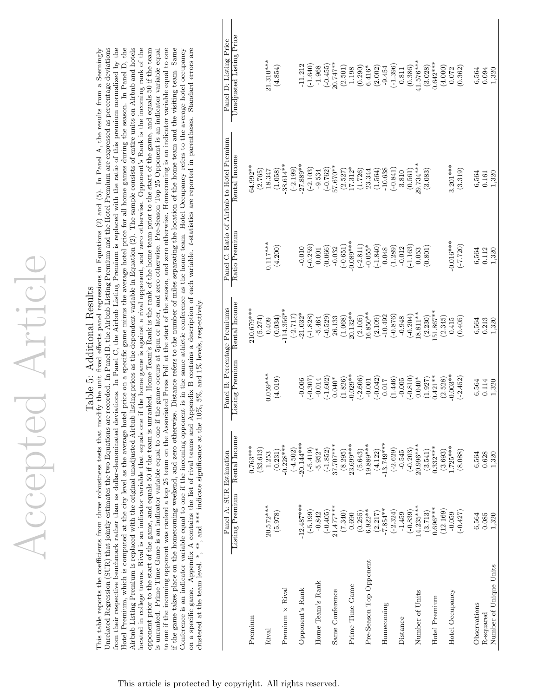## Table 5: Additional Results Table 5: Additional Results

Hotel Premium, which is computed at the city level as the average hotel price on a specific game minus the average hotel price for all home games during the season. In Panel D, the Unrelated Regression (SUR) that jointly estimates the two Equations are recorded. In Panel B, the Airbnb Listing Premium and the Hotel Premium are expressed as percentage deviations from their respective benchmark rather than as dollar-denominated deviations. In Panel C, the Airbub Listing Premium is replaced with the ratio of this premium normalized by the Airbnb Listing Premium is replaced with the original unadjusted Airbnb listing prices as the dependent variable in Equation (2). The sample consists of entire units on Airbnb and hotels located in college towns. Rival is an indicator variable that equals one if the home game is against a rival opponent, and zero otherwise. Opponent's Rank is the incoming rank of the opponent prior to the start of the game, and equals 50 if the team is unranked. Home Team's Rank is the rank of the home team prior to the start of the game, and equals 50 if the team to one if the incoming opponent was ranked a top 25 team on the Associated Press Poll at the start of the season, and zero otherwise. Homecoming is an indicator variable equal to one if the game takes place on the homecoming weekend, and zero otherwise. Distance refers to the number of miles separating the location of the home team and the visiting team. Same Conference is an indicator variable equal to one if the incoming opponent is in the same athletic conference as the home team. Hotel Occupancy refers to the average hotel occupancy on a specific game. Appendix A contains the list of rival teams and Appendix B contains a description of each variable. t-statistics are reported in parentheses. Standard errors are This table reports the coefficients from three robustness tests that modify the unit fixed effects panel regressions in Equations (2) and (5). In Panel A, the results from a Seemingly This table reports the coefficients from three robustness tests that modify the unit fixed effects panel regressions in Equations (2) and (5). In Panel A, the results from a Seemingly Unrelated Regression (SUR) that jointly estimates the two Equations are recorded. In Panel B, the Airbnb Listing Premium and the Hotel Premium are expressed as percentage deviations from their respective benchmark rather than as dollar-denominated deviations. In Panel C, the Airbnb Listing Premium is replaced with the ratio of this premium normalized by the Hotel Premium, which is computed at the city level as the average hotel price on a specific game minus the average hotel price for all home games during the season. In Panel D, the Airbnb Listing Premium is replaced with the original unadjusted Airbnb listing prices as the dependent variable in Equation (2). The sample consists of entire units on Airbnb and hotels located in college towns. Rival is an indicator variable that equals one if the home game is against a rival opponent, and zero otherwise. Opponent's Rank is the incoming rank of the opponent prior to the start of the game, and equals 50 if the team's unranked. Home Team's Rank is the rank of the team prior to the start of the game, and equals 50 if the team  $\ldots$  and the team is and equals 50 if the is unranked. Prime Time Game is an indicator variable equal to one if the game occurs at 5pm or later, and zero otherwise. Pre-Season Top 25 Opponent is an indicator variable equal is unranked. Prime Time Game is an indicator variable equal to one if the game occurs at 5pm or later, and zero otherwise. Pre-Season Top 25 Opponent is an indicator variable equal to one if the incoming opponent was ranked a top 25 team on the Associated Press Poll at the start of the season, and zero otherwise. Homecoming is an indicator variable equal to one if the game takes place on the homecoming weekend, and zero otherwise. Distance refers to the number of miles separating the location of the home team and the visiting team. Same Conference is an indicator variable equal to one if the incoming opponent is in the same athletic conference as the home team. Hotel Occupancy refers to the average hotel occupancy on a specific game. Appendix A contains the list of rival teams and Appendix B contains a description of each variable. t-statistics are reported in parentheses. Standard errors are clustered at the team level. \*, \*\*, and \*\*\* indicate significance at the  $10\%$ ,  $5\%$ , and  $1\%$  levels, respectively. clustered at the team level. \*, \*\*, and \*\*\* indicate significance at the  $10\%$ ,  $5\%$ , and  $1\%$  levels, respectively.

|                         | Panel A: SUR Estimation |                         | Panel B: Percentage Premiums                                                                                                                                                                                                                                                                                           |                                                   |                                                                                  | Panel C: Ratio of Airbnb to Hotel Premium                     | Panel D: Listing Price                                                                                                                                                                                                                                                                                                     |
|-------------------------|-------------------------|-------------------------|------------------------------------------------------------------------------------------------------------------------------------------------------------------------------------------------------------------------------------------------------------------------------------------------------------------------|---------------------------------------------------|----------------------------------------------------------------------------------|---------------------------------------------------------------|----------------------------------------------------------------------------------------------------------------------------------------------------------------------------------------------------------------------------------------------------------------------------------------------------------------------------|
|                         | Listing Premium         | Rental Income           | Listing Premium                                                                                                                                                                                                                                                                                                        | Rental Income                                     | Ratio Premium                                                                    | Rental Income                                                 | Unadjusted Listing Price                                                                                                                                                                                                                                                                                                   |
| Premium                 |                         | $0.763***$              |                                                                                                                                                                                                                                                                                                                        | 210.679***                                        |                                                                                  | 34.992**                                                      |                                                                                                                                                                                                                                                                                                                            |
|                         |                         | (33.613)                |                                                                                                                                                                                                                                                                                                                        |                                                   |                                                                                  | (2.765)                                                       |                                                                                                                                                                                                                                                                                                                            |
| Rival                   | $20.572***$             | 1.253                   | $0.059***$                                                                                                                                                                                                                                                                                                             | $(5.274)$<br>0.409                                | $0.117***$                                                                       | 18.347                                                        | $21.310***$                                                                                                                                                                                                                                                                                                                |
|                         | (5.978)                 | (0.231)                 | (4.019)                                                                                                                                                                                                                                                                                                                | (0.034)                                           | (4.200)                                                                          | $(1.058)$<br>$-38.614**$                                      | (4.854)                                                                                                                                                                                                                                                                                                                    |
| Premium $\times$ Rival  |                         | $-0.228***$             |                                                                                                                                                                                                                                                                                                                        | $114.356***$                                      |                                                                                  |                                                               |                                                                                                                                                                                                                                                                                                                            |
|                         |                         | $(-4.502)$              |                                                                                                                                                                                                                                                                                                                        | $(-2.717)$<br>$-21.032*$                          |                                                                                  | $(-2.199)$<br>$-27.889**$                                     |                                                                                                                                                                                                                                                                                                                            |
| Opponent's Rank         | $12.487***$             | $-20.144***$            |                                                                                                                                                                                                                                                                                                                        |                                                   |                                                                                  |                                                               | $-11.212$                                                                                                                                                                                                                                                                                                                  |
|                         | $(-5.199)$              | $(-5.419)$              | $-0.006$<br>$(-0.307)$<br>$-0.014$                                                                                                                                                                                                                                                                                     | $\begin{array}{c} (-1.828) \\ -5.464 \end{array}$ | $\begin{array}{c} -0.010 \\ (-0.259) \\ 0.001 \\ 0.066 \end{array}$              | $(-2.103)$<br>$-9.534$<br>$(-0.762)$<br>$57.670**$            | $(-1.640)$<br>-1.968                                                                                                                                                                                                                                                                                                       |
| Home Team's Rank        | $-0.842$                | $-5.952*$               |                                                                                                                                                                                                                                                                                                                        |                                                   |                                                                                  |                                                               |                                                                                                                                                                                                                                                                                                                            |
|                         | $(-0.405)$              | $(-1.852)$<br>37.707*** | $(-1.602)$                                                                                                                                                                                                                                                                                                             | $(-0.529)$                                        |                                                                                  |                                                               |                                                                                                                                                                                                                                                                                                                            |
| Same Conference         | $21.477***$             |                         | $0.040*$                                                                                                                                                                                                                                                                                                               | 26.133                                            | $-0.032$                                                                         |                                                               |                                                                                                                                                                                                                                                                                                                            |
|                         | (7.340)                 | (8.295)                 | $\begin{array}{l} (1.826)\\ -0.029^{**}\\ -0.029^{**}\\ -0.001\\ -0.001\\ 0.017\\ (1.446)\\ -0.05\\ (-0.810)\\ -0.005\\ (-0.810)\\ (-0.810)\\ (-0.810)\\ (-0.810)\\ (-0.810)\\ (-0.810)\\ (-0.810)\\ (-0.810)\\ (-0.810)\\ (-0.810)\\ (-0.810)\\ (-0.810)\\ (-0.810)\\ (-0.810)\\ (-0.810)\\ (-0.810)\\ (-0.810)\\ (-$ | (1.068)                                           | $(-0.651)$<br>$-0.089***$                                                        | $\begin{array}{c} (2.527) \\ 17.312^* \\ (1.726) \end{array}$ | $\begin{array}{l} (-0.455) \\ 20.747^{**} \\ (2.501) \\ (1.198) \\ (0.290) \\ (0.416^{**} \\ (0.416^{**}) \\ (0.202) \\ (0.396) \\ (0.386) \\ (0.386) \\ (0.386) \\ (0.396) \\ (0.396) \\ (0.396) \\ (0.396) \\ (0.396) \\ (0.396) \\ (0.396) \\ (0.396) \\ (0.396) \\ (0.396) \\ (0.396) \\ (0.396) \\ (0.396) \\ (0.396$ |
| Prime Time Game         | 0.690                   | 23.699***               |                                                                                                                                                                                                                                                                                                                        | $20.132**$                                        |                                                                                  |                                                               |                                                                                                                                                                                                                                                                                                                            |
|                         | (0.255)                 | (5.643)                 |                                                                                                                                                                                                                                                                                                                        | (2.105)                                           |                                                                                  |                                                               |                                                                                                                                                                                                                                                                                                                            |
| Pre-Season Top Opponent | $6.922**$               | $19.889***$             |                                                                                                                                                                                                                                                                                                                        | $16.850***$                                       |                                                                                  | 23.344                                                        |                                                                                                                                                                                                                                                                                                                            |
|                         | (2.217)                 | (4.122)                 |                                                                                                                                                                                                                                                                                                                        | (2.109)                                           | $\begin{array}{c} (-2.811) \\ -0.055^* \\ (-1.840) \\ 0.048 \end{array}$         | (1.564)                                                       |                                                                                                                                                                                                                                                                                                                            |
| Homecoming              | $-7.854***$             | $-13.749***$            |                                                                                                                                                                                                                                                                                                                        | $-10.492$                                         |                                                                                  | $-10.638$                                                     |                                                                                                                                                                                                                                                                                                                            |
|                         | $(-2.324)$              | $(-2.629)$<br>-0.545    |                                                                                                                                                                                                                                                                                                                        | $(-0.876)$                                        | $\begin{array}{c} (1.289) \\ -0.012 \\ (-1.163) \\ 0.053 \\ (0.801) \end{array}$ | $(-0.841)$                                                    |                                                                                                                                                                                                                                                                                                                            |
| Distance                | $-1.459$                |                         |                                                                                                                                                                                                                                                                                                                        | $-0.948$                                          |                                                                                  |                                                               |                                                                                                                                                                                                                                                                                                                            |
|                         | $(-0.839)$              | $(-0.203)$              |                                                                                                                                                                                                                                                                                                                        | $(-0.204)$                                        |                                                                                  | (0.561)                                                       |                                                                                                                                                                                                                                                                                                                            |
| Number of Units         | $4.235***$              | $20.996***$             | $0.040*$                                                                                                                                                                                                                                                                                                               | $18.811**$                                        |                                                                                  | 29.734***                                                     |                                                                                                                                                                                                                                                                                                                            |
|                         | (3.713)                 | (3.541)                 | (1.927)                                                                                                                                                                                                                                                                                                                | (2.230)                                           |                                                                                  | (3.083)                                                       | $(3.028)$<br>$0.642***$                                                                                                                                                                                                                                                                                                    |
| Hotel Premium           | $0.696***$              | $0.332***$              | $0.421***$                                                                                                                                                                                                                                                                                                             | $51.867***$                                       |                                                                                  |                                                               |                                                                                                                                                                                                                                                                                                                            |
|                         | (12.169)                | (3.693)                 | (2.528)                                                                                                                                                                                                                                                                                                                | $\begin{array}{c} (2.345) \\ 0.415 \end{array}$   |                                                                                  |                                                               |                                                                                                                                                                                                                                                                                                                            |
| Hotel Occupancy         | $-0.059$                | $.725***$               | $0.003**$                                                                                                                                                                                                                                                                                                              |                                                   | $0.016***$                                                                       | $3.201***$                                                    |                                                                                                                                                                                                                                                                                                                            |
|                         | $(-0.427)$              | (8.088)                 | $(-2.452)$                                                                                                                                                                                                                                                                                                             | (0.405)                                           | $(-7.720)$                                                                       | (3.319)                                                       | $\begin{array}{c} (4.000) \\ 0.072 \\ (0.362) \end{array}$                                                                                                                                                                                                                                                                 |
| Observations            | 6,564                   | 6,564                   | 6,564                                                                                                                                                                                                                                                                                                                  | 6,564                                             | 6,564                                                                            | 6,564                                                         | 6,564                                                                                                                                                                                                                                                                                                                      |
| R-squared               | 0.085                   | 0.628                   | 0.114                                                                                                                                                                                                                                                                                                                  | 0.213                                             | 0.112                                                                            | 0.161                                                         | 0.094                                                                                                                                                                                                                                                                                                                      |
| Number of Unique Units  | 1,320                   | 1,320                   | 1,320                                                                                                                                                                                                                                                                                                                  | 1,320                                             | 1,320                                                                            | 1,320                                                         | 1,320                                                                                                                                                                                                                                                                                                                      |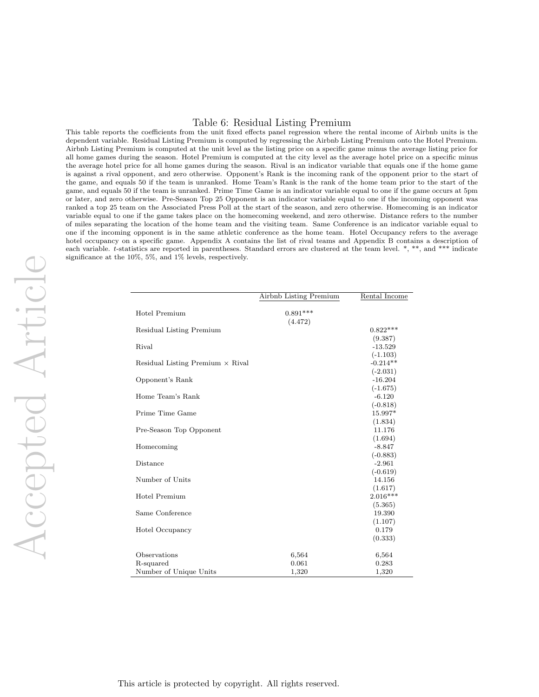## Table 6: Residual Listing Premium

This table reports the coefficients from the unit fixed effects panel regression where the rental income of Airbnb units is the dependent variable. Residual Listing Premium is computed by regressing the Airbnb Listing Premium onto the Hotel Premium. Airbnb Listing Premium is computed at the unit level as the listing price on a specific game minus the average listing price for all home games during the season. Hotel Premium is computed at the city level as the average hotel price on a specific minus the average hotel price for all home games during the season. Rival is an indicator variable that equals one if the home game is against a rival opponent, and zero otherwise. Opponent's Rank is the incoming rank of the opponent prior to the start of the game, and equals 50 if the team is unranked. Home Team's Rank is the rank of the home team prior to the start of the game, and equals 50 if the team is unranked. Prime Time Game is an indicator variable equal to one if the game occurs at 5pm or later, and zero otherwise. Pre-Season Top 25 Opponent is an indicator variable equal to one if the incoming opponent was ranked a top 25 team on the Associated Press Poll at the start of the season, and zero otherwise. Homecoming is an indicator variable equal to one if the game takes place on the homecoming weekend, and zero otherwise. Distance refers to the number of miles separating the location of the home team and the visiting team. Same Conference is an indicator variable equal to one if the incoming opponent is in the same athletic conference as the home team. Hotel Occupancy refers to the average hotel occupancy on a specific game. Appendix A contains the list of rival teams and Appendix B contains a description of each variable. t-statistics are reported in parentheses. Standard errors are clustered at the team level. \*, \*\*, and \*\*\* indicate significance at the 10%, 5%, and 1% levels, respectively.

|                                         | Airbnb Listing Premium | Rental Income     |
|-----------------------------------------|------------------------|-------------------|
|                                         |                        |                   |
| Hotel Premium                           | $0.891***$             |                   |
| Residual Listing Premium                | (4.472)                | $0.822***$        |
|                                         |                        | (9.387)           |
| Rival                                   |                        | $-13.529$         |
|                                         |                        | $(-1.103)$        |
| Residual Listing Premium $\times$ Rival |                        | $-0.214**$        |
|                                         |                        | $(-2.031)$        |
| Opponent's Rank                         |                        | $-16.204$         |
|                                         |                        | $(-1.675)$        |
| Home Team's Rank                        |                        | $-6.120$          |
|                                         |                        | $(-0.818)$        |
| Prime Time Game                         |                        | 15.997*           |
|                                         |                        | (1.834)           |
| Pre-Season Top Opponent                 |                        | 11.176<br>(1.694) |
| Homecoming                              |                        | $-8.847$          |
|                                         |                        | $(-0.883)$        |
| Distance                                |                        | $-2.961$          |
|                                         |                        | $(-0.619)$        |
| Number of Units                         |                        | 14.156            |
|                                         |                        | (1.617)           |
| Hotel Premium                           |                        | $2.016***$        |
|                                         |                        | (5.365)           |
| Same Conference                         |                        | 19.390            |
|                                         |                        | (1.107)           |
| Hotel Occupancy                         |                        | 0.179             |
|                                         |                        | (0.333)           |
| Observations                            | 6,564                  | 6,564             |
| R-squared                               | 0.061                  | 0.283             |
| Number of Unique Units                  | 1,320                  | 1,320             |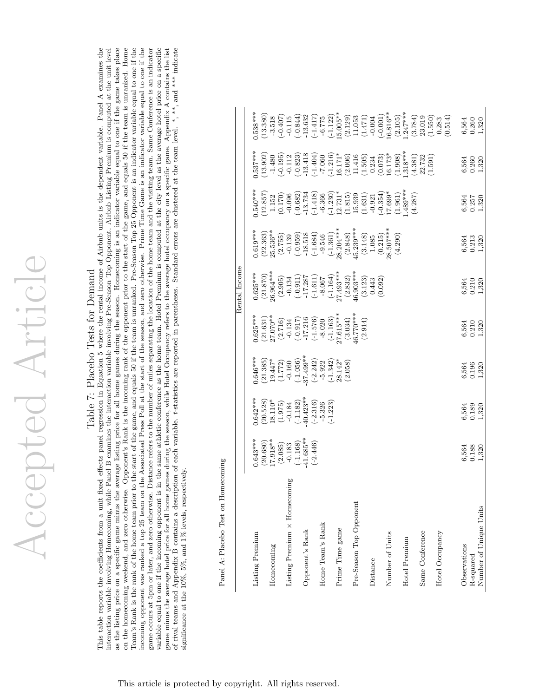## Table 7: Placebo Tests for Demand Table 7: Placebo Tests for Demand

on the homecoming weekend, and zero otherwise. Opponent's Rank is the incoming rank of the opponent prior to the start of the game, and equals 50 if the team is unranked. Home incoming opponent was ranked a top 25 team on the Associated Press Poll at the start of the season, and zero otherwise. Prime Time Game is an indicator variable equal to one if the This table reports the coefficients from a unit fixed effects panel regression in Equation 5 where the rental income of Airbnb units is the dependent variable. Panel A examines the as the listing price on a specific game minus the average listing price for all home games during the season. Homecoming is an indicator variable equal to one if the game takes place Team's Rank is the rank of the home team prior to the start of the game, and equals 50 if the team is unranked. Pre-Season Top 25 Opponent is an indicator variable equal to one if the game occurs at 5pm or later, and zero otherwise. Distance refers to the number of miles separating the location of the home team and the visiting team. Same Conference is an indicator variable equal to one if the incoming opponent is in the same athletic conference as the home team. Hotel Premium is computed at the city level as the average hotel price on a specific of rival teams and Appendix B contains a description of each variable. t-statistics are reported in parentheses. Standard errors are clustered at the team level. \*,\*\*, and \*\*\* indicate This table reports the coefficients from a unit fixed effects panel regression in Equation 5 where the rental income of Airbnb units is the dependent variable. Panel A examines the interaction variable involving Homecoming, while Panel B examines the interaction variable involving Pre-Season Top Opponent. Airbnb Listing Premium is computed at the unit level interaction variable involving Homecoming, while Panel B examines the interaction variable involving Pre-Season Top Opponent. Airbnb Listing Premium is computed at the unit level as the listing price on a specific game minus the average listing price for all home games during the season. Homecoming is an indicator variable equal to one if the game takes place on the homecoming weekend, and zero otherwise. Opponent's Rank is the incoming rank of the opponent prior to the start of the game, and equals 50 if the team is unranked. Home Team's Rank is the rank of the home team prior to the start of the game, and equals 50 if the team is unranked. Pre-Season Top 25 Opponent is an indicator variable equal to one if the incoming opponent was ranked a top 25 team on the Associated Press Poll at the start of the season, and zero otherwise. Prime Time Game is an indicator variable equal to one if the game occurs at 5pm or later, and zero otherwise. Distance refers to the number of miles separating the location of the home team and the visiting team. Same Conference is an indicator variable equal to one if the incoming opponent is in the same athletic conference as the home team. Hotel Premium is computed at the city level as the average hotel price on a specific game minus the average hotel price for all home games during the season, while Hotel Occupancy refers to the average hotel occupancy on a specific game. Appendix A contains the list game minus the average hotel price for all home games during the season, while Hotel Occupancy refers to the average hotel occupancy on a specific game. Appendix A contains the list of rival teams and Appendix B contains a description of each variable. t-statistics are reported in parentheses. Standard errors are clustered at the team level. \*, \*\*, and \*\*\* indicate significance at the  $10\%, 5\%,$  and  $1\%$  levels, respectively. significance at the 10%, 5%, and 1% levels, respectively.

Panel A: Placebo Test on Homecoming Panel A: Placebo Test on Homecoming

|                                     |                                                                            |                                                                                                                                           |                                                                                                                                                                                 |                                                                                                                                                                                                                                                                                                                            | Rental Income                                                                                                                                                                                                |                                                                                                                                                                                                                                                                                                                        |                                                                                                                                                                                                                                                                                        |                                                                                                                                                                                                                                                                                                                               |                                                                                                                                                                                                                                                                                              |
|-------------------------------------|----------------------------------------------------------------------------|-------------------------------------------------------------------------------------------------------------------------------------------|---------------------------------------------------------------------------------------------------------------------------------------------------------------------------------|----------------------------------------------------------------------------------------------------------------------------------------------------------------------------------------------------------------------------------------------------------------------------------------------------------------------------|--------------------------------------------------------------------------------------------------------------------------------------------------------------------------------------------------------------|------------------------------------------------------------------------------------------------------------------------------------------------------------------------------------------------------------------------------------------------------------------------------------------------------------------------|----------------------------------------------------------------------------------------------------------------------------------------------------------------------------------------------------------------------------------------------------------------------------------------|-------------------------------------------------------------------------------------------------------------------------------------------------------------------------------------------------------------------------------------------------------------------------------------------------------------------------------|----------------------------------------------------------------------------------------------------------------------------------------------------------------------------------------------------------------------------------------------------------------------------------------------|
| Listing Premium                     | $0.643***$                                                                 | $0.642***$                                                                                                                                | $-646***$                                                                                                                                                                       | $0.625***$                                                                                                                                                                                                                                                                                                                 | $0.625***$                                                                                                                                                                                                   | $0.619***$                                                                                                                                                                                                                                                                                                             | $0.540***$                                                                                                                                                                                                                                                                             | $.537***$                                                                                                                                                                                                                                                                                                                     | $.538***$                                                                                                                                                                                                                                                                                    |
|                                     |                                                                            |                                                                                                                                           |                                                                                                                                                                                 |                                                                                                                                                                                                                                                                                                                            |                                                                                                                                                                                                              | $(22.363)$<br>25.536**                                                                                                                                                                                                                                                                                                 |                                                                                                                                                                                                                                                                                        | (13.902)                                                                                                                                                                                                                                                                                                                      |                                                                                                                                                                                                                                                                                              |
| Homecoming                          |                                                                            |                                                                                                                                           |                                                                                                                                                                                 |                                                                                                                                                                                                                                                                                                                            |                                                                                                                                                                                                              |                                                                                                                                                                                                                                                                                                                        |                                                                                                                                                                                                                                                                                        |                                                                                                                                                                                                                                                                                                                               |                                                                                                                                                                                                                                                                                              |
|                                     | $(20.680)$<br>17.918**<br>(2.085)<br>(2.085)<br>-0.183<br>446)<br>(-2.446) | $\begin{array}{l} (20.528) \\ 18.110^{*} \\ (1.975) \\ -0.184 \\ (-1.182) \\ (-1.182) \\ (40.423^{***} \\ (-2.316) \\ -5.326 \end{array}$ | $\begin{array}{l} (21.385) \\ 19.447^* \\ (1.772) \\ -0.160 \\ (-1.056) \\ (-1.056) \\ (-2.242) \\ -5.922 \\ (-3.37142^*) \\ (-1.342) \\ (-1.342) \\ (-1.342^*) \\ \end{array}$ | $\begin{array}{l} (21.631) \\ 27.070^{**} \\ (2.716) \\ (1.314) \\ (-0.917) \\ (-1.7216) \\ (-1.656) \\ (-1.657) \\ (3.034) \\ (3.034) \\ (3.034) \\ (3.035) \\ (3.034) \\ (3.035) \\ (3.034) \\ (3.035) \\ (3.037) \\ (3.037) \\ (3.038) \\ (3.039) \\ (3.034) \\ (3.037) \\ (3.038) \\ (3.039) \\ (3.039) \\ (3.030) \\$ | $\begin{array}{l} (21.870)\\ 264^{***}\\ 26.964^{***}\\ (2.905)\\ (-0.134)\\ (-1.7287\\ (-1.611)\\ (-1.611)\\ (-1.617)\\ (-1.614)\\ (2.832)\\ (2.832)\\ (2.832)\\ (3.123)\\ (3.123)\\ (3.124)\\ \end{array}$ | $\begin{array}{l} (2.755)\\ (-0.139\\ -0.139\\ (-1.864)\\ (-1.864)\\ (-1.361)\\ (-1.361)\\ (2.33)\\ (3.148)\\ (3.148)\\ (3.148)\\ (-1.361)\\ (3.148)\\ (-1.085)\\ (-1.085)\\ (-1.085)\\ (-2.15)\\ (-2.15)\\ (-2.15)\\ (-2.15)\\ (-2.15)\\ (-2.15)\\ (-2.15)\\ (-2.15)\\ (-2.15)\\ (-2.15)\\ (-2.15)\\ (-2.15)\\ (-2.1$ | $\begin{array}{l} (12.857)\\ (11.152)\\ (11.152)\\ (11.152)\\ (11.152)\\ (11.152)\\ (11.152)\\ (11.152)\\ (11.152)\\ (11.152)\\ (11.152)\\ (11.152)\\ (11.152)\\ (11.152)\\ (11.152)\\ (11.152)\\ (11.152)\\ (11.152)\\ (11.152)\\ (11.152)\\ (11.152)\\ (11.152)\\ (11.152)\\ (11.15$ | $\begin{array}{l} (-0.195) \\ -0.112 \\ -0.823) \\ -13.418 \\ -1.404) \\ -1.4141 \\ -1.505) \\ -1.4141 \\ -1.505) \\ -1.4161 \\ -1.505) \\ -1.4161 \\ -1.505) \\ -1.508 \\ -1.508 \\ -1.508 \\ -1.508 \\ -1.508 \\ -1.508 \\ -1.508 \\ -1.508 \\ -1.508 \\ -1.508 \\ -1.508 \\ -1.508 \\ -1.508 \\ -1.508 \\ -1.508 \\ -1.50$ | $\begin{array}{l} (13.380)\\ (13.518)\\ (14.67)\\ (14.67)\\ (14.67)\\ (14.67)\\ (14.67)\\ (14.67)\\ (14.67)\\ (14.67)\\ (14.67)\\ (14.67)\\ (14.67)\\ (14.67)\\ (14.67)\\ (14.67)\\ (14.67)\\ (14.67)\\ (14.67)\\ (14.67)\\ (14.67)\\ (14.67)\\ (14.67)\\ (14.67)\\ (14.67)\\ (14.67)\\ (14$ |
| Listing Premium $\times$ Homecoming |                                                                            |                                                                                                                                           |                                                                                                                                                                                 |                                                                                                                                                                                                                                                                                                                            |                                                                                                                                                                                                              |                                                                                                                                                                                                                                                                                                                        |                                                                                                                                                                                                                                                                                        |                                                                                                                                                                                                                                                                                                                               |                                                                                                                                                                                                                                                                                              |
| Opponent's Rank                     |                                                                            |                                                                                                                                           |                                                                                                                                                                                 |                                                                                                                                                                                                                                                                                                                            |                                                                                                                                                                                                              |                                                                                                                                                                                                                                                                                                                        |                                                                                                                                                                                                                                                                                        |                                                                                                                                                                                                                                                                                                                               |                                                                                                                                                                                                                                                                                              |
|                                     |                                                                            |                                                                                                                                           |                                                                                                                                                                                 |                                                                                                                                                                                                                                                                                                                            |                                                                                                                                                                                                              |                                                                                                                                                                                                                                                                                                                        |                                                                                                                                                                                                                                                                                        |                                                                                                                                                                                                                                                                                                                               |                                                                                                                                                                                                                                                                                              |
| Home Team's Rank                    |                                                                            |                                                                                                                                           |                                                                                                                                                                                 |                                                                                                                                                                                                                                                                                                                            |                                                                                                                                                                                                              |                                                                                                                                                                                                                                                                                                                        |                                                                                                                                                                                                                                                                                        |                                                                                                                                                                                                                                                                                                                               |                                                                                                                                                                                                                                                                                              |
|                                     |                                                                            |                                                                                                                                           |                                                                                                                                                                                 |                                                                                                                                                                                                                                                                                                                            |                                                                                                                                                                                                              |                                                                                                                                                                                                                                                                                                                        |                                                                                                                                                                                                                                                                                        |                                                                                                                                                                                                                                                                                                                               |                                                                                                                                                                                                                                                                                              |
| Prime Time game                     |                                                                            |                                                                                                                                           |                                                                                                                                                                                 |                                                                                                                                                                                                                                                                                                                            |                                                                                                                                                                                                              |                                                                                                                                                                                                                                                                                                                        |                                                                                                                                                                                                                                                                                        |                                                                                                                                                                                                                                                                                                                               |                                                                                                                                                                                                                                                                                              |
|                                     |                                                                            |                                                                                                                                           |                                                                                                                                                                                 |                                                                                                                                                                                                                                                                                                                            |                                                                                                                                                                                                              |                                                                                                                                                                                                                                                                                                                        |                                                                                                                                                                                                                                                                                        |                                                                                                                                                                                                                                                                                                                               |                                                                                                                                                                                                                                                                                              |
| Pre-Season Top Opponent             |                                                                            |                                                                                                                                           |                                                                                                                                                                                 |                                                                                                                                                                                                                                                                                                                            |                                                                                                                                                                                                              |                                                                                                                                                                                                                                                                                                                        |                                                                                                                                                                                                                                                                                        |                                                                                                                                                                                                                                                                                                                               |                                                                                                                                                                                                                                                                                              |
|                                     |                                                                            |                                                                                                                                           |                                                                                                                                                                                 |                                                                                                                                                                                                                                                                                                                            |                                                                                                                                                                                                              |                                                                                                                                                                                                                                                                                                                        |                                                                                                                                                                                                                                                                                        |                                                                                                                                                                                                                                                                                                                               |                                                                                                                                                                                                                                                                                              |
| Distance                            |                                                                            |                                                                                                                                           |                                                                                                                                                                                 |                                                                                                                                                                                                                                                                                                                            |                                                                                                                                                                                                              |                                                                                                                                                                                                                                                                                                                        |                                                                                                                                                                                                                                                                                        |                                                                                                                                                                                                                                                                                                                               |                                                                                                                                                                                                                                                                                              |
|                                     |                                                                            |                                                                                                                                           |                                                                                                                                                                                 |                                                                                                                                                                                                                                                                                                                            |                                                                                                                                                                                                              |                                                                                                                                                                                                                                                                                                                        |                                                                                                                                                                                                                                                                                        |                                                                                                                                                                                                                                                                                                                               |                                                                                                                                                                                                                                                                                              |
| Number of Units                     |                                                                            |                                                                                                                                           |                                                                                                                                                                                 |                                                                                                                                                                                                                                                                                                                            |                                                                                                                                                                                                              |                                                                                                                                                                                                                                                                                                                        |                                                                                                                                                                                                                                                                                        |                                                                                                                                                                                                                                                                                                                               |                                                                                                                                                                                                                                                                                              |
|                                     |                                                                            |                                                                                                                                           |                                                                                                                                                                                 |                                                                                                                                                                                                                                                                                                                            |                                                                                                                                                                                                              |                                                                                                                                                                                                                                                                                                                        |                                                                                                                                                                                                                                                                                        |                                                                                                                                                                                                                                                                                                                               |                                                                                                                                                                                                                                                                                              |
| Hotel Premium                       |                                                                            |                                                                                                                                           |                                                                                                                                                                                 |                                                                                                                                                                                                                                                                                                                            |                                                                                                                                                                                                              |                                                                                                                                                                                                                                                                                                                        |                                                                                                                                                                                                                                                                                        |                                                                                                                                                                                                                                                                                                                               |                                                                                                                                                                                                                                                                                              |
|                                     |                                                                            |                                                                                                                                           |                                                                                                                                                                                 |                                                                                                                                                                                                                                                                                                                            |                                                                                                                                                                                                              |                                                                                                                                                                                                                                                                                                                        | (4.287)                                                                                                                                                                                                                                                                                | $\begin{array}{c} (4.381) \\ 22.732 \\ (1.591) \end{array}$                                                                                                                                                                                                                                                                   |                                                                                                                                                                                                                                                                                              |
| Same Conference                     |                                                                            |                                                                                                                                           |                                                                                                                                                                                 |                                                                                                                                                                                                                                                                                                                            |                                                                                                                                                                                                              |                                                                                                                                                                                                                                                                                                                        |                                                                                                                                                                                                                                                                                        |                                                                                                                                                                                                                                                                                                                               |                                                                                                                                                                                                                                                                                              |
|                                     |                                                                            |                                                                                                                                           |                                                                                                                                                                                 |                                                                                                                                                                                                                                                                                                                            |                                                                                                                                                                                                              |                                                                                                                                                                                                                                                                                                                        |                                                                                                                                                                                                                                                                                        |                                                                                                                                                                                                                                                                                                                               |                                                                                                                                                                                                                                                                                              |
| Hotel Occupancy                     |                                                                            |                                                                                                                                           |                                                                                                                                                                                 |                                                                                                                                                                                                                                                                                                                            |                                                                                                                                                                                                              |                                                                                                                                                                                                                                                                                                                        |                                                                                                                                                                                                                                                                                        |                                                                                                                                                                                                                                                                                                                               |                                                                                                                                                                                                                                                                                              |
|                                     |                                                                            |                                                                                                                                           |                                                                                                                                                                                 |                                                                                                                                                                                                                                                                                                                            |                                                                                                                                                                                                              |                                                                                                                                                                                                                                                                                                                        |                                                                                                                                                                                                                                                                                        |                                                                                                                                                                                                                                                                                                                               | (0.514)                                                                                                                                                                                                                                                                                      |
| Observations                        | $\begin{array}{c} 6,564 \\ 0.188 \\ 1,320 \end{array}$                     | $\begin{array}{c} 6,564 \\ 0.189 \\ 1,320 \end{array}$                                                                                    | 6,564<br>0.196<br>1,320                                                                                                                                                         | 6,564<br>0.210<br>1,320                                                                                                                                                                                                                                                                                                    | 6,564<br>0.210<br>1,320                                                                                                                                                                                      | 6,564<br>0.213<br>1,320                                                                                                                                                                                                                                                                                                | 6,564<br>0.257<br>1,320                                                                                                                                                                                                                                                                | 6,564<br>0.260<br>1,320                                                                                                                                                                                                                                                                                                       | $6,564$<br>0.260<br>1,320                                                                                                                                                                                                                                                                    |
| R-squared                           |                                                                            |                                                                                                                                           |                                                                                                                                                                                 |                                                                                                                                                                                                                                                                                                                            |                                                                                                                                                                                                              |                                                                                                                                                                                                                                                                                                                        |                                                                                                                                                                                                                                                                                        |                                                                                                                                                                                                                                                                                                                               |                                                                                                                                                                                                                                                                                              |
| Number of Unique Units              |                                                                            |                                                                                                                                           |                                                                                                                                                                                 |                                                                                                                                                                                                                                                                                                                            |                                                                                                                                                                                                              |                                                                                                                                                                                                                                                                                                                        |                                                                                                                                                                                                                                                                                        |                                                                                                                                                                                                                                                                                                                               |                                                                                                                                                                                                                                                                                              |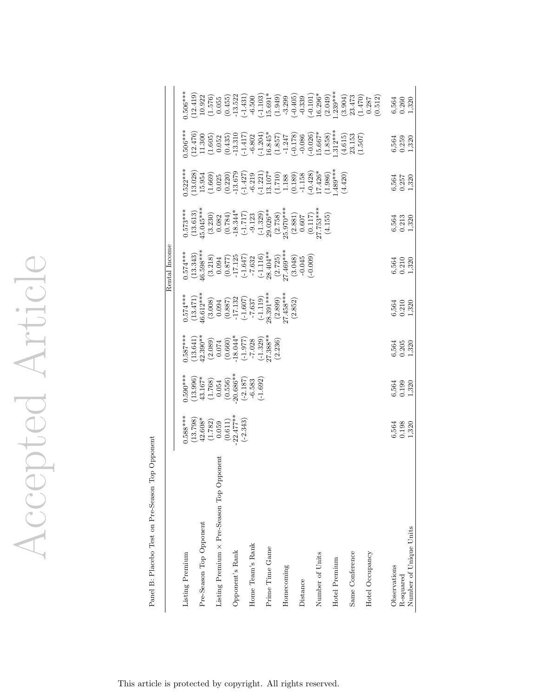| $0.506***$<br>$.312***$<br>$\begin{array}{c} (-0.026) \\ 15.667* \\ (1.858) \end{array}$<br>$\begin{array}{l} (12.476)\\ 11.300\\ (1.605)\\ 0.052\\ (0.435)\\ -13.310 \end{array}$<br>16.845*<br>$\begin{array}{c} (1.857) \\ -1.247 \\ (-0.178) \end{array}$<br>$(-1.204)$<br>$(-1.417)$<br>$-6.802$<br>$-0.086$<br>23.153<br>(1.507)<br>$6,564$<br>0.259<br>1,320<br>$0.522***$<br>$(-0.428)$<br>17.426*<br>(1.986)<br>(1.989***<br>$\begin{array}{c} (13.028)\\ 15.954\\ 16.669)\\ (1.669)\\ 0.025\\ (0.220)\\ -13.679 \end{array}$<br>$(-1.427)$<br>$-6.219$<br>$(-1.221)$<br>$(1.221)$<br>$13.107*$<br>(4.420)<br>$\begin{array}{c} (1.710) \\ 1.188 \\ (0.189) \end{array}$<br>$-1.158$<br>$\begin{array}{c} 6,564 \\ 0.257 \\ 1,320 \end{array}$<br>$0.573***$<br>$\begin{array}{c} (0.784) \\ -18.344^{*} \\ (-1.717) \\ -9.123 \\ (-1.329) \\ -0.26^{**} \end{array}$<br>$\begin{array}{c} (2.758)\\ (2.5970^{***}\\ (2.881)\\ (0.607\\ 0.607\\ (0.117)\\ 27.753^{***}\\ (4.155) \end{array}$<br>$(13.613)$<br>45.045***<br>(3.230)<br>0.082<br>6,564<br>$0.574***$<br>$(-1.116)$<br>28.404**<br>$(13.343)$<br>46.598***<br>$(2.725)$<br>$27.469***$<br>$(3.048)$<br>$-0.045$<br>$\begin{array}{c} (3.218) \\ 0.094 \\ (0.877) \\ (17.125 \\ -17.125 \\ (-1.647) \\ -7.632 \end{array}$<br>$(-0.009)$<br>6,564<br>$\frac{(-1.119)}{28.391***}$<br>$(2.899)$<br>27.458***<br>$0.574***$<br>$(13.471)$<br>46.612***<br>$\begin{array}{c} (0.887) \\ -17.132 \\ (-1.607) \\ -7.637 \end{array}$<br>$\begin{array}{c} (3.008) \\ 0.094 \end{array}$<br>(2.852)<br>6,564<br>$0.587***$<br>$\frac{(-1.329)}{27.388**}$<br>$(13.641)$<br>42.390**<br>$\begin{array}{c} (2.089) \\ 0.074 \\ (0.660) \\ (0.660) \\ -18.044* \\ (-1.977) \\ (-1.977) \\ \end{array}$<br>(2.236)<br>$\begin{array}{c} 6,564 \\ 0.205 \\ 1,320 \end{array}$<br>$\begin{array}{c} 43.167^{*} \\ (1.768) \\ 0.054 \\ (0.556) \\ (-20.686^{**} \end{array}$<br>$0.590***$<br>$(-2.187)$<br>-6.583<br>(13.996)<br>$(-1.692)$<br>$\begin{array}{c} 6,564 \\ 0.199 \\ 1,320 \end{array}$<br>$-22.477**$<br>$0.588***$<br>(13.798)<br>$42.608*$<br>$(-2.343)$<br>$(1.782)$<br>0.059<br>(0.611)<br>6,564<br>Listing Premium × Pre-Season Top Opponent<br>Pre-Season Top Opponent<br>Home Team's Rank<br>Prime Time Game<br>Opponent's Rank<br>Same Conference<br>Number of Units<br>Listing Premium<br>Hotel Occupancy<br>Hotel Premium<br>Observations<br>Homecoming<br>Distance |           |       |  |                       | Rental Income         |                       |         |  |
|--------------------------------------------------------------------------------------------------------------------------------------------------------------------------------------------------------------------------------------------------------------------------------------------------------------------------------------------------------------------------------------------------------------------------------------------------------------------------------------------------------------------------------------------------------------------------------------------------------------------------------------------------------------------------------------------------------------------------------------------------------------------------------------------------------------------------------------------------------------------------------------------------------------------------------------------------------------------------------------------------------------------------------------------------------------------------------------------------------------------------------------------------------------------------------------------------------------------------------------------------------------------------------------------------------------------------------------------------------------------------------------------------------------------------------------------------------------------------------------------------------------------------------------------------------------------------------------------------------------------------------------------------------------------------------------------------------------------------------------------------------------------------------------------------------------------------------------------------------------------------------------------------------------------------------------------------------------------------------------------------------------------------------------------------------------------------------------------------------------------------------------------------------------------------------------------------------------------------------------------------------------------------------------------------------------------------------------------------------------------------------------------------------------------------------------------------------|-----------|-------|--|-----------------------|-----------------------|-----------------------|---------|--|
|                                                                                                                                                                                                                                                                                                                                                                                                                                                                                                                                                                                                                                                                                                                                                                                                                                                                                                                                                                                                                                                                                                                                                                                                                                                                                                                                                                                                                                                                                                                                                                                                                                                                                                                                                                                                                                                                                                                                                                                                                                                                                                                                                                                                                                                                                                                                                                                                                                                        |           |       |  |                       |                       |                       |         |  |
|                                                                                                                                                                                                                                                                                                                                                                                                                                                                                                                                                                                                                                                                                                                                                                                                                                                                                                                                                                                                                                                                                                                                                                                                                                                                                                                                                                                                                                                                                                                                                                                                                                                                                                                                                                                                                                                                                                                                                                                                                                                                                                                                                                                                                                                                                                                                                                                                                                                        |           |       |  |                       |                       |                       |         |  |
|                                                                                                                                                                                                                                                                                                                                                                                                                                                                                                                                                                                                                                                                                                                                                                                                                                                                                                                                                                                                                                                                                                                                                                                                                                                                                                                                                                                                                                                                                                                                                                                                                                                                                                                                                                                                                                                                                                                                                                                                                                                                                                                                                                                                                                                                                                                                                                                                                                                        |           |       |  |                       |                       |                       |         |  |
|                                                                                                                                                                                                                                                                                                                                                                                                                                                                                                                                                                                                                                                                                                                                                                                                                                                                                                                                                                                                                                                                                                                                                                                                                                                                                                                                                                                                                                                                                                                                                                                                                                                                                                                                                                                                                                                                                                                                                                                                                                                                                                                                                                                                                                                                                                                                                                                                                                                        |           |       |  |                       |                       |                       |         |  |
|                                                                                                                                                                                                                                                                                                                                                                                                                                                                                                                                                                                                                                                                                                                                                                                                                                                                                                                                                                                                                                                                                                                                                                                                                                                                                                                                                                                                                                                                                                                                                                                                                                                                                                                                                                                                                                                                                                                                                                                                                                                                                                                                                                                                                                                                                                                                                                                                                                                        |           |       |  |                       |                       |                       |         |  |
|                                                                                                                                                                                                                                                                                                                                                                                                                                                                                                                                                                                                                                                                                                                                                                                                                                                                                                                                                                                                                                                                                                                                                                                                                                                                                                                                                                                                                                                                                                                                                                                                                                                                                                                                                                                                                                                                                                                                                                                                                                                                                                                                                                                                                                                                                                                                                                                                                                                        |           |       |  |                       |                       |                       |         |  |
|                                                                                                                                                                                                                                                                                                                                                                                                                                                                                                                                                                                                                                                                                                                                                                                                                                                                                                                                                                                                                                                                                                                                                                                                                                                                                                                                                                                                                                                                                                                                                                                                                                                                                                                                                                                                                                                                                                                                                                                                                                                                                                                                                                                                                                                                                                                                                                                                                                                        |           |       |  |                       |                       |                       |         |  |
|                                                                                                                                                                                                                                                                                                                                                                                                                                                                                                                                                                                                                                                                                                                                                                                                                                                                                                                                                                                                                                                                                                                                                                                                                                                                                                                                                                                                                                                                                                                                                                                                                                                                                                                                                                                                                                                                                                                                                                                                                                                                                                                                                                                                                                                                                                                                                                                                                                                        |           |       |  |                       |                       |                       |         |  |
|                                                                                                                                                                                                                                                                                                                                                                                                                                                                                                                                                                                                                                                                                                                                                                                                                                                                                                                                                                                                                                                                                                                                                                                                                                                                                                                                                                                                                                                                                                                                                                                                                                                                                                                                                                                                                                                                                                                                                                                                                                                                                                                                                                                                                                                                                                                                                                                                                                                        |           |       |  |                       |                       |                       |         |  |
|                                                                                                                                                                                                                                                                                                                                                                                                                                                                                                                                                                                                                                                                                                                                                                                                                                                                                                                                                                                                                                                                                                                                                                                                                                                                                                                                                                                                                                                                                                                                                                                                                                                                                                                                                                                                                                                                                                                                                                                                                                                                                                                                                                                                                                                                                                                                                                                                                                                        |           |       |  |                       |                       |                       |         |  |
|                                                                                                                                                                                                                                                                                                                                                                                                                                                                                                                                                                                                                                                                                                                                                                                                                                                                                                                                                                                                                                                                                                                                                                                                                                                                                                                                                                                                                                                                                                                                                                                                                                                                                                                                                                                                                                                                                                                                                                                                                                                                                                                                                                                                                                                                                                                                                                                                                                                        |           |       |  |                       |                       |                       |         |  |
|                                                                                                                                                                                                                                                                                                                                                                                                                                                                                                                                                                                                                                                                                                                                                                                                                                                                                                                                                                                                                                                                                                                                                                                                                                                                                                                                                                                                                                                                                                                                                                                                                                                                                                                                                                                                                                                                                                                                                                                                                                                                                                                                                                                                                                                                                                                                                                                                                                                        |           |       |  |                       |                       |                       |         |  |
|                                                                                                                                                                                                                                                                                                                                                                                                                                                                                                                                                                                                                                                                                                                                                                                                                                                                                                                                                                                                                                                                                                                                                                                                                                                                                                                                                                                                                                                                                                                                                                                                                                                                                                                                                                                                                                                                                                                                                                                                                                                                                                                                                                                                                                                                                                                                                                                                                                                        |           |       |  |                       |                       |                       |         |  |
|                                                                                                                                                                                                                                                                                                                                                                                                                                                                                                                                                                                                                                                                                                                                                                                                                                                                                                                                                                                                                                                                                                                                                                                                                                                                                                                                                                                                                                                                                                                                                                                                                                                                                                                                                                                                                                                                                                                                                                                                                                                                                                                                                                                                                                                                                                                                                                                                                                                        |           |       |  |                       |                       |                       |         |  |
|                                                                                                                                                                                                                                                                                                                                                                                                                                                                                                                                                                                                                                                                                                                                                                                                                                                                                                                                                                                                                                                                                                                                                                                                                                                                                                                                                                                                                                                                                                                                                                                                                                                                                                                                                                                                                                                                                                                                                                                                                                                                                                                                                                                                                                                                                                                                                                                                                                                        |           |       |  |                       |                       |                       | (4.615) |  |
|                                                                                                                                                                                                                                                                                                                                                                                                                                                                                                                                                                                                                                                                                                                                                                                                                                                                                                                                                                                                                                                                                                                                                                                                                                                                                                                                                                                                                                                                                                                                                                                                                                                                                                                                                                                                                                                                                                                                                                                                                                                                                                                                                                                                                                                                                                                                                                                                                                                        |           |       |  |                       |                       |                       |         |  |
|                                                                                                                                                                                                                                                                                                                                                                                                                                                                                                                                                                                                                                                                                                                                                                                                                                                                                                                                                                                                                                                                                                                                                                                                                                                                                                                                                                                                                                                                                                                                                                                                                                                                                                                                                                                                                                                                                                                                                                                                                                                                                                                                                                                                                                                                                                                                                                                                                                                        |           |       |  |                       |                       |                       |         |  |
|                                                                                                                                                                                                                                                                                                                                                                                                                                                                                                                                                                                                                                                                                                                                                                                                                                                                                                                                                                                                                                                                                                                                                                                                                                                                                                                                                                                                                                                                                                                                                                                                                                                                                                                                                                                                                                                                                                                                                                                                                                                                                                                                                                                                                                                                                                                                                                                                                                                        |           |       |  |                       |                       |                       |         |  |
|                                                                                                                                                                                                                                                                                                                                                                                                                                                                                                                                                                                                                                                                                                                                                                                                                                                                                                                                                                                                                                                                                                                                                                                                                                                                                                                                                                                                                                                                                                                                                                                                                                                                                                                                                                                                                                                                                                                                                                                                                                                                                                                                                                                                                                                                                                                                                                                                                                                        |           |       |  |                       |                       |                       |         |  |
| 1,320                                                                                                                                                                                                                                                                                                                                                                                                                                                                                                                                                                                                                                                                                                                                                                                                                                                                                                                                                                                                                                                                                                                                                                                                                                                                                                                                                                                                                                                                                                                                                                                                                                                                                                                                                                                                                                                                                                                                                                                                                                                                                                                                                                                                                                                                                                                                                                                                                                                  | R-squared | 0.198 |  | $\frac{0.210}{1.320}$ | $\frac{0.210}{1.320}$ | $\frac{0.213}{1.320}$ |         |  |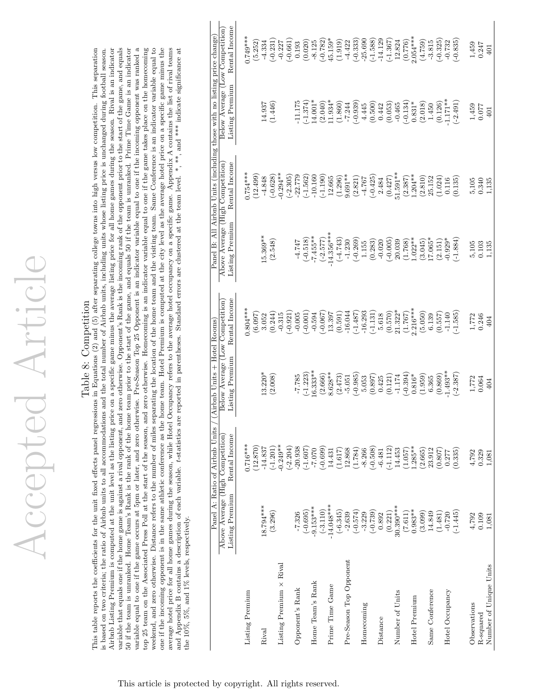## Table 8: Competition Table 8: Competition

is based on two criteria; the ratio of Airbnb units to all accommodations and the total number of Airbnb units, including units whose listing price is unchanged during football season. Airbnb Listing Premium is computed at the unit level as the listing price on a specific game minus the average listing price for all home games during the season. Rival is an indicator 50 if the team is unranked. Home Team's Rank is the rank of the home team prior to the start of the game, and equals 50 if the team is unranked. Prime Time Game is an indicator variable equal to one if the game occurs at 5pm or later, and zero otherwise. Pre-Season Top 25 Opponent is an indicator variable equal to one if the incoming opponent was ranked a variable equal to one if the game occurs at 5pm or later, and zero otherwise. Pre-Season Top 25 Opponent is an indicator variable equal to one if the incoming opponent was ranked a weekend, and zero otherwise. Distance refers to the number of miles separating the location of the home team and the visiting team. Same Conference is an indicator variable equal to one if the incoming opponent is in the same athletic conference as the home team. Hotel Premium is computed at the city level as the average hotel price on a specific game minus the and Appendix B contains a description of each variable. t-statistics are reported in parentheses. Standard errors are clustered at the team level. \*,\*\*\*, and \*\*\* indicate significance at and the standard errors are cluster This table reports the coefficients for the unit fixed effects panel regressions in Equations  $(2)$  and  $(5)$  after separating college towns into high versus low competition. This separation This table reports the coefficients for the unit fixed effects panel regressions in Equations (2) and (5) after separating college towns into high versus low competition. This separation Airbnb Listing Premium is computed at the unit level as the listing price on a specific game minus the average listing price for all home games during the season. Rival is an indicator variable that equals one if the home game is against a rival opponent, and zero otherwise. Opponent's Rank is the incoming rank of the opponent prior to the start of the game, and equals variable that equals one if the home game is against a rival opponent, and zero otherwise. Opponent's Rank is the incoming rank of the opponent prior to the start of the game, and equals 50 if the team is unranked. Home Team's Rank is the rank of the home team prior to the start of the game, and equals 50 if the team is unranked. Prime Time Game is an indicator top 25 team on the Associated Press Poll at the start of the season, and zero otherwise. Homecoming is an indicator variable equal to one if the game takes place on the homecoming top 25 team on the Associated Press Poll at the start of the season, and zero otherwise. Homecoming is an indicator variable equal to one if the game takes place on the homecoming weekend, and zero otherwise. Distance refers to the number of miles separating the location of the home team and the visiting team. Same Conference is an indicator variable equal to one if the incoming opponent is in the same athletic conference as the home team. Hotel Premium is computed at the city level as the average hotel price on a specific game minus the average hotel price for all home games during the season, while Hotel Occupancy refers to the average hotel occupancy on a specific game. Appendix A contains the list of rival teams average hotel price for all home games during the season, while Hotel Occupancy refers to the average hotel occupancy on a specific game. Appendix A contains the list of rival teams and Appendix B contains a description of each variable. t-statistics are reported in parentheses. Standard errors are clustered at the team level. \*, \*\*, and \*\*\* indicate significance at is based on two criteria; the ratio of Airbnb units to all accommodations and the total number of Airbnb units, including units whose listing price is unchanged during football season. the 10%, 5%, and 1% levels, respectively. the 10%, 5%, and 1% levels, respectively.

|                                |                                                     | Panel A: Ratio of Airbnb Units | Airbnb Units + Hotel Rooms                         |                      |                                                    |                      | Panel B: All Airbnb Units (including those with no listing price change) |                                                               |
|--------------------------------|-----------------------------------------------------|--------------------------------|----------------------------------------------------|----------------------|----------------------------------------------------|----------------------|--------------------------------------------------------------------------|---------------------------------------------------------------|
|                                | Above Average (High Competition)<br>Listing Premium | Rental Income                  | Below Average (Low Competition)<br>Listing Premium | Rental Income        | Above Average (High Competition<br>Listing Premium | Rental Income        | Below Average (Low Competition<br>Listing Premium                        | Rental Income                                                 |
| Listing Premium                |                                                     | $0.716***$                     |                                                    | $0.804***$           |                                                    | $0.754***$           |                                                                          | $0.749***$                                                    |
|                                |                                                     | (12.870)                       |                                                    | (6.097)              |                                                    | (12.499)             |                                                                          | (5.252)                                                       |
| Rival                          | $18.794***$                                         | $-14.837$                      | $13.220*$                                          |                      | $5.369**$                                          | $-4.848$             | 14.937                                                                   | $-4.334$                                                      |
|                                | (3.296)                                             | $(-1.201)$                     | (2.008)                                            | $3.052$<br>$(0.244)$ | (2.548)                                            | $(-0.628)$           | (1.446)                                                                  | $(-0.231)$                                                    |
| Listing Premium $\times$ Rival |                                                     | $-0.249**$                     |                                                    | $-0.315$             |                                                    | $0.294***$           |                                                                          | $-0.227$                                                      |
|                                |                                                     | $(-2.204)$                     |                                                    | $(-0.921)$           |                                                    | $(-2.305)$           |                                                                          | $(-0.661)$                                                    |
| Opponent's Rank                | $-7.326$                                            | $-20.938$                      | $-7.785$                                           | $-0.005$             | $-4.747$                                           | $-22.779$            | $-11.175$                                                                | 0.193                                                         |
|                                | $(-0.695)$                                          | $(-1.607)$                     | $(-1.223)$                                         | $(-0.001)$           | $(-0.518)$                                         | $(-1.562)$           |                                                                          | (0.020)                                                       |
| Home Team's Rank               | $-9.153***$                                         | $-7.070$                       | $16.333**$                                         | $-0.594$             | $-7.455***$                                        | $-10.160$            | $(1.374)$<br>14.001*                                                     | $-8.125$                                                      |
|                                | $(-3.110)$                                          | $(-0.699)$                     | (2.666)                                            | $(-0.067)$           | $(-2.577)$<br>14.356***                            | $(-1.190)$           | $(2.040)$<br>11.934*                                                     | $(-0.782)$                                                    |
| Prime Time Game                | $-14.048***$                                        | 14.431                         | $8.628**$                                          | 13.397               |                                                    | 12.665               |                                                                          | 45.159*                                                       |
|                                | $(-6.345)$                                          | (1.617)                        | (2.473)                                            | $(0.591)$<br>-16.044 | $(-4.743)$                                         | $(1.296)$<br>9.691** | $\left( 1.860\right)$ $-7.244$                                           | (1.919)                                                       |
| Pre-Season Top Opponent        | $-2.639$                                            | 12.868                         | $-5.051$                                           |                      | $-1.230$                                           |                      |                                                                          | $-4.422$                                                      |
|                                | $(-0.574)$                                          | (1.784)                        | $(-0.985)$                                         | $(-1.487)$           | $(-0.269)$                                         | (2.821)              | $(-0.939)$                                                               | $(-0.333)$                                                    |
| Homecoming                     | $-3.229$                                            | $-8.266$                       | 5.053                                              | $-16.293$            |                                                    | $-4.767$             |                                                                          |                                                               |
|                                | $(-0.739)$                                          | $(-0.508)$                     | (0.897)                                            | $(-1.131)$           | (0.283)                                            | $(-0.425)$<br>2.484  | $\begin{array}{c} 4.445 \\ (0.500) \\ 0.442 \\ (0.053) \end{array}$      | $\begin{array}{c} -25.690 \\ (-1.588) \\ -14.129 \end{array}$ |
| Distance                       | 0.892                                               | $-6.481$                       | 0.425                                              | $5.618$              | $-0.020$                                           |                      |                                                                          |                                                               |
|                                | (0.221)                                             | $(-1.112)$                     | (0.121)                                            | (0.570)              | $(-0.005)$                                         | (0.427)              |                                                                          | $(-1.367)$                                                    |
| Number of Units                | $30.390***$                                         | 14.453                         | $-1.174$                                           | $21.322*$            | 20.039                                             | $51.591**$           | $-0.465$                                                                 | 12.824                                                        |
|                                | (7.611)                                             | (1.057)                        | $(-0.394)$                                         | (1.767)              | (1.768)                                            | (2.387)              | $(-0.134)$                                                               | (0.776)                                                       |
| Hotel Premium                  | $0.983**$                                           | $1.285***$                     | $0.816*$                                           | $2.216***$           | $1.022**$                                          | $1.204**$            | $0.831*$                                                                 | $2.054***$                                                    |
|                                | (3.099)                                             | (2.665)                        | (1.959)                                            | (5.050)              | $(3.045)$<br>17.065*                               | (2.810)              | $\begin{array}{c} (2.018) \\ 1.450 \end{array}$                          | (4.759)                                                       |
| Same Conference                | 14.849                                              | 23.912                         | 6.365                                              | 6.139                |                                                    | 25.152               |                                                                          | $-3.815$                                                      |
|                                | (1.481)                                             | (0.807)                        | (0.869)                                            | (0.557)              | (2.151)                                            | (1.024)              | (0.126)                                                                  | $(-0.325)$                                                    |
| Hotel Occupancy                | $-0.720$                                            | 0.277                          | $1.493**$                                          | $-1.140$             | $-0.929*$                                          | 0.116                | $1.171**$                                                                | $-0.732$                                                      |
|                                | $-1.445$                                            | (0.335)                        | $(-2.387)$                                         | $(-1.585)$           | $(-1.884)$                                         | (0.135)              | $(-2.491)$                                                               | $(-0.835)$                                                    |
| Observations                   | 4,792                                               | 4,792                          | 1,772<br>0.064                                     | 1,772<br>0.246       | 5,105                                              | $5,105$              | $1,459$<br>0.077<br>401                                                  | $1,459$<br>0.247                                              |
| R-squared                      | 0.109                                               | 0.329                          |                                                    |                      | $0.103$<br>$1,135$                                 | 0.340                |                                                                          |                                                               |
| Number of Unique Units         | 1,081                                               | 1,081                          | 404                                                | 404                  |                                                    | 1,135                |                                                                          | $401$                                                         |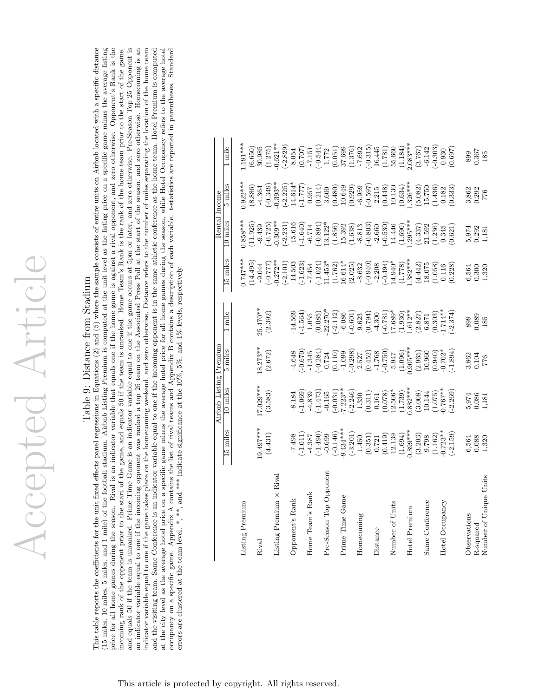## Table 9: Distance from Stadium Table 9: Distance from Stadium

This table reports the coefficients for the unit fixed effects panel regressions in Equations (2) and (5) where the sample consists of entire units on Airbnb located with a specific distance (15 miles, 10 miles, 5 miles, and 1 mile) of the football stadium. Airbnb Listing Premium is computed at the unit level as the listing price on a specific game minus the average listing price for all home games during the season. Rival is an indicator variable that equals one if the home game is against a rival opponent, and zero otherwise. Opponent's Rank is the This table reports the coefficients for the unit fixed effects panel regressions in Equations (2) and (5) where the sample consists of entire units on Airbnb located with a specific distance (15 miles, 10 miles, 5 miles, and 1 mile) of the football stadium. Airbnb Listing Premium is computed at the unit level as the listing price on a specific game minus the average listing price for all home games during the season. Rival is an indicator variable that equals one if the home game is against a rival opponent, and zero otherwise. Opponent's Rank is the incoming rank of the opponent prior to the start of the game, and equals 50 if the team is unranked. Home Team's Rank is the rank of the bome team prior to the start of the game, and equals 50 if the team is unranked. Prime Time Game is an indicator variable equal to one if the game occurs at 5pm or later, and zero otherwise. Pre-Season Top 25 Opponent is and equals 50 if the team is unranked. Prime Time Game is an indicator variable equal to one if the game occurs at 5pm or later, and zero otherwise. Pre-Season Top 25 Opponent is an indicator variable equal to one if the incoming opponent was ranked a top 25 team on the Associated Press Poll at the start of the season, and zero otherwise. Homecoming is an an indicator variable equal to one if the incoming opponent was ranked a top 25 team on the Associated Press Poll at the start of the season, and zero otherwise. Homecoming is an indicator variable equal to one if the game takes place on the homecoming weekend, and zero otherwise. Distance refers to the number of miles separating the location of the home team indicator variable equal to one if the game takes place on the homecoming weekend, and zero otherwise. Distance refers to the number of miles separating the location of the home team<br>and the vicition to compose on the midd and the visiting team. Same Conference is an indicator variable equal to one if the incoming opponent is in the same athletic conference as the home team. Hotel Premium is computed and the visiting team. Same Conference is an indicator variable equal to one if the incoming opponent is in the same athletic conference as the home team. Hotel Premium is computed at the city level as the average hotel price on a specific game minus the average hotel price for all home games during the season, while Hotel Occupancy refers to the average hotel at the city level as the average hotel price on a specific game minus the average hotel price for all home games during the season, while Hotel Occupancy refers to the average hotel occupancy on a specific game. Appendix A contains the list of rival teams and Appendix B contains a description of each variable. t-statistics are reported in parentheses. Standard occupancy on a specific game. Appendix A contains the list of rival teams and Appendix B contains a description of each variable. t-statistics are reported in parentheses. Standard incoming rank of the opponent prior to the start of the game, and equals 50 if the team is unranked. Home Team's Rank is the rank of the home team prior to the start of the game, errors are clustered at the team level.  $*, **$ , and  $***$  indicate significance at the 10%, 5%, and 1% levels, respectively. errors are clustered at the team level. \*, \*\*, and \*\*\* indicate significance at the  $10\%$ ,  $5\%$ , and  $1\%$  levels, respectively.

|                                |                                                                                                                                                                             | Airbnb Listing Premium                                                                                                                                               |                                                                                                                                                                                |                                                                                                                                                                                                      |                                                                                                             | $\rm{Rental}$                                                                                                                                                                                                                                                                                                                        | Income                                                                                                                                                                                |                                                                                                                                                                                                                                                                                              |
|--------------------------------|-----------------------------------------------------------------------------------------------------------------------------------------------------------------------------|----------------------------------------------------------------------------------------------------------------------------------------------------------------------|--------------------------------------------------------------------------------------------------------------------------------------------------------------------------------|------------------------------------------------------------------------------------------------------------------------------------------------------------------------------------------------------|-------------------------------------------------------------------------------------------------------------|--------------------------------------------------------------------------------------------------------------------------------------------------------------------------------------------------------------------------------------------------------------------------------------------------------------------------------------|---------------------------------------------------------------------------------------------------------------------------------------------------------------------------------------|----------------------------------------------------------------------------------------------------------------------------------------------------------------------------------------------------------------------------------------------------------------------------------------------|
|                                | 15 miles                                                                                                                                                                    | 10 miles                                                                                                                                                             | 5 miles                                                                                                                                                                        | 1 mile                                                                                                                                                                                               | 15 miles                                                                                                    | 10 miles                                                                                                                                                                                                                                                                                                                             | 5 miles                                                                                                                                                                               | 1 mile                                                                                                                                                                                                                                                                                       |
| Listing Premium                |                                                                                                                                                                             |                                                                                                                                                                      |                                                                                                                                                                                |                                                                                                                                                                                                      | $0.747***$                                                                                                  | $0.858***$                                                                                                                                                                                                                                                                                                                           | $0.922***$                                                                                                                                                                            | $1.191***$                                                                                                                                                                                                                                                                                   |
|                                |                                                                                                                                                                             |                                                                                                                                                                      |                                                                                                                                                                                |                                                                                                                                                                                                      | (14.495)                                                                                                    |                                                                                                                                                                                                                                                                                                                                      | (8.886)                                                                                                                                                                               |                                                                                                                                                                                                                                                                                              |
| Rival                          | 19.497***                                                                                                                                                                   | $7.029***$                                                                                                                                                           | $18.273**$                                                                                                                                                                     | 25.470**                                                                                                                                                                                             | $-9.044$                                                                                                    | (11.925)                                                                                                                                                                                                                                                                                                                             | $-4.364$                                                                                                                                                                              |                                                                                                                                                                                                                                                                                              |
|                                | (4.431)                                                                                                                                                                     | (3.583)                                                                                                                                                              | (2.672)                                                                                                                                                                        | (2.392)                                                                                                                                                                                              | $(-0.777)$                                                                                                  |                                                                                                                                                                                                                                                                                                                                      |                                                                                                                                                                                       |                                                                                                                                                                                                                                                                                              |
| Listing Premium $\times$ Riva. |                                                                                                                                                                             |                                                                                                                                                                      |                                                                                                                                                                                |                                                                                                                                                                                                      | $-0.272**$                                                                                                  | $\begin{array}{l} (-0.725)\\[-0.309^{**}$\\[-0.309^{**}$\\[-0.5em] -0.309^{**}$\\[-0.5em] -0.309^{**}$\\[-0.5em] -0.309^{**}$\\[-0.5em] -0.309^{**}$\\[-0.5em] -0.303^{**}$\\[-0.5em] -0.303^{**}$\\[-0.5em] -0.303^{**}$\\[-0.5em] -0.300^{**}$\\[-0.5em] -0.300^{**}$\\[-0.5em] -0.300^{**}$\\[-0.5em] -0.300^{**}$\\[-0.5em] -0.$ | $(-0.349)$<br>0.393**                                                                                                                                                                 | $\begin{array}{l} (6.650)\\ (6.650)\\ (3.0985)\\ (1.275)\\ (2.621)\\ (3.623)\\ (4.627)\\ (5.629)\\ (6.621)\\ (7.621)\\ (8.621)\\ (9.621)\\ (1.621)\\ (1.621)\\ (1.621)\\ (1.621)\\ (1.621)\\ (1.621)\\ (1.621)\\ (1.621)\\ (1.622)\\ (1.622)\\ (1.623)\\ (1.623)\\ (1.624)\\ (1.624)\\ (1.6$ |
|                                |                                                                                                                                                                             |                                                                                                                                                                      |                                                                                                                                                                                |                                                                                                                                                                                                      | $(-2.101)$                                                                                                  |                                                                                                                                                                                                                                                                                                                                      | $\begin{array}{l} (2.225)\\ (2.225)\\ (1.4.614)\\ (1.777)\\ (0.957)\\ (0.214)\\ (0.214)\\ (0.480)\\ (0.480)\\ (0.649)\\ (0.695)\\ (0.697)\\ (0.619)\\ (0.48)\\ (0.448)\\ \end{array}$ |                                                                                                                                                                                                                                                                                              |
| Opponent's Rank                |                                                                                                                                                                             |                                                                                                                                                                      |                                                                                                                                                                                |                                                                                                                                                                                                      | $-14.503$                                                                                                   |                                                                                                                                                                                                                                                                                                                                      |                                                                                                                                                                                       |                                                                                                                                                                                                                                                                                              |
|                                | (110.1)                                                                                                                                                                     | $-8.184$<br>$(-1.069)$                                                                                                                                               |                                                                                                                                                                                | $\frac{-14.569}{(-1.564)}$<br>1.055                                                                                                                                                                  |                                                                                                             |                                                                                                                                                                                                                                                                                                                                      |                                                                                                                                                                                       |                                                                                                                                                                                                                                                                                              |
| Home Team's Rank               | $-4.387$                                                                                                                                                                    | $-4.839$                                                                                                                                                             |                                                                                                                                                                                |                                                                                                                                                                                                      |                                                                                                             |                                                                                                                                                                                                                                                                                                                                      |                                                                                                                                                                                       |                                                                                                                                                                                                                                                                                              |
|                                | $(-1.490)$                                                                                                                                                                  | $(-1.473)$                                                                                                                                                           | $-4.648$<br>$(-0.670)$<br>$-1.345$<br>$(-0.284)$                                                                                                                               |                                                                                                                                                                                                      |                                                                                                             |                                                                                                                                                                                                                                                                                                                                      |                                                                                                                                                                                       |                                                                                                                                                                                                                                                                                              |
| Pre-Season Top Opponent        |                                                                                                                                                                             |                                                                                                                                                                      |                                                                                                                                                                                |                                                                                                                                                                                                      |                                                                                                             |                                                                                                                                                                                                                                                                                                                                      |                                                                                                                                                                                       |                                                                                                                                                                                                                                                                                              |
|                                | $-0.699$<br>$(-0.146)$                                                                                                                                                      |                                                                                                                                                                      |                                                                                                                                                                                |                                                                                                                                                                                                      |                                                                                                             |                                                                                                                                                                                                                                                                                                                                      |                                                                                                                                                                                       |                                                                                                                                                                                                                                                                                              |
| Prime Time Game                | $9.434***$                                                                                                                                                                  |                                                                                                                                                                      |                                                                                                                                                                                |                                                                                                                                                                                                      | $\begin{array}{c} (-1.623) \\ -7.454 \\ (-1.024) \\ 11.453^* \\ (1.762) \\ (1.762) \\ 16.614^* \end{array}$ |                                                                                                                                                                                                                                                                                                                                      |                                                                                                                                                                                       |                                                                                                                                                                                                                                                                                              |
|                                | $\begin{array}{c} (-3.201) \\[-4pt] 1.450 \\[-4pt] (0.351) \\[-4pt] 0.721 \\[-4pt] (0.419) \\[-4pt] (1.694) \\[-4pt] (1.694) \\[-4pt] (1.694) \\[-4pt] (1.694) \end{array}$ | $\begin{array}{r} -0.165 \\ -0.031) \\ (-0.031) \\ (-2.23*** \\ (-2.246) \\ (-2.330) \\ (-0.11) \\ 0.011 \\ (-0.078) \\ (1.739) \\ (-1.739) \\ 0.882*** \end{array}$ | $\begin{array}{l} (0.724 \\ (0.110) \\ (-1.099 \\ (-0.298) \\ (0.452) \\ (0.452) \\ (-1.768 \\ (-0.750) \\ (-0.750) \\ (-0.096) \\ (-0.096) \\ (1.096) \\ (2.965) \end{array}$ | $\begin{array}{l} (0.085) \\ (0.085) \\ (-2.112) \\ (-6.086 \\ -6.086 \\ 0.074) \\ (0.794) \\ (0.781) \\ (-0.781) \\ 17.689^* \\ (1.930) \\ (1.930) \\ (1.930) \\ (1.930) \\ (1.930) \\ \end{array}$ | $\begin{array}{c} (2.025) \\ -8.632 \\ (-0.940) \\ -2.208 \end{array}$                                      |                                                                                                                                                                                                                                                                                                                                      |                                                                                                                                                                                       |                                                                                                                                                                                                                                                                                              |
| Homecoming                     |                                                                                                                                                                             |                                                                                                                                                                      |                                                                                                                                                                                |                                                                                                                                                                                                      |                                                                                                             |                                                                                                                                                                                                                                                                                                                                      |                                                                                                                                                                                       |                                                                                                                                                                                                                                                                                              |
|                                |                                                                                                                                                                             |                                                                                                                                                                      |                                                                                                                                                                                |                                                                                                                                                                                                      |                                                                                                             |                                                                                                                                                                                                                                                                                                                                      |                                                                                                                                                                                       |                                                                                                                                                                                                                                                                                              |
| Distance                       |                                                                                                                                                                             |                                                                                                                                                                      |                                                                                                                                                                                |                                                                                                                                                                                                      |                                                                                                             |                                                                                                                                                                                                                                                                                                                                      |                                                                                                                                                                                       |                                                                                                                                                                                                                                                                                              |
|                                |                                                                                                                                                                             |                                                                                                                                                                      |                                                                                                                                                                                |                                                                                                                                                                                                      |                                                                                                             |                                                                                                                                                                                                                                                                                                                                      |                                                                                                                                                                                       |                                                                                                                                                                                                                                                                                              |
| Number of Units                |                                                                                                                                                                             |                                                                                                                                                                      |                                                                                                                                                                                |                                                                                                                                                                                                      | $(-0.494)$<br>14.940*<br>(1.778)<br>(382***                                                                 |                                                                                                                                                                                                                                                                                                                                      | $(0.634)$<br>$(0.634)$<br>$.326***$                                                                                                                                                   |                                                                                                                                                                                                                                                                                              |
|                                |                                                                                                                                                                             |                                                                                                                                                                      |                                                                                                                                                                                |                                                                                                                                                                                                      |                                                                                                             |                                                                                                                                                                                                                                                                                                                                      |                                                                                                                                                                                       |                                                                                                                                                                                                                                                                                              |
| Hotel Premium                  |                                                                                                                                                                             |                                                                                                                                                                      |                                                                                                                                                                                |                                                                                                                                                                                                      |                                                                                                             |                                                                                                                                                                                                                                                                                                                                      |                                                                                                                                                                                       |                                                                                                                                                                                                                                                                                              |
|                                | (3.203)                                                                                                                                                                     | (3.008)                                                                                                                                                              |                                                                                                                                                                                | (2.827)                                                                                                                                                                                              | (4.442)                                                                                                     |                                                                                                                                                                                                                                                                                                                                      | (5.082)                                                                                                                                                                               |                                                                                                                                                                                                                                                                                              |
| Same Conference                | 9.798                                                                                                                                                                       | 10.144                                                                                                                                                               | 10.960                                                                                                                                                                         |                                                                                                                                                                                                      | 18.075                                                                                                      |                                                                                                                                                                                                                                                                                                                                      |                                                                                                                                                                                       |                                                                                                                                                                                                                                                                                              |
|                                | $(1.162)$<br>0.723**<br>(-2.159)                                                                                                                                            | $(1.075)$<br>0.767**                                                                                                                                                 | $(0.940)$<br>$-0.702*$<br>$(-1.894)$                                                                                                                                           | $\begin{array}{c} 6.871 \\ (0.303) \\ 1.714** \\ (-2.374) \end{array}$                                                                                                                               | (1.058)                                                                                                     | $\begin{array}{l} (4.337) \\ 21.592 \\ (1.236) \\ 0.345 \\ (0.621) \end{array}$                                                                                                                                                                                                                                                      | 15.750<br>(1.436)                                                                                                                                                                     | $\begin{array}{c} (3.767) \\ -6.142 \\ -0.303 \\ 0.930 \\ \end{array}$                                                                                                                                                                                                                       |
| Hotel Occupancy                |                                                                                                                                                                             |                                                                                                                                                                      |                                                                                                                                                                                |                                                                                                                                                                                                      | $\frac{0.116}{0.228}$                                                                                       |                                                                                                                                                                                                                                                                                                                                      | $\frac{0.182}{0.333}$                                                                                                                                                                 |                                                                                                                                                                                                                                                                                              |
|                                |                                                                                                                                                                             | $(-2.269)$                                                                                                                                                           |                                                                                                                                                                                |                                                                                                                                                                                                      |                                                                                                             |                                                                                                                                                                                                                                                                                                                                      |                                                                                                                                                                                       |                                                                                                                                                                                                                                                                                              |
| Observations                   | 6,564                                                                                                                                                                       | 5,974                                                                                                                                                                |                                                                                                                                                                                | 899                                                                                                                                                                                                  |                                                                                                             |                                                                                                                                                                                                                                                                                                                                      |                                                                                                                                                                                       | 899                                                                                                                                                                                                                                                                                          |
| R-squared                      | 0.088                                                                                                                                                                       |                                                                                                                                                                      | 3,862<br>0.104<br>776                                                                                                                                                          | 0.089                                                                                                                                                                                                |                                                                                                             | 5,974<br>0.292<br>1,181                                                                                                                                                                                                                                                                                                              | 3,862<br>0.292                                                                                                                                                                        | 0.367                                                                                                                                                                                                                                                                                        |
| Number of Unique Units         | 1,320                                                                                                                                                                       | 0.086<br>1,181                                                                                                                                                       |                                                                                                                                                                                | 185                                                                                                                                                                                                  | $\begin{array}{c} 6,564 \\ 0.300 \\ 1,320 \end{array}$                                                      |                                                                                                                                                                                                                                                                                                                                      | $776\,$                                                                                                                                                                               | 185                                                                                                                                                                                                                                                                                          |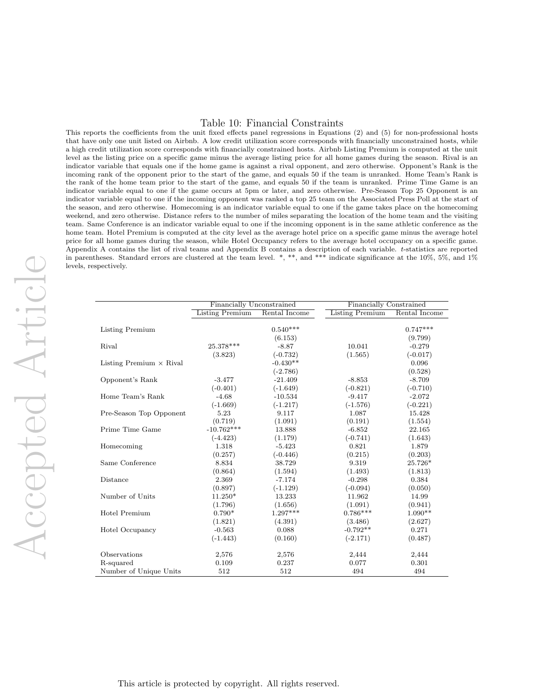## Table 10: Financial Constraints

This reports the coefficients from the unit fixed effects panel regressions in Equations (2) and (5) for non-professional hosts that have only one unit listed on Airbnb. A low credit utilization score corresponds with financially unconstrained hosts, while a high credit utilization score corresponds with financially constrained hosts. Airbnb Listing Premium is computed at the unit level as the listing price on a specific game minus the average listing price for all home games during the season. Rival is an indicator variable that equals one if the home game is against a rival opponent, and zero otherwise. Opponent's Rank is the incoming rank of the opponent prior to the start of the game, and equals 50 if the team is unranked. Home Team's Rank is the rank of the home team prior to the start of the game, and equals 50 if the team is unranked. Prime Time Game is an indicator variable equal to one if the game occurs at 5pm or later, and zero otherwise. Pre-Season Top 25 Opponent is an indicator variable equal to one if the incoming opponent was ranked a top 25 team on the Associated Press Poll at the start of the season, and zero otherwise. Homecoming is an indicator variable equal to one if the game takes place on the homecoming weekend, and zero otherwise. Distance refers to the number of miles separating the location of the home team and the visiting team. Same Conference is an indicator variable equal to one if the incoming opponent is in the same athletic conference as the home team. Hotel Premium is computed at the city level as the average hotel price on a specific game minus the average hotel price for all home games during the season, while Hotel Occupancy refers to the average hotel occupancy on a specific game. Appendix A contains the list of rival teams and Appendix B contains a description of each variable. t-statistics are reported in parentheses. Standard errors are clustered at the team level. \*, \*\*, and \*\*\* indicate significance at the 10%, 5%, and 1% levels, respectively.

|                                | Financially Unconstrained |                       | Financially Constrained |                       |  |
|--------------------------------|---------------------------|-----------------------|-------------------------|-----------------------|--|
|                                | Listing Premium           | Rental Income         | <b>Listing Premium</b>  | Rental Income         |  |
| Listing Premium                |                           | $0.540***$<br>(6.153) |                         | $0.747***$<br>(9.799) |  |
| Rival                          | 25.378***                 | $-8.87$               | 10.041                  | $-0.279$              |  |
|                                | (3.823)                   | $(-0.732)$            | (1.565)                 | $(-0.017)$            |  |
| Listing Premium $\times$ Rival |                           | $-0.430**$            |                         | 0.096                 |  |
|                                |                           | $(-2.786)$            |                         | (0.528)               |  |
| Opponent's Rank                | $-3.477$                  | $-21.409$             | $-8.853$                | $-8.709$              |  |
|                                | $(-0.401)$                | $(-1.649)$            | $(-0.821)$              | $(-0.710)$            |  |
| Home Team's Rank               | $-4.68$                   | $-10.534$             | $-9.417$                | $-2.072$              |  |
|                                | $(-1.669)$                | $(-1.217)$            | $(-1.576)$              | $(-0.221)$            |  |
| Pre-Season Top Opponent        | 5.23                      | 9.117                 | 1.087                   | 15.428                |  |
|                                | (0.719)                   | (1.091)               | (0.191)                 | (1.554)               |  |
| Prime Time Game                | $-10.762***$              | 13.888                | $-6.852$                | 22.165                |  |
|                                | $(-4.423)$                | (1.179)               | $(-0.741)$              | (1.643)               |  |
| Homecoming                     | 1.318                     | $-5.423$              | 0.821                   | 1.879                 |  |
|                                | (0.257)                   | $(-0.446)$            | (0.215)                 | (0.203)               |  |
| Same Conference                | 8.834                     | 38.729                | 9.319                   | 25.726*               |  |
|                                | (0.864)                   | (1.594)               | (1.493)                 | (1.813)               |  |
| Distance                       | 2.369                     | $-7.174$              | $-0.298$                | 0.384                 |  |
|                                | (0.897)                   | $(-1.129)$            | $(-0.094)$              | (0.050)               |  |
| Number of Units                | $11.250*$                 | 13.233                | 11.962                  | 14.99                 |  |
|                                | (1.796)                   | (1.656)               | (1.091)                 | (0.941)               |  |
| Hotel Premium                  | $0.790*$                  | $1.297***$            | $0.786***$              | $1.090**$             |  |
|                                | (1.821)                   | (4.391)               | (3.486)                 | (2.627)               |  |
| Hotel Occupancy                | $-0.563$                  | 0.088                 | $-0.792**$              | 0.271                 |  |
|                                | $(-1.443)$                | (0.160)               | $(-2.171)$              | (0.487)               |  |
| Observations                   | 2,576                     | 2,576                 | 2,444                   | 2,444                 |  |
| R-squared                      | 0.109                     | 0.237                 | 0.077                   | 0.301                 |  |
| Number of Unique Units         | 512                       | 512                   | 494                     | 494                   |  |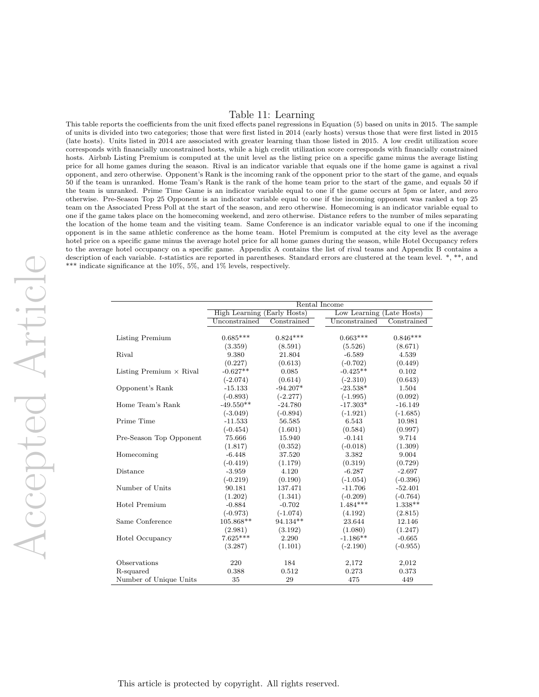## Table 11: Learning

This table reports the coefficients from the unit fixed effects panel regressions in Equation (5) based on units in 2015. The sample of units is divided into two categories; those that were first listed in 2014 (early hosts) versus those that were first listed in 2015 (late hosts). Units listed in 2014 are associated with greater learning than those listed in 2015. A low credit utilization score corresponds with financially unconstrained hosts, while a high credit utilization score corresponds with financially constrained hosts. Airbnb Listing Premium is computed at the unit level as the listing price on a specific game minus the average listing price for all home games during the season. Rival is an indicator variable that equals one if the home game is against a rival opponent, and zero otherwise. Opponent's Rank is the incoming rank of the opponent prior to the start of the game, and equals 50 if the team is unranked. Home Team's Rank is the rank of the home team prior to the start of the game, and equals 50 if the team is unranked. Prime Time Game is an indicator variable equal to one if the game occurs at 5pm or later, and zero otherwise. Pre-Season Top 25 Opponent is an indicator variable equal to one if the incoming opponent was ranked a top 25 team on the Associated Press Poll at the start of the season, and zero otherwise. Homecoming is an indicator variable equal to one if the game takes place on the homecoming weekend, and zero otherwise. Distance refers to the number of miles separating the location of the home team and the visiting team. Same Conference is an indicator variable equal to one if the incoming opponent is in the same athletic conference as the home team. Hotel Premium is computed at the city level as the average hotel price on a specific game minus the average hotel price for all home games during the season, while Hotel Occupancy refers to the average hotel occupancy on a specific game. Appendix A contains the list of rival teams and Appendix B contains a description of each variable. t-statistics are reported in parentheses. Standard errors are clustered at the team level. \*, \*\*, and \*\*\* indicate significance at the 10%, 5%, and 1% levels, respectively.

|                                | Rental Income                                            |             |               |             |
|--------------------------------|----------------------------------------------------------|-------------|---------------|-------------|
|                                | High Learning (Early Hosts)<br>Low Learning (Late Hosts) |             |               |             |
|                                | Unconstrained                                            | Constrained | Unconstrained | Constrained |
|                                |                                                          |             |               |             |
| Listing Premium                | $0.685***$                                               | $0.824***$  | $0.663***$    | $0.846***$  |
|                                | (3.359)                                                  | (8.591)     | (5.526)       | (8.671)     |
| Rival                          | 9.380                                                    | 21.804      | $-6.589$      | 4.539       |
|                                | (0.227)                                                  | (0.613)     | $(-0.702)$    | (0.449)     |
| Listing Premium $\times$ Rival | $-0.627**$                                               | 0.085       | $-0.425**$    | 0.102       |
|                                | $(-2.074)$                                               | (0.614)     | $(-2.310)$    | (0.643)     |
| Opponent's Rank                | $-15.133$                                                | $-94.207*$  | $-23.538*$    | 1.504       |
|                                | $(-0.893)$                                               | $(-2.277)$  | $(-1.995)$    | (0.092)     |
| Home Team's Rank               | $-49.550**$                                              | $-24.780$   | $-17.303*$    | $-16.149$   |
|                                | $(-3.049)$                                               | $(-0.894)$  | $(-1.921)$    | $(-1.685)$  |
| Prime Time                     | $-11.533$                                                | 56.585      | 6.543         | 10.981      |
|                                | $(-0.454)$                                               | (1.601)     | (0.584)       | (0.997)     |
| Pre-Season Top Opponent        | 75.666                                                   | 15.940      | $-0.141$      | 9.714       |
|                                | (1.817)                                                  | (0.352)     | $(-0.018)$    | (1.309)     |
| Homecoming                     | $-6.448$                                                 | 37.520      | 3.382         | 9.004       |
|                                | $(-0.419)$                                               | (1.179)     | (0.319)       | (0.729)     |
| Distance                       | $-3.959$                                                 | 4.120       | $-6.287$      | $-2.697$    |
|                                | $(-0.219)$                                               | (0.190)     | $(-1.054)$    | $(-0.396)$  |
| Number of Units                | 90.181                                                   | 137.471     | $-11.706$     | $-52.401$   |
|                                | (1.202)                                                  | (1.341)     | $(-0.209)$    | $(-0.764)$  |
| Hotel Premium                  | $-0.884$                                                 | $-0.702$    | $1.484***$    | $1.338**$   |
|                                | $(-0.973)$                                               | $(-1.074)$  | (4.192)       | (2.815)     |
| Same Conference                | 105.868**                                                | 94.134**    | 23.644        | 12.146      |
|                                | (2.981)                                                  | (3.192)     | (1.080)       | (1.247)     |
| Hotel Occupancy                | $7.625***$                                               | 2.290       | $-1.186**$    | $-0.665$    |
|                                | (3.287)                                                  | (1.101)     | $(-2.190)$    | $(-0.955)$  |
|                                |                                                          |             |               |             |
| Observations                   | 220                                                      | 184         | 2,172         | 2,012       |
| R-squared                      | 0.388                                                    | 0.512       | 0.273         | 0.373       |
| Number of Unique Units         | 35                                                       | 29          | 475           | 449         |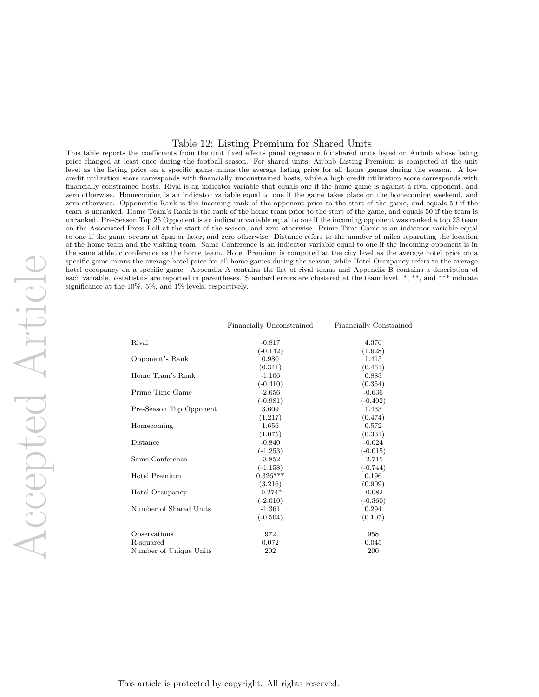## Table 12: Listing Premium for Shared Units

This table reports the coefficients from the unit fixed effects panel regression for shared units listed on Airbnb whose listing price changed at least once during the football season. For shared units, Airbnb Listing Premium is computed at the unit level as the listing price on a specific game minus the average listing price for all home games during the season. A low credit utilization score corresponds with financially unconstrained hosts, while a high credit utilization score corresponds with financially constrained hosts. Rival is an indicator variable that equals one if the home game is against a rival opponent, and zero otherwise. Homecoming is an indicator variable equal to one if the game takes place on the homecoming weekend, and zero otherwise. Opponent's Rank is the incoming rank of the opponent prior to the start of the game, and equals 50 if the team is unranked. Home Team's Rank is the rank of the home team prior to the start of the game, and equals 50 if the team is unranked. Pre-Season Top 25 Opponent is an indicator variable equal to one if the incoming opponent was ranked a top 25 team on the Associated Press Poll at the start of the season, and zero otherwise. Prime Time Game is an indicator variable equal to one if the game occurs at 5pm or later, and zero otherwise. Distance refers to the number of miles separating the location of the home team and the visiting team. Same Conference is an indicator variable equal to one if the incoming opponent is in the same athletic conference as the home team. Hotel Premium is computed at the city level as the average hotel price on a specific game minus the average hotel price for all home games during the season, while Hotel Occupancy refers to the average hotel occupancy on a specific game. Appendix A contains the list of rival teams and Appendix B contains a description of each variable. t-statistics are reported in parentheses. Standard errors are clustered at the team level. \*, \*\*, and \*\*\* indicate significance at the 10%, 5%, and 1% levels, respectively.

|                         | Financially Unconstrained | Financially Constrained |
|-------------------------|---------------------------|-------------------------|
|                         |                           |                         |
| Rival                   | $-0.817$                  | 4.376                   |
|                         | $(-0.142)$                | (1.628)                 |
| Opponent's Rank         | 0.980                     | 1.415                   |
|                         | (0.341)                   | (0.461)                 |
| Home Team's Rank        | $-1.106$                  | 0.883                   |
|                         | $(-0.410)$                | (0.354)                 |
| Prime Time Game         | $-2.656$                  | $-0.636$                |
|                         | $(-0.981)$                | $(-0.402)$              |
| Pre-Season Top Opponent | 3.609                     | 1.433                   |
|                         | (1.217)                   | (0.474)                 |
| Homecoming              | 1.656                     | 0.572                   |
|                         | (1.075)                   | (0.331)                 |
| Distance                | $-0.840$                  | $-0.024$                |
|                         | $(-1.253)$                | $(-0.015)$              |
| Same Conference         | $-3.852$                  | $-2.715$                |
|                         | $(-1.158)$                | $(-0.744)$              |
| Hotel Premium           | $0.326***$                | 0.196                   |
|                         | (3.216)                   | (0.909)                 |
| Hotel Occupancy         | $-0.274*$                 | $-0.082$                |
|                         | $(-2.010)$                | $(-0.360)$              |
| Number of Shared Units  | $-1.361$                  | 0.294                   |
|                         | $(-0.504)$                | (0.107)                 |
|                         |                           |                         |
| Observations            | 972                       | 958                     |
| R-squared               | 0.072                     | 0.045                   |
| Number of Unique Units  | 202                       | 200                     |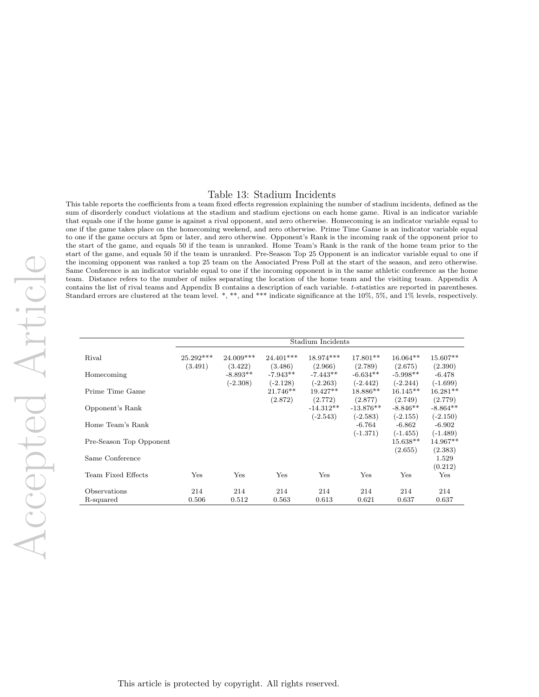## Table 13: Stadium Incidents

This table reports the coefficients from a team fixed effects regression explaining the number of stadium incidents, defined as the sum of disorderly conduct violations at the stadium and stadium ejections on each home game. Rival is an indicator variable that equals one if the home game is against a rival opponent, and zero otherwise. Homecoming is an indicator variable equal to one if the game takes place on the homecoming weekend, and zero otherwise. Prime Time Game is an indicator variable equal to one if the game occurs at 5pm or later, and zero otherwise. Opponent's Rank is the incoming rank of the opponent prior to the start of the game, and equals 50 if the team is unranked. Home Team's Rank is the rank of the home team prior to the start of the game, and equals 50 if the team is unranked. Pre-Season Top 25 Opponent is an indicator variable equal to one if the incoming opponent was ranked a top 25 team on the Associated Press Poll at the start of the season, and zero otherwise. Same Conference is an indicator variable equal to one if the incoming opponent is in the same athletic conference as the home team. Distance refers to the number of miles separating the location of the home team and the visiting team. Appendix A contains the list of rival teams and Appendix B contains a description of each variable. t-statistics are reported in parentheses. Standard errors are clustered at the team level. \*, \*\*, and \*\*\* indicate significance at the 10%, 5%, and 1% levels, respectively.

|                           |              |                                     |                                     | Stadium Incidents                   |                           |                          |                                   |
|---------------------------|--------------|-------------------------------------|-------------------------------------|-------------------------------------|---------------------------|--------------------------|-----------------------------------|
| Rival                     | $25.292***$  | 24.009***                           | $24.401***$                         | 18.974***                           | 17.801**<br>(2.789)       | $16.064**$<br>(2.675)    | $15.607**$                        |
| Homecoming                | (3.491)      | (3.422)<br>$-8.893**$<br>$(-2.308)$ | (3.486)<br>$-7.943**$<br>$(-2.128)$ | (2.966)<br>$-7.443**$<br>$(-2.263)$ | $-6.634**$<br>$(-2.442)$  | $-5.998**$<br>$(-2.244)$ | (2.390)<br>$-6.478$<br>$(-1.699)$ |
| Prime Time Game           |              |                                     | $21.746**$<br>(2.872)               | $19.427**$<br>(2.772)               | $18.886**$<br>(2.877)     | $16.145**$<br>(2.749)    | $16.281**$<br>(2.779)             |
| Opponent's Rank           |              |                                     |                                     | $-14.312**$<br>$(-2.543)$           | $-13.876**$<br>$(-2.583)$ | $-8.846**$<br>$(-2.155)$ | $-8.864**$<br>$(-2.150)$          |
| Home Team's Rank          |              |                                     |                                     |                                     | $-6.764$<br>$(-1.371)$    | $-6.862$<br>$(-1.455)$   | $-6.902$<br>$(-1.489)$            |
| Pre-Season Top Opponent   |              |                                     |                                     |                                     |                           | $15.638**$<br>(2.655)    | 14.967**<br>(2.383)               |
| Same Conference           |              |                                     |                                     |                                     |                           |                          | 1.529<br>(0.212)                  |
| Team Fixed Effects        | Yes          | Yes                                 | Yes                                 | Yes                                 | Yes                       | Yes                      | $_{\rm Yes}$                      |
| Observations<br>R-squared | 214<br>0.506 | 214<br>0.512                        | 214<br>0.563                        | 214<br>0.613                        | 214<br>0.621              | 214<br>0.637             | 214<br>0.637                      |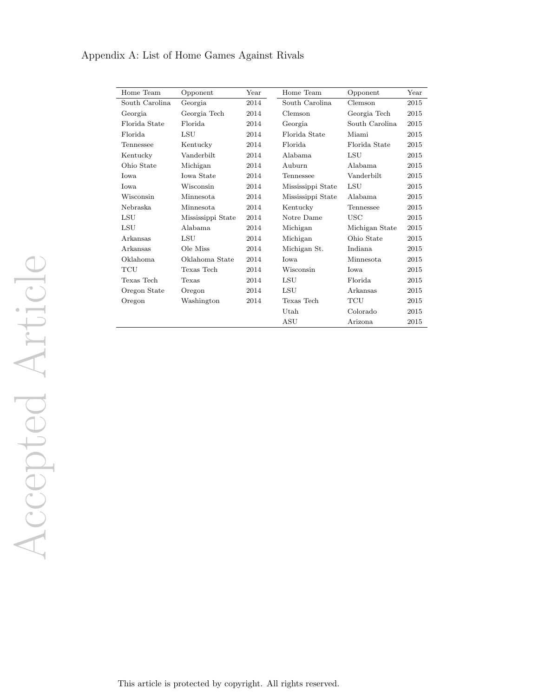## Appendix A: List of Home Games Against Rivals

| Home Team      | Opponent          | Year | Home Team         | Opponent       | Year |
|----------------|-------------------|------|-------------------|----------------|------|
| South Carolina | Georgia           | 2014 | South Carolina    | Clemson        | 2015 |
| Georgia        | Georgia Tech      | 2014 | Clemson           | Georgia Tech   | 2015 |
| Florida State  | Florida           | 2014 | Georgia           | South Carolina | 2015 |
| Florida        | LSU               | 2014 | Florida State     | Miami          | 2015 |
| Tennessee      | Kentucky          | 2014 | Florida           | Florida State  | 2015 |
| Kentucky       | Vanderbilt        | 2014 | Alabama           | LSU            | 2015 |
| Ohio State     | Michigan          | 2014 | Auburn            | Alabama        | 2015 |
| Iowa           | Iowa State        | 2014 | Tennessee         | Vanderbilt     | 2015 |
| Iowa           | Wisconsin         | 2014 | Mississippi State | LSU            | 2015 |
| Wisconsin      | Minnesota         | 2014 | Mississippi State | Alabama        | 2015 |
| Nebraska       | Minnesota         | 2014 | Kentucky          | Tennessee      | 2015 |
| LSU            | Mississippi State | 2014 | Notre Dame        | USC            | 2015 |
| LSU            | Alabama           | 2014 | Michigan          | Michigan State | 2015 |
| Arkansas       | LSU               | 2014 | Michigan          | Ohio State     | 2015 |
| Arkansas       | Ole Miss          | 2014 | Michigan St.      | Indiana        | 2015 |
| Oklahoma       | Oklahoma State    | 2014 | Iowa              | Minnesota      | 2015 |
| TCU            | Texas Tech        | 2014 | Wisconsin         | Iowa           | 2015 |
| Texas Tech     | Texas             | 2014 | $_{\rm LSU}$      | Florida        | 2015 |
| Oregon State   | Oregon            | 2014 | $_{\rm LSU}$      | Arkansas       | 2015 |
| Oregon         | Washington        | 2014 | Texas Tech        | TCU            | 2015 |
|                |                   |      | Utah              | Colorado       | 2015 |
|                |                   |      | ASU               | Arizona        | 2015 |